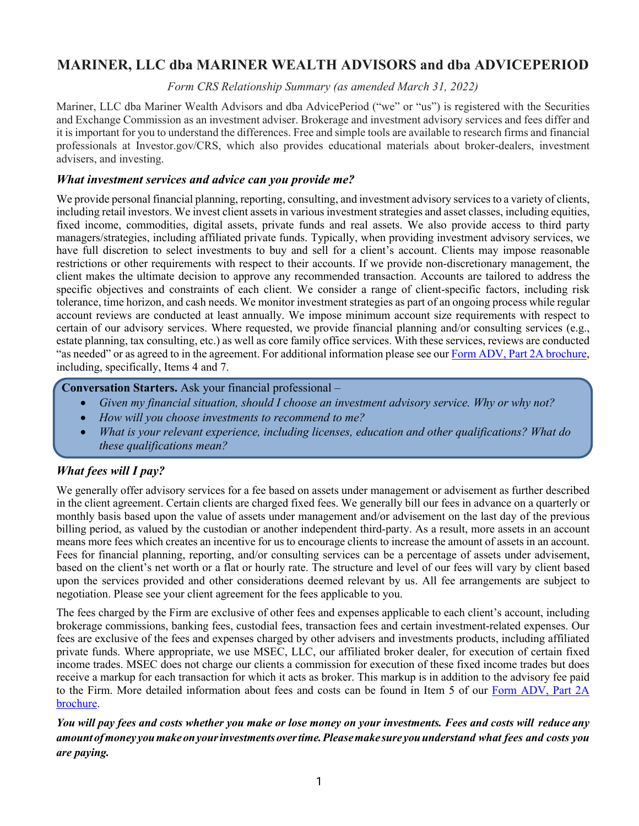# **MARINER, LLC dba MARINER WEALTH ADVISORS and dba ADVICEPERIOD**

*Form CRS Relationship Summary (as amended March 31, 2022)*

Mariner, LLC dba Mariner Wealth Advisors and dba AdvicePeriod ("we" or "us") is registered with the Securities and Exchange Commission as an investment adviser. Brokerage and investment advisory services and fees differ and it is important for you to understand the differences. Free and simple tools are available to research firms and financial professionals at Investor.gov/CRS, which also provides educational materials about broker-dealers, investment advisers, and investing.

#### *What investment services and advice can you provide me?*

We provide personal financial planning, reporting, consulting, and investment advisory services to a variety of clients, including retail investors. We invest client assets in various investment strategies and asset classes, including equities, fixed income, commodities, digital assets, private funds and real assets. We also provide access to third party managers/strategies, including affiliated private funds. Typically, when providing investment advisory services, we have full discretion to select investments to buy and sell for a client's account. Clients may impose reasonable restrictions or other requirements with respect to their accounts. If we provide non-discretionary management, the client makes the ultimate decision to approve any recommended transaction. Accounts are tailored to address the specific objectives and constraints of each client. We consider a range of client-specific factors, including risk tolerance, time horizon, and cash needs. We monitor investment strategies as part of an ongoing process while regular account reviews are conducted at least annually. We impose minimum account size requirements with respect to certain of our advisory services. Where requested, we provide financial planning and/or consulting services (e.g., estate planning, tax consulting, etc.) as well as core family office services. With these services, reviews are conducted "as needed" or as agreed to in the agreement. For additional information please see our Form ADV, Part 2A brochure, including, specifically, Items 4 and 7.

#### **Conversation Starters.** Ask your financial professional –

- *Given my financial situation, should I choose an investment advisory service. Why or why not?*
- *How will you choose investments to recommend to me?*
- *What is your relevant experience, including licenses, education and other qualifications? What do these qualifications mean?*

# *What fees will I pay?*

We generally offer advisory services for a fee based on assets under management or advisement as further described in the client agreement. Certain clients are charged fixed fees. We generally bill our fees in advance on a quarterly or monthly basis based upon the value of assets under management and/or advisement on the last day of the previous billing period, as valued by the custodian or another independent third-party. As a result, more assets in an account means more fees which creates an incentive for us to encourage clients to increase the amount of assets in an account. Fees for financial planning, reporting, and/or consulting services can be a percentage of assets under advisement, based on the client's net worth or a flat or hourly rate. The structure and level of our fees will vary by client based upon the services provided and other considerations deemed relevant by us. All fee arrangements are subject to negotiation. Please see your client agreement for the fees applicable to you.

The fees charged by the Firm are exclusive of other fees and expenses applicable to each client's account, including brokerage commissions, banking fees, custodial fees, transaction fees and certain investment-related expenses. Our fees are exclusive of the fees and expenses charged by other advisers and investments products, including affiliated private funds. Where appropriate, we use MSEC, LLC, our affiliated broker dealer, for execution of certain fixed income trades. MSEC does not charge our clients a commission for execution of these fixed income trades but does receive a markup for each transaction for which it acts as broker. This markup is in addition to the advisory fee paid to the Firm. More detailed information about fees and costs can be found in Item 5 of our Form ADV, Part 2A brochure.

You will pay fees and costs whether you make or lose money on your investments. Fees and costs will reduce any *amountofmoney youmakeonyourinvestmentsovertime.Pleasemake sure youunderstand what fees and costs you are paying.*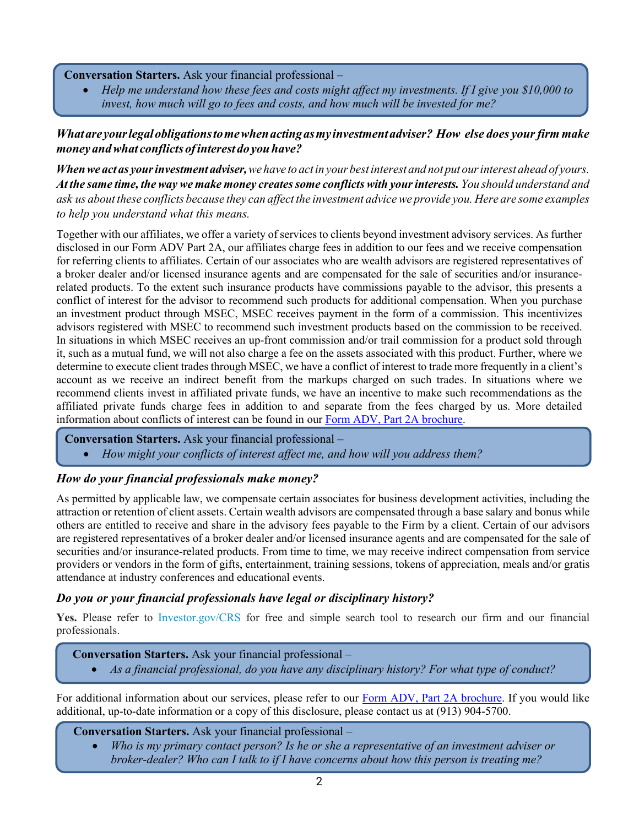**Conversation Starters.** Ask your financial professional –

• *Help me understand how these fees and costs might affect my investments. If I give you \$10,000 to invest, how much will go to fees and costs, and how much will be invested for me?*

# *Whatareyourlegalobligationstomewhenactingasmyinvestmentadviser? How else does yourfirm make money andwhat conflicts ofinterest do youhave?*

When we act as your investment adviser, we have to act in your best interest and not put our interest ahead of yours. *At the same time, theway we make money createssome conflicts with yourinterests. You should understand and* ask us about these conflicts because they can affect the investment advice we provide you. Here are some examples *to help you understand what this means.*

Together with our affiliates, we offer a variety of services to clients beyond investment advisory services. As further disclosed in our Form ADV Part 2A, our affiliates charge fees in addition to our fees and we receive compensation for referring clients to affiliates. Certain of our associates who are wealth advisors are registered representatives of a broker dealer and/or licensed insurance agents and are compensated for the sale of securities and/or insurancerelated products. To the extent such insurance products have commissions payable to the advisor, this presents a conflict of interest for the advisor to recommend such products for additional compensation. When you purchase an investment product through MSEC, MSEC receives payment in the form of a commission. This incentivizes advisors registered with MSEC to recommend such investment products based on the commission to be received. In situations in which MSEC receives an up-front commission and/or trail commission for a product sold through it, such as a mutual fund, we will not also charge a fee on the assets associated with this product. Further, where we determine to execute client trades through MSEC, we have a conflict of interest to trade more frequently in a client's account as we receive an indirect benefit from the markups charged on such trades. In situations where we recommend clients invest in affiliated private funds, we have an incentive to make such recommendations as the affiliated private funds charge fees in addition to and separate from the fees charged by us. More detailed information about conflicts of interest can be found in our Form ADV, Part 2A brochure.

- **Conversation Starters.** Ask your financial professional
	- *How might your conflicts of interest affect me, and how will you address them?*

# *How do your financial professionals make money?*

As permitted by applicable law, we compensate certain associates for business development activities, including the attraction or retention of client assets. Certain wealth advisors are compensated through a base salary and bonus while others are entitled to receive and share in the advisory fees payable to the Firm by a client. Certain of our advisors are registered representatives of a broker dealer and/or licensed insurance agents and are compensated for the sale of securities and/or insurance-related products. From time to time, we may receive indirect compensation from service providers or vendors in the form of gifts, entertainment, training sessions, tokens of appreciation, meals and/or gratis attendance at industry conferences and educational events.

#### *Do you or your financial professionals have legal or disciplinary history?*

Yes. Please refer to Investor.gov/CRS for free and simple search tool to research our firm and our financial professionals.

#### **Conversation Starters.** Ask your financial professional –

• *As a financial professional, do you have any disciplinary history? For what type of conduct?*

For additional information about our services, please refer to our Form ADV, Part 2A brochure. If you would like additional, up-to-date information or a copy of this disclosure, please contact us at (913) 904-5700.

**Conversation Starters.** Ask your financial professional –

• *Who is my primary contact person? Is he or she a representative of an investment adviser or broker-dealer? Who can I talk to if I have concerns about how this person is treating me?*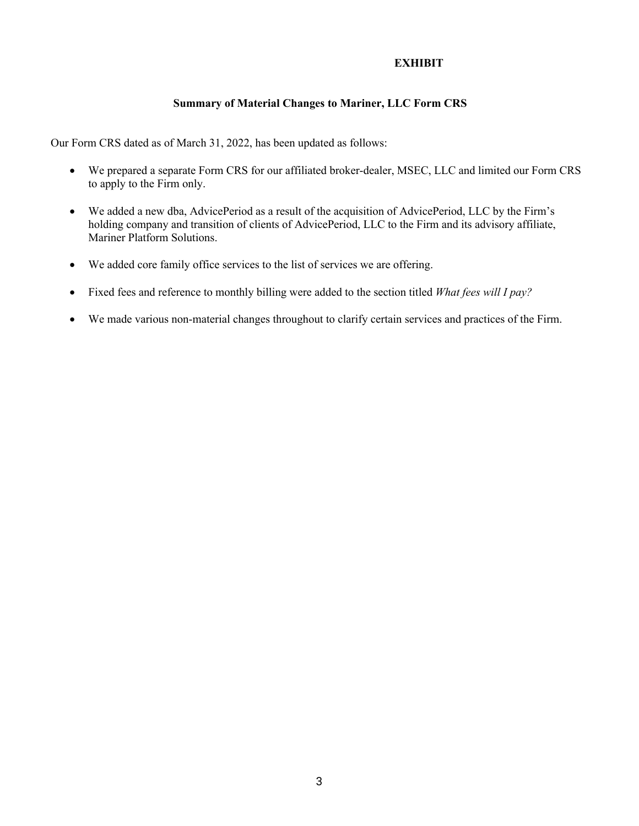# **EXHIBIT**

# **Summary of Material Changes to Mariner, LLC Form CRS**

Our Form CRS dated as of March 31, 2022, has been updated as follows:

- We prepared a separate Form CRS for our affiliated broker-dealer, MSEC, LLC and limited our Form CRS to apply to the Firm only.
- We added a new dba, AdvicePeriod as a result of the acquisition of AdvicePeriod, LLC by the Firm's holding company and transition of clients of AdvicePeriod, LLC to the Firm and its advisory affiliate, Mariner Platform Solutions.
- We added core family office services to the list of services we are offering.
- Fixed fees and reference to monthly billing were added to the section titled *What fees will I pay?*
- We made various non-material changes throughout to clarify certain services and practices of the Firm.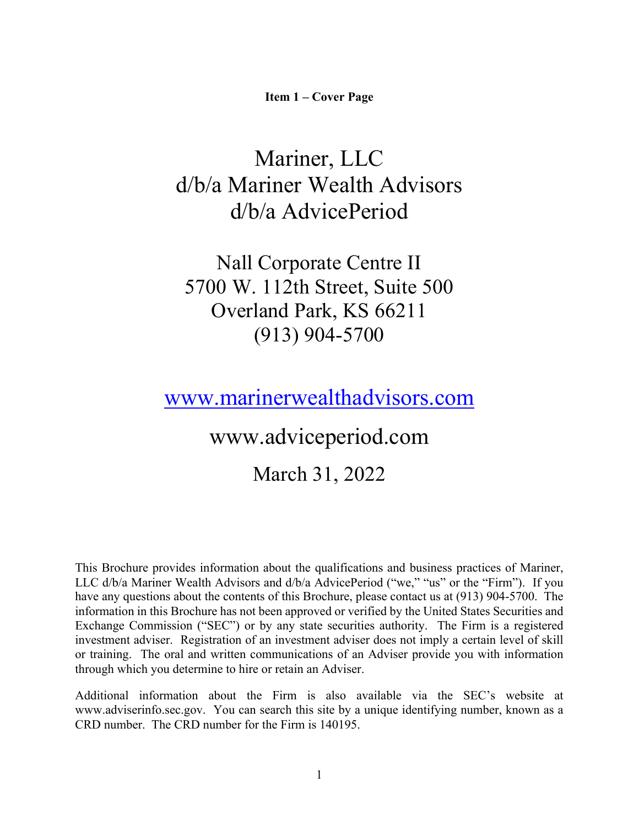**Item 1 – Cover Page**

# Mariner, LLC d/b/a Mariner Wealth Advisors d/b/a AdvicePeriod

Nall Corporate Centre II 5700 W. 112th Street, Suite 500 Overland Park, KS 66211 (913) 904-5700

www.marinerwealthadvisors.com

www.adviceperiod.com

March 31, 2022

This Brochure provides information about the qualifications and business practices of Mariner, LLC d/b/a Mariner Wealth Advisors and d/b/a AdvicePeriod ("we," "us" or the "Firm"). If you have any questions about the contents of this Brochure, please contact us at (913) 904-5700. The information in this Brochure has not been approved or verified by the United States Securities and Exchange Commission ("SEC") or by any state securities authority. The Firm is a registered investment adviser. Registration of an investment adviser does not imply a certain level of skill or training. The oral and written communications of an Adviser provide you with information through which you determine to hire or retain an Adviser.

Additional information about the Firm is also available via the SEC's website at www.adviserinfo.sec.gov. You can search this site by a unique identifying number, known as a CRD number. The CRD number for the Firm is 140195.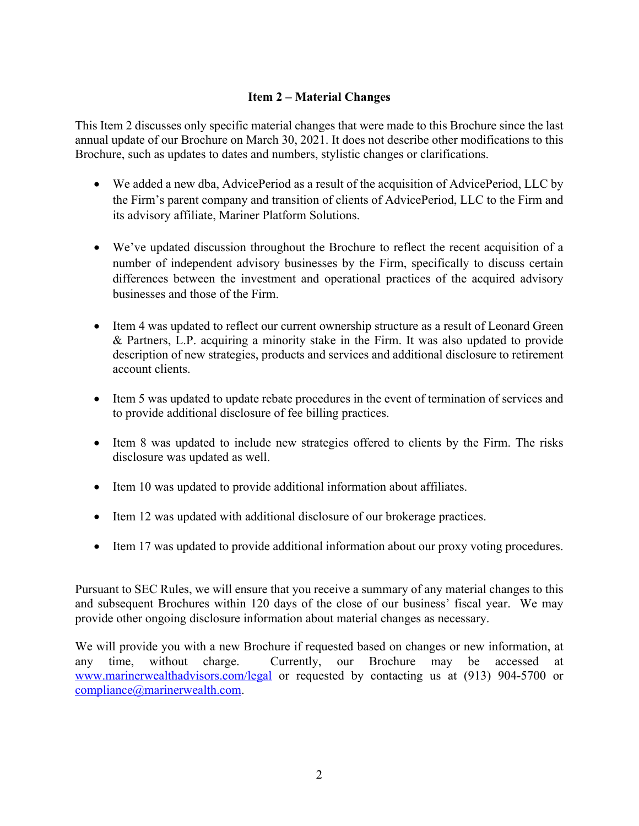# **Item 2 – Material Changes**

This Item 2 discusses only specific material changes that were made to this Brochure since the last annual update of our Brochure on March 30, 2021. It does not describe other modifications to this Brochure, such as updates to dates and numbers, stylistic changes or clarifications.

- We added a new dba, AdvicePeriod as a result of the acquisition of AdvicePeriod, LLC by the Firm's parent company and transition of clients of AdvicePeriod, LLC to the Firm and its advisory affiliate, Mariner Platform Solutions.
- We've updated discussion throughout the Brochure to reflect the recent acquisition of a number of independent advisory businesses by the Firm, specifically to discuss certain differences between the investment and operational practices of the acquired advisory businesses and those of the Firm.
- Item 4 was updated to reflect our current ownership structure as a result of Leonard Green & Partners, L.P. acquiring a minority stake in the Firm. It was also updated to provide description of new strategies, products and services and additional disclosure to retirement account clients.
- Item 5 was updated to update rebate procedures in the event of termination of services and to provide additional disclosure of fee billing practices.
- Item 8 was updated to include new strategies offered to clients by the Firm. The risks disclosure was updated as well.
- Item 10 was updated to provide additional information about affiliates.
- Item 12 was updated with additional disclosure of our brokerage practices.
- Item 17 was updated to provide additional information about our proxy voting procedures.

Pursuant to SEC Rules, we will ensure that you receive a summary of any material changes to this and subsequent Brochures within 120 days of the close of our business' fiscal year. We may provide other ongoing disclosure information about material changes as necessary.

We will provide you with a new Brochure if requested based on changes or new information, at any time, without charge. Currently, our Brochure may be accessed at www.marinerwealthadvisors.com/legal or requested by contacting us at (913) 904-5700 or compliance@marinerwealth.com.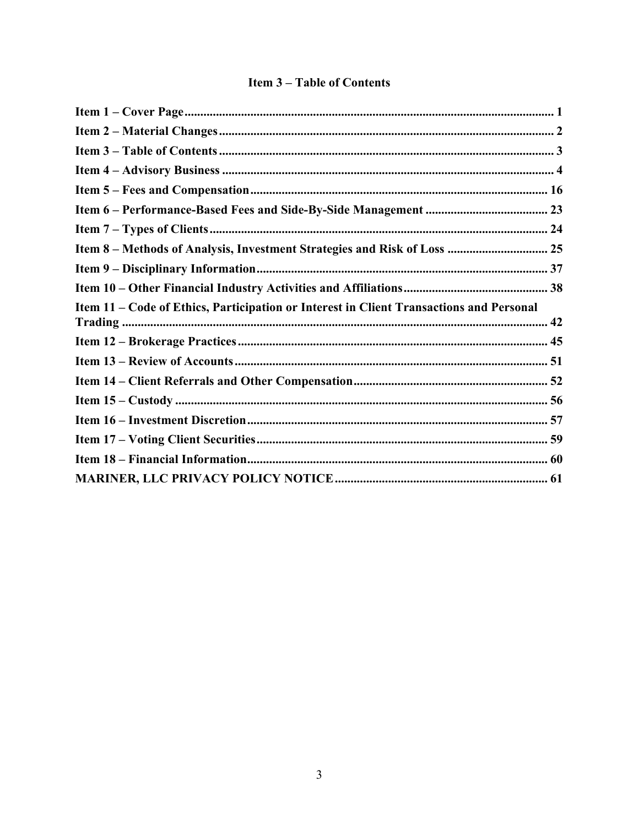# **Item 3-Table of Contents**

| Item 8 - Methods of Analysis, Investment Strategies and Risk of Loss  25                |  |
|-----------------------------------------------------------------------------------------|--|
|                                                                                         |  |
|                                                                                         |  |
| Item 11 – Code of Ethics, Participation or Interest in Client Transactions and Personal |  |
|                                                                                         |  |
|                                                                                         |  |
|                                                                                         |  |
|                                                                                         |  |
|                                                                                         |  |
|                                                                                         |  |
|                                                                                         |  |
|                                                                                         |  |
|                                                                                         |  |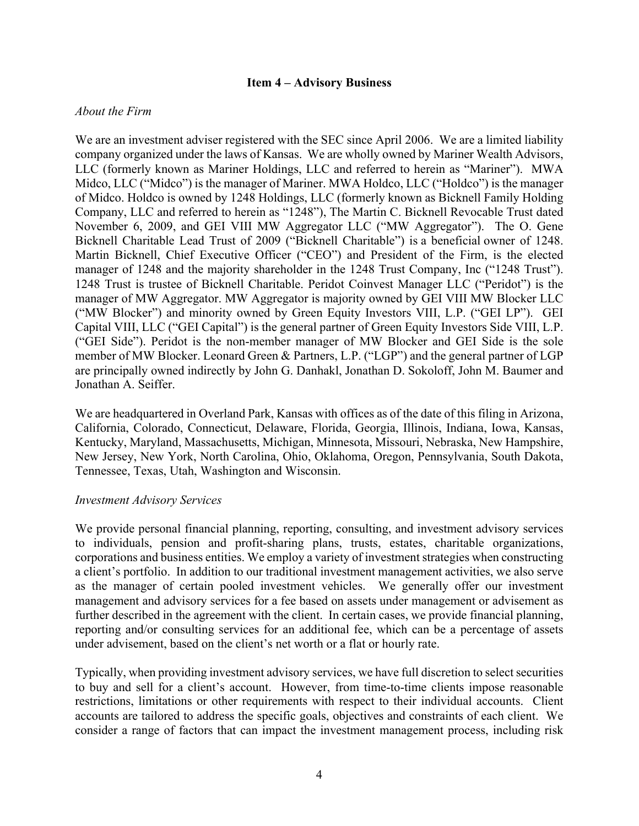#### **Item 4 – Advisory Business**

#### *About the Firm*

We are an investment adviser registered with the SEC since April 2006. We are a limited liability company organized under the laws of Kansas. We are wholly owned by Mariner Wealth Advisors, LLC (formerly known as Mariner Holdings, LLC and referred to herein as "Mariner"). MWA Midco, LLC ("Midco") is the manager of Mariner. MWA Holdco, LLC ("Holdco") is the manager of Midco. Holdco is owned by 1248 Holdings, LLC (formerly known as Bicknell Family Holding Company, LLC and referred to herein as "1248"), The Martin C. Bicknell Revocable Trust dated November 6, 2009, and GEI VIII MW Aggregator LLC ("MW Aggregator"). The O. Gene Bicknell Charitable Lead Trust of 2009 ("Bicknell Charitable") is a beneficial owner of 1248. Martin Bicknell, Chief Executive Officer ("CEO") and President of the Firm, is the elected manager of 1248 and the majority shareholder in the 1248 Trust Company, Inc ("1248 Trust"). 1248 Trust is trustee of Bicknell Charitable. Peridot Coinvest Manager LLC ("Peridot") is the manager of MW Aggregator. MW Aggregator is majority owned by GEI VIII MW Blocker LLC ("MW Blocker") and minority owned by Green Equity Investors VIII, L.P. ("GEI LP"). GEI Capital VIII, LLC ("GEI Capital") is the general partner of Green Equity Investors Side VIII, L.P. ("GEI Side"). Peridot is the non-member manager of MW Blocker and GEI Side is the sole member of MW Blocker. Leonard Green & Partners, L.P. ("LGP") and the general partner of LGP are principally owned indirectly by John G. Danhakl, Jonathan D. Sokoloff, John M. Baumer and Jonathan A. Seiffer.

We are headquartered in Overland Park, Kansas with offices as of the date of this filing in Arizona, California, Colorado, Connecticut, Delaware, Florida, Georgia, Illinois, Indiana, Iowa, Kansas, Kentucky, Maryland, Massachusetts, Michigan, Minnesota, Missouri, Nebraska, New Hampshire, New Jersey, New York, North Carolina, Ohio, Oklahoma, Oregon, Pennsylvania, South Dakota, Tennessee, Texas, Utah, Washington and Wisconsin.

#### *Investment Advisory Services*

We provide personal financial planning, reporting, consulting, and investment advisory services to individuals, pension and profit-sharing plans, trusts, estates, charitable organizations, corporations and business entities. We employ a variety of investment strategies when constructing a client's portfolio. In addition to our traditional investment management activities, we also serve as the manager of certain pooled investment vehicles. We generally offer our investment management and advisory services for a fee based on assets under management or advisement as further described in the agreement with the client. In certain cases, we provide financial planning, reporting and/or consulting services for an additional fee, which can be a percentage of assets under advisement, based on the client's net worth or a flat or hourly rate.

Typically, when providing investment advisory services, we have full discretion to select securities to buy and sell for a client's account. However, from time-to-time clients impose reasonable restrictions, limitations or other requirements with respect to their individual accounts. Client accounts are tailored to address the specific goals, objectives and constraints of each client. We consider a range of factors that can impact the investment management process, including risk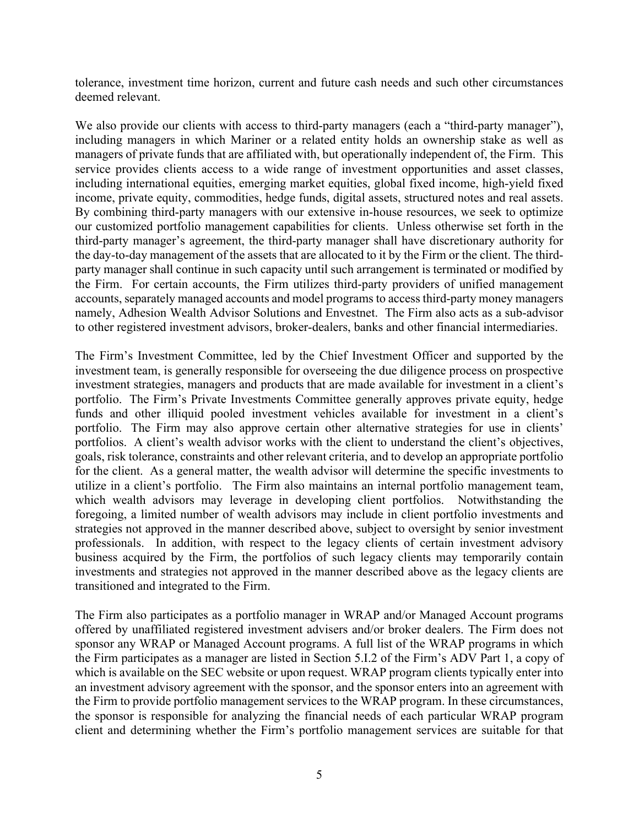tolerance, investment time horizon, current and future cash needs and such other circumstances deemed relevant.

We also provide our clients with access to third-party managers (each a "third-party manager"), including managers in which Mariner or a related entity holds an ownership stake as well as managers of private funds that are affiliated with, but operationally independent of, the Firm. This service provides clients access to a wide range of investment opportunities and asset classes, including international equities, emerging market equities, global fixed income, high-yield fixed income, private equity, commodities, hedge funds, digital assets, structured notes and real assets. By combining third-party managers with our extensive in-house resources, we seek to optimize our customized portfolio management capabilities for clients. Unless otherwise set forth in the third-party manager's agreement, the third-party manager shall have discretionary authority for the day-to-day management of the assets that are allocated to it by the Firm or the client. The thirdparty manager shall continue in such capacity until such arrangement is terminated or modified by the Firm. For certain accounts, the Firm utilizes third-party providers of unified management accounts, separately managed accounts and model programs to access third-party money managers namely, Adhesion Wealth Advisor Solutions and Envestnet. The Firm also acts as a sub-advisor to other registered investment advisors, broker-dealers, banks and other financial intermediaries.

The Firm's Investment Committee, led by the Chief Investment Officer and supported by the investment team, is generally responsible for overseeing the due diligence process on prospective investment strategies, managers and products that are made available for investment in a client's portfolio. The Firm's Private Investments Committee generally approves private equity, hedge funds and other illiquid pooled investment vehicles available for investment in a client's portfolio. The Firm may also approve certain other alternative strategies for use in clients' portfolios. A client's wealth advisor works with the client to understand the client's objectives, goals, risk tolerance, constraints and other relevant criteria, and to develop an appropriate portfolio for the client. As a general matter, the wealth advisor will determine the specific investments to utilize in a client's portfolio. The Firm also maintains an internal portfolio management team, which wealth advisors may leverage in developing client portfolios. Notwithstanding the foregoing, a limited number of wealth advisors may include in client portfolio investments and strategies not approved in the manner described above, subject to oversight by senior investment professionals. In addition, with respect to the legacy clients of certain investment advisory business acquired by the Firm, the portfolios of such legacy clients may temporarily contain investments and strategies not approved in the manner described above as the legacy clients are transitioned and integrated to the Firm.

The Firm also participates as a portfolio manager in WRAP and/or Managed Account programs offered by unaffiliated registered investment advisers and/or broker dealers. The Firm does not sponsor any WRAP or Managed Account programs. A full list of the WRAP programs in which the Firm participates as a manager are listed in Section 5.I.2 of the Firm's ADV Part 1, a copy of which is available on the SEC website or upon request. WRAP program clients typically enter into an investment advisory agreement with the sponsor, and the sponsor enters into an agreement with the Firm to provide portfolio management services to the WRAP program. In these circumstances, the sponsor is responsible for analyzing the financial needs of each particular WRAP program client and determining whether the Firm's portfolio management services are suitable for that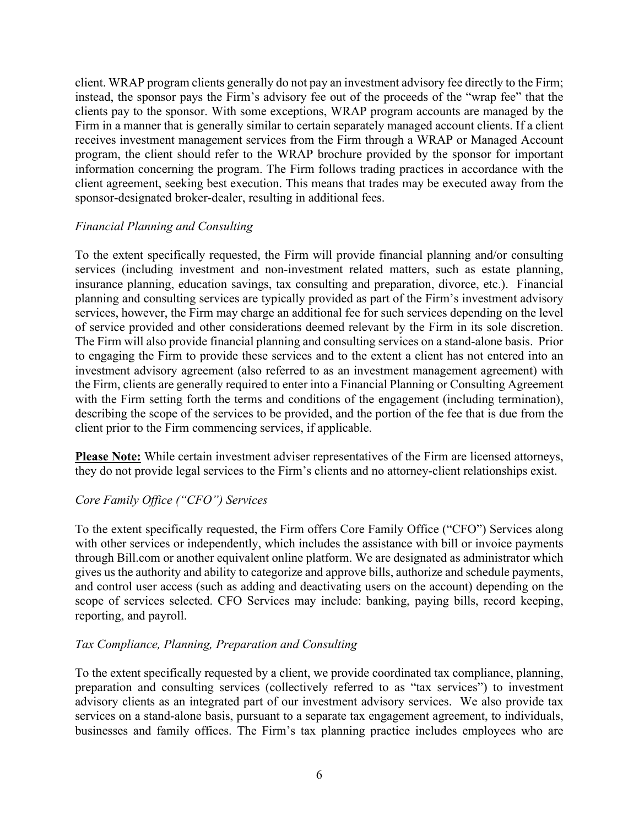client. WRAP program clients generally do not pay an investment advisory fee directly to the Firm; instead, the sponsor pays the Firm's advisory fee out of the proceeds of the "wrap fee" that the clients pay to the sponsor. With some exceptions, WRAP program accounts are managed by the Firm in a manner that is generally similar to certain separately managed account clients. If a client receives investment management services from the Firm through a WRAP or Managed Account program, the client should refer to the WRAP brochure provided by the sponsor for important information concerning the program. The Firm follows trading practices in accordance with the client agreement, seeking best execution. This means that trades may be executed away from the sponsor-designated broker-dealer, resulting in additional fees.

# *Financial Planning and Consulting*

To the extent specifically requested, the Firm will provide financial planning and/or consulting services (including investment and non-investment related matters, such as estate planning, insurance planning, education savings, tax consulting and preparation, divorce, etc.). Financial planning and consulting services are typically provided as part of the Firm's investment advisory services, however, the Firm may charge an additional fee for such services depending on the level of service provided and other considerations deemed relevant by the Firm in its sole discretion. The Firm will also provide financial planning and consulting services on a stand-alone basis. Prior to engaging the Firm to provide these services and to the extent a client has not entered into an investment advisory agreement (also referred to as an investment management agreement) with the Firm, clients are generally required to enter into a Financial Planning or Consulting Agreement with the Firm setting forth the terms and conditions of the engagement (including termination), describing the scope of the services to be provided, and the portion of the fee that is due from the client prior to the Firm commencing services, if applicable.

**Please Note:** While certain investment adviser representatives of the Firm are licensed attorneys, they do not provide legal services to the Firm's clients and no attorney-client relationships exist.

# *Core Family Office ("CFO") Services*

To the extent specifically requested, the Firm offers Core Family Office ("CFO") Services along with other services or independently, which includes the assistance with bill or invoice payments through Bill.com or another equivalent online platform. We are designated as administrator which gives us the authority and ability to categorize and approve bills, authorize and schedule payments, and control user access (such as adding and deactivating users on the account) depending on the scope of services selected. CFO Services may include: banking, paying bills, record keeping, reporting, and payroll.

# *Tax Compliance, Planning, Preparation and Consulting*

To the extent specifically requested by a client, we provide coordinated tax compliance, planning, preparation and consulting services (collectively referred to as "tax services") to investment advisory clients as an integrated part of our investment advisory services. We also provide tax services on a stand-alone basis, pursuant to a separate tax engagement agreement, to individuals, businesses and family offices. The Firm's tax planning practice includes employees who are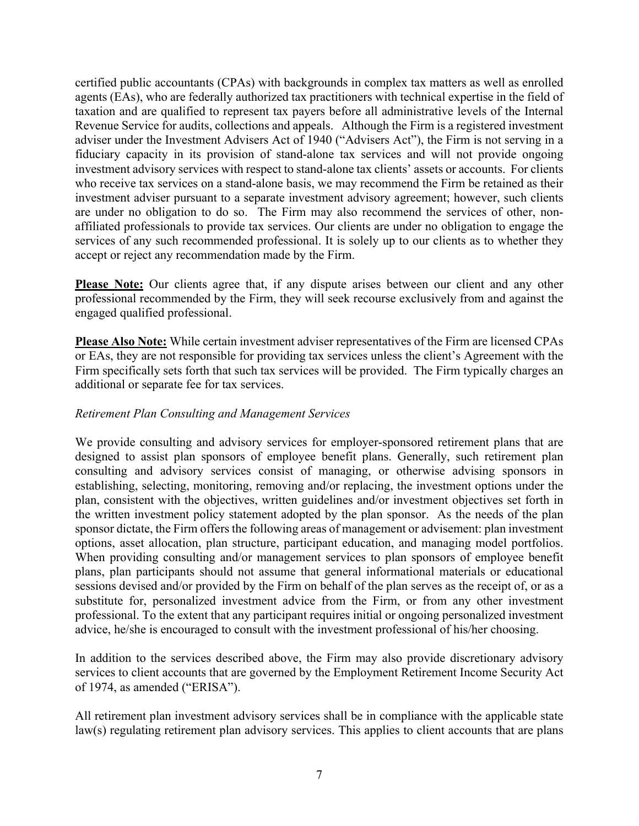certified public accountants (CPAs) with backgrounds in complex tax matters as well as enrolled agents (EAs), who are federally authorized tax practitioners with technical expertise in the field of taxation and are qualified to represent tax payers before all administrative levels of the Internal Revenue Service for audits, collections and appeals. Although the Firm is a registered investment adviser under the Investment Advisers Act of 1940 ("Advisers Act"), the Firm is not serving in a fiduciary capacity in its provision of stand-alone tax services and will not provide ongoing investment advisory services with respect to stand-alone tax clients' assets or accounts. For clients who receive tax services on a stand-alone basis, we may recommend the Firm be retained as their investment adviser pursuant to a separate investment advisory agreement; however, such clients are under no obligation to do so. The Firm may also recommend the services of other, nonaffiliated professionals to provide tax services. Our clients are under no obligation to engage the services of any such recommended professional. It is solely up to our clients as to whether they accept or reject any recommendation made by the Firm.

**Please Note:** Our clients agree that, if any dispute arises between our client and any other professional recommended by the Firm, they will seek recourse exclusively from and against the engaged qualified professional.

**Please Also Note:** While certain investment adviser representatives of the Firm are licensed CPAs or EAs, they are not responsible for providing tax services unless the client's Agreement with the Firm specifically sets forth that such tax services will be provided. The Firm typically charges an additional or separate fee for tax services.

# *Retirement Plan Consulting and Management Services*

We provide consulting and advisory services for employer-sponsored retirement plans that are designed to assist plan sponsors of employee benefit plans. Generally, such retirement plan consulting and advisory services consist of managing, or otherwise advising sponsors in establishing, selecting, monitoring, removing and/or replacing, the investment options under the plan, consistent with the objectives, written guidelines and/or investment objectives set forth in the written investment policy statement adopted by the plan sponsor. As the needs of the plan sponsor dictate, the Firm offers the following areas of management or advisement: plan investment options, asset allocation, plan structure, participant education, and managing model portfolios. When providing consulting and/or management services to plan sponsors of employee benefit plans, plan participants should not assume that general informational materials or educational sessions devised and/or provided by the Firm on behalf of the plan serves as the receipt of, or as a substitute for, personalized investment advice from the Firm, or from any other investment professional. To the extent that any participant requires initial or ongoing personalized investment advice, he/she is encouraged to consult with the investment professional of his/her choosing.

In addition to the services described above, the Firm may also provide discretionary advisory services to client accounts that are governed by the Employment Retirement Income Security Act of 1974, as amended ("ERISA").

All retirement plan investment advisory services shall be in compliance with the applicable state law(s) regulating retirement plan advisory services. This applies to client accounts that are plans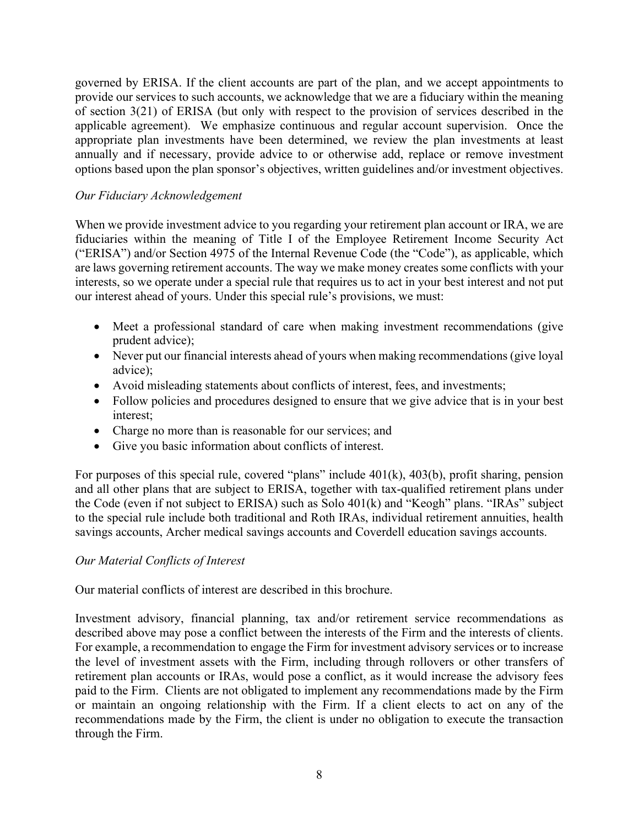governed by ERISA. If the client accounts are part of the plan, and we accept appointments to provide our services to such accounts, we acknowledge that we are a fiduciary within the meaning of section 3(21) of ERISA (but only with respect to the provision of services described in the applicable agreement). We emphasize continuous and regular account supervision. Once the appropriate plan investments have been determined, we review the plan investments at least annually and if necessary, provide advice to or otherwise add, replace or remove investment options based upon the plan sponsor's objectives, written guidelines and/or investment objectives.

# *Our Fiduciary Acknowledgement*

When we provide investment advice to you regarding your retirement plan account or IRA, we are fiduciaries within the meaning of Title I of the Employee Retirement Income Security Act ("ERISA") and/or Section 4975 of the Internal Revenue Code (the "Code"), as applicable, which are laws governing retirement accounts. The way we make money creates some conflicts with your interests, so we operate under a special rule that requires us to act in your best interest and not put our interest ahead of yours. Under this special rule's provisions, we must:

- Meet a professional standard of care when making investment recommendations (give prudent advice);
- Never put our financial interests ahead of yours when making recommendations (give loyal advice);
- Avoid misleading statements about conflicts of interest, fees, and investments;
- Follow policies and procedures designed to ensure that we give advice that is in your best interest;
- Charge no more than is reasonable for our services; and
- Give you basic information about conflicts of interest.

For purposes of this special rule, covered "plans" include 401(k), 403(b), profit sharing, pension and all other plans that are subject to ERISA, together with tax-qualified retirement plans under the Code (even if not subject to ERISA) such as Solo 401(k) and "Keogh" plans. "IRAs" subject to the special rule include both traditional and Roth IRAs, individual retirement annuities, health savings accounts, Archer medical savings accounts and Coverdell education savings accounts.

# *Our Material Conflicts of Interest*

Our material conflicts of interest are described in this brochure.

Investment advisory, financial planning, tax and/or retirement service recommendations as described above may pose a conflict between the interests of the Firm and the interests of clients. For example, a recommendation to engage the Firm for investment advisory services or to increase the level of investment assets with the Firm, including through rollovers or other transfers of retirement plan accounts or IRAs, would pose a conflict, as it would increase the advisory fees paid to the Firm. Clients are not obligated to implement any recommendations made by the Firm or maintain an ongoing relationship with the Firm. If a client elects to act on any of the recommendations made by the Firm, the client is under no obligation to execute the transaction through the Firm.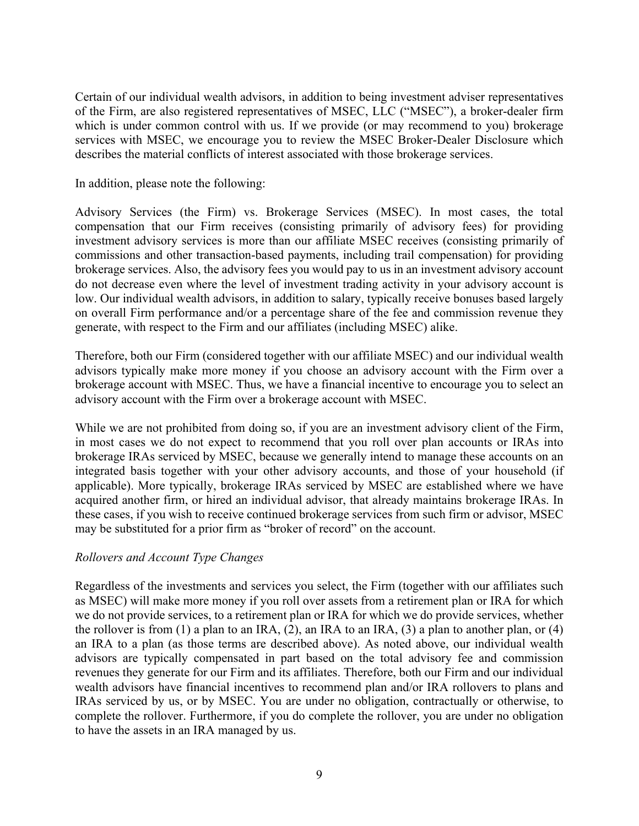Certain of our individual wealth advisors, in addition to being investment adviser representatives of the Firm, are also registered representatives of MSEC, LLC ("MSEC"), a broker-dealer firm which is under common control with us. If we provide (or may recommend to you) brokerage services with MSEC, we encourage you to review the MSEC Broker-Dealer Disclosure which describes the material conflicts of interest associated with those brokerage services.

In addition, please note the following:

Advisory Services (the Firm) vs. Brokerage Services (MSEC). In most cases, the total compensation that our Firm receives (consisting primarily of advisory fees) for providing investment advisory services is more than our affiliate MSEC receives (consisting primarily of commissions and other transaction-based payments, including trail compensation) for providing brokerage services. Also, the advisory fees you would pay to us in an investment advisory account do not decrease even where the level of investment trading activity in your advisory account is low. Our individual wealth advisors, in addition to salary, typically receive bonuses based largely on overall Firm performance and/or a percentage share of the fee and commission revenue they generate, with respect to the Firm and our affiliates (including MSEC) alike.

Therefore, both our Firm (considered together with our affiliate MSEC) and our individual wealth advisors typically make more money if you choose an advisory account with the Firm over a brokerage account with MSEC. Thus, we have a financial incentive to encourage you to select an advisory account with the Firm over a brokerage account with MSEC.

While we are not prohibited from doing so, if you are an investment advisory client of the Firm, in most cases we do not expect to recommend that you roll over plan accounts or IRAs into brokerage IRAs serviced by MSEC, because we generally intend to manage these accounts on an integrated basis together with your other advisory accounts, and those of your household (if applicable). More typically, brokerage IRAs serviced by MSEC are established where we have acquired another firm, or hired an individual advisor, that already maintains brokerage IRAs. In these cases, if you wish to receive continued brokerage services from such firm or advisor, MSEC may be substituted for a prior firm as "broker of record" on the account.

#### *Rollovers and Account Type Changes*

Regardless of the investments and services you select, the Firm (together with our affiliates such as MSEC) will make more money if you roll over assets from a retirement plan or IRA for which we do not provide services, to a retirement plan or IRA for which we do provide services, whether the rollover is from (1) a plan to an IRA, (2), an IRA to an IRA, (3) a plan to another plan, or (4) an IRA to a plan (as those terms are described above). As noted above, our individual wealth advisors are typically compensated in part based on the total advisory fee and commission revenues they generate for our Firm and its affiliates. Therefore, both our Firm and our individual wealth advisors have financial incentives to recommend plan and/or IRA rollovers to plans and IRAs serviced by us, or by MSEC. You are under no obligation, contractually or otherwise, to complete the rollover. Furthermore, if you do complete the rollover, you are under no obligation to have the assets in an IRA managed by us.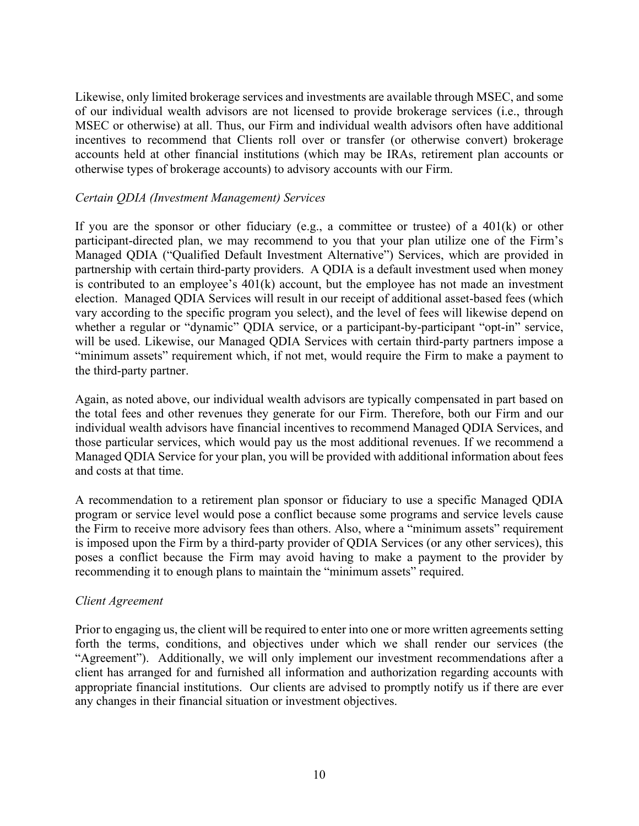Likewise, only limited brokerage services and investments are available through MSEC, and some of our individual wealth advisors are not licensed to provide brokerage services (i.e., through MSEC or otherwise) at all. Thus, our Firm and individual wealth advisors often have additional incentives to recommend that Clients roll over or transfer (or otherwise convert) brokerage accounts held at other financial institutions (which may be IRAs, retirement plan accounts or otherwise types of brokerage accounts) to advisory accounts with our Firm.

#### *Certain QDIA (Investment Management) Services*

If you are the sponsor or other fiduciary (e.g., a committee or trustee) of a  $401(k)$  or other participant-directed plan, we may recommend to you that your plan utilize one of the Firm's Managed QDIA ("Qualified Default Investment Alternative") Services, which are provided in partnership with certain third-party providers. A QDIA is a default investment used when money is contributed to an employee's 401(k) account, but the employee has not made an investment election. Managed QDIA Services will result in our receipt of additional asset-based fees (which vary according to the specific program you select), and the level of fees will likewise depend on whether a regular or "dynamic" QDIA service, or a participant-by-participant "opt-in" service, will be used. Likewise, our Managed QDIA Services with certain third-party partners impose a "minimum assets" requirement which, if not met, would require the Firm to make a payment to the third-party partner.

Again, as noted above, our individual wealth advisors are typically compensated in part based on the total fees and other revenues they generate for our Firm. Therefore, both our Firm and our individual wealth advisors have financial incentives to recommend Managed QDIA Services, and those particular services, which would pay us the most additional revenues. If we recommend a Managed QDIA Service for your plan, you will be provided with additional information about fees and costs at that time.

A recommendation to a retirement plan sponsor or fiduciary to use a specific Managed QDIA program or service level would pose a conflict because some programs and service levels cause the Firm to receive more advisory fees than others. Also, where a "minimum assets" requirement is imposed upon the Firm by a third-party provider of QDIA Services (or any other services), this poses a conflict because the Firm may avoid having to make a payment to the provider by recommending it to enough plans to maintain the "minimum assets" required.

#### *Client Agreement*

Prior to engaging us, the client will be required to enter into one or more written agreements setting forth the terms, conditions, and objectives under which we shall render our services (the "Agreement"). Additionally, we will only implement our investment recommendations after a client has arranged for and furnished all information and authorization regarding accounts with appropriate financial institutions. Our clients are advised to promptly notify us if there are ever any changes in their financial situation or investment objectives.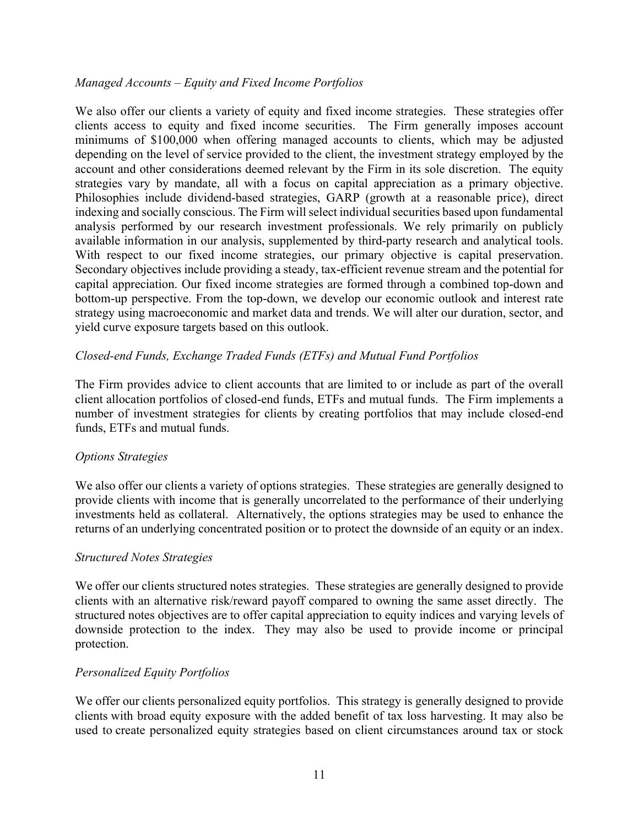#### *Managed Accounts – Equity and Fixed Income Portfolios*

We also offer our clients a variety of equity and fixed income strategies. These strategies offer clients access to equity and fixed income securities. The Firm generally imposes account minimums of \$100,000 when offering managed accounts to clients, which may be adjusted depending on the level of service provided to the client, the investment strategy employed by the account and other considerations deemed relevant by the Firm in its sole discretion. The equity strategies vary by mandate, all with a focus on capital appreciation as a primary objective. Philosophies include dividend-based strategies, GARP (growth at a reasonable price), direct indexing and socially conscious. The Firm will select individual securities based upon fundamental analysis performed by our research investment professionals. We rely primarily on publicly available information in our analysis, supplemented by third-party research and analytical tools. With respect to our fixed income strategies, our primary objective is capital preservation. Secondary objectives include providing a steady, tax-efficient revenue stream and the potential for capital appreciation. Our fixed income strategies are formed through a combined top-down and bottom-up perspective. From the top-down, we develop our economic outlook and interest rate strategy using macroeconomic and market data and trends. We will alter our duration, sector, and yield curve exposure targets based on this outlook.

# *Closed-end Funds, Exchange Traded Funds (ETFs) and Mutual Fund Portfolios*

The Firm provides advice to client accounts that are limited to or include as part of the overall client allocation portfolios of closed-end funds, ETFs and mutual funds. The Firm implements a number of investment strategies for clients by creating portfolios that may include closed-end funds, ETFs and mutual funds.

#### *Options Strategies*

We also offer our clients a variety of options strategies. These strategies are generally designed to provide clients with income that is generally uncorrelated to the performance of their underlying investments held as collateral. Alternatively, the options strategies may be used to enhance the returns of an underlying concentrated position or to protect the downside of an equity or an index.

#### *Structured Notes Strategies*

We offer our clients structured notes strategies. These strategies are generally designed to provide clients with an alternative risk/reward payoff compared to owning the same asset directly. The structured notes objectives are to offer capital appreciation to equity indices and varying levels of downside protection to the index. They may also be used to provide income or principal protection.

#### *Personalized Equity Portfolios*

We offer our clients personalized equity portfolios. This strategy is generally designed to provide clients with broad equity exposure with the added benefit of tax loss harvesting. It may also be used to create personalized equity strategies based on client circumstances around tax or stock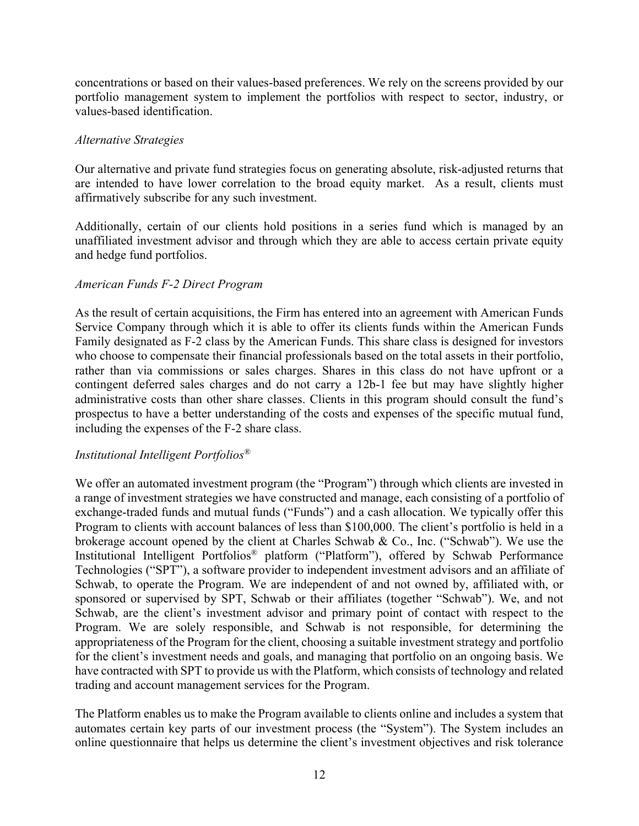concentrations or based on their values-based preferences. We rely on the screens provided by our portfolio management system to implement the portfolios with respect to sector, industry, or values-based identification.

# *Alternative Strategies*

Our alternative and private fund strategies focus on generating absolute, risk-adjusted returns that are intended to have lower correlation to the broad equity market. As a result, clients must affirmatively subscribe for any such investment.

Additionally, certain of our clients hold positions in a series fund which is managed by an unaffiliated investment advisor and through which they are able to access certain private equity and hedge fund portfolios.

# *American Funds F-2 Direct Program*

As the result of certain acquisitions, the Firm has entered into an agreement with American Funds Service Company through which it is able to offer its clients funds within the American Funds Family designated as F-2 class by the American Funds. This share class is designed for investors who choose to compensate their financial professionals based on the total assets in their portfolio, rather than via commissions or sales charges. Shares in this class do not have upfront or a contingent deferred sales charges and do not carry a 12b-1 fee but may have slightly higher administrative costs than other share classes. Clients in this program should consult the fund's prospectus to have a better understanding of the costs and expenses of the specific mutual fund, including the expenses of the F-2 share class.

# *Institutional Intelligent Portfolios®*

We offer an automated investment program (the "Program") through which clients are invested in a range of investment strategies we have constructed and manage, each consisting of a portfolio of exchange-traded funds and mutual funds ("Funds") and a cash allocation. We typically offer this Program to clients with account balances of less than \$100,000. The client's portfolio is held in a brokerage account opened by the client at Charles Schwab & Co., Inc. ("Schwab"). We use the Institutional Intelligent Portfolios® platform ("Platform"), offered by Schwab Performance Technologies ("SPT"), a software provider to independent investment advisors and an affiliate of Schwab, to operate the Program. We are independent of and not owned by, affiliated with, or sponsored or supervised by SPT, Schwab or their affiliates (together "Schwab"). We, and not Schwab, are the client's investment advisor and primary point of contact with respect to the Program. We are solely responsible, and Schwab is not responsible, for determining the appropriateness of the Program for the client, choosing a suitable investment strategy and portfolio for the client's investment needs and goals, and managing that portfolio on an ongoing basis. We have contracted with SPT to provide us with the Platform, which consists of technology and related trading and account management services for the Program.

The Platform enables us to make the Program available to clients online and includes a system that automates certain key parts of our investment process (the "System"). The System includes an online questionnaire that helps us determine the client's investment objectives and risk tolerance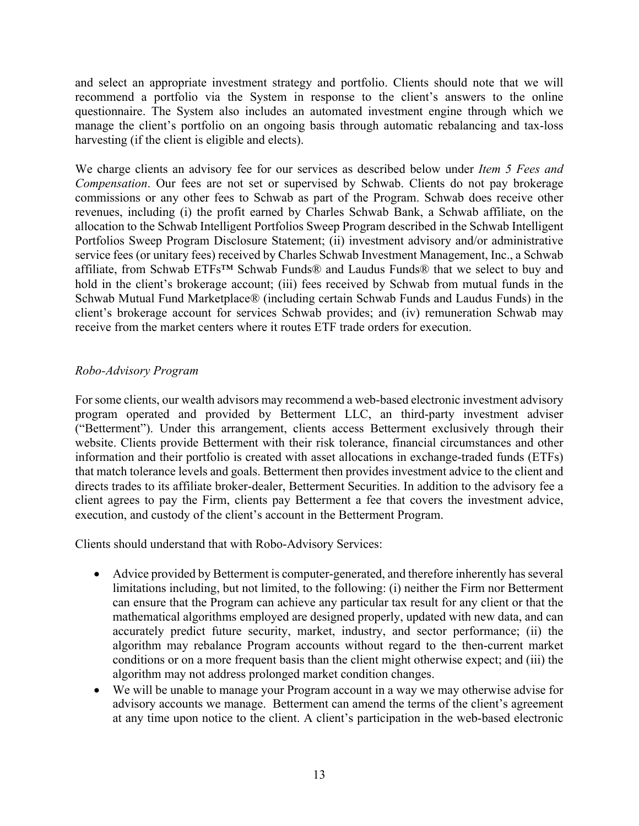and select an appropriate investment strategy and portfolio. Clients should note that we will recommend a portfolio via the System in response to the client's answers to the online questionnaire. The System also includes an automated investment engine through which we manage the client's portfolio on an ongoing basis through automatic rebalancing and tax-loss harvesting (if the client is eligible and elects).

We charge clients an advisory fee for our services as described below under *Item 5 Fees and Compensation*. Our fees are not set or supervised by Schwab. Clients do not pay brokerage commissions or any other fees to Schwab as part of the Program. Schwab does receive other revenues, including (i) the profit earned by Charles Schwab Bank, a Schwab affiliate, on the allocation to the Schwab Intelligent Portfolios Sweep Program described in the Schwab Intelligent Portfolios Sweep Program Disclosure Statement; (ii) investment advisory and/or administrative service fees (or unitary fees) received by Charles Schwab Investment Management, Inc., a Schwab affiliate, from Schwab ETFs™ Schwab Funds® and Laudus Funds® that we select to buy and hold in the client's brokerage account; (iii) fees received by Schwab from mutual funds in the Schwab Mutual Fund Marketplace® (including certain Schwab Funds and Laudus Funds) in the client's brokerage account for services Schwab provides; and (iv) remuneration Schwab may receive from the market centers where it routes ETF trade orders for execution.

# *Robo-Advisory Program*

For some clients, our wealth advisors may recommend a web-based electronic investment advisory program operated and provided by Betterment LLC, an third-party investment adviser ("Betterment"). Under this arrangement, clients access Betterment exclusively through their website. Clients provide Betterment with their risk tolerance, financial circumstances and other information and their portfolio is created with asset allocations in exchange-traded funds (ETFs) that match tolerance levels and goals. Betterment then provides investment advice to the client and directs trades to its affiliate broker-dealer, Betterment Securities. In addition to the advisory fee a client agrees to pay the Firm, clients pay Betterment a fee that covers the investment advice, execution, and custody of the client's account in the Betterment Program.

Clients should understand that with Robo-Advisory Services:

- Advice provided by Betterment is computer-generated, and therefore inherently has several limitations including, but not limited, to the following: (i) neither the Firm nor Betterment can ensure that the Program can achieve any particular tax result for any client or that the mathematical algorithms employed are designed properly, updated with new data, and can accurately predict future security, market, industry, and sector performance; (ii) the algorithm may rebalance Program accounts without regard to the then-current market conditions or on a more frequent basis than the client might otherwise expect; and (iii) the algorithm may not address prolonged market condition changes.
- We will be unable to manage your Program account in a way we may otherwise advise for advisory accounts we manage. Betterment can amend the terms of the client's agreement at any time upon notice to the client. A client's participation in the web-based electronic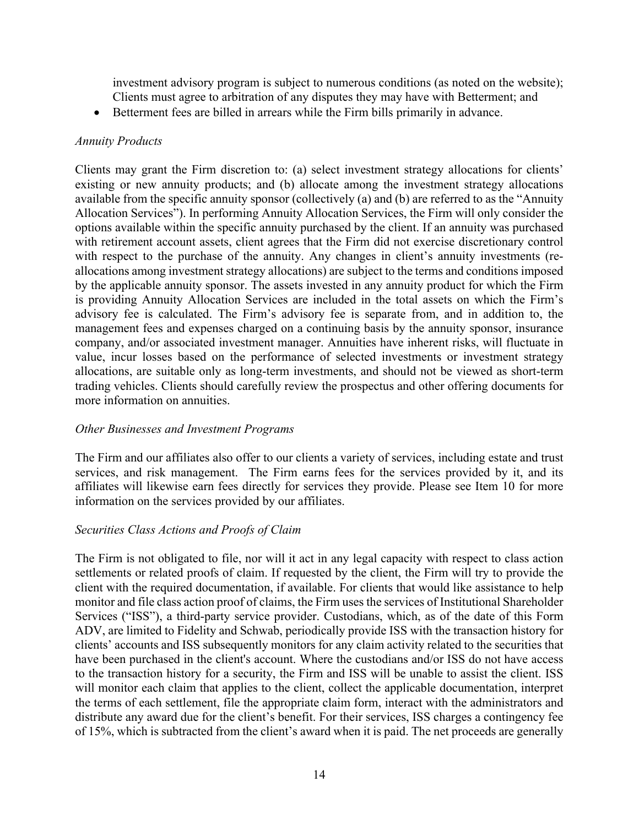investment advisory program is subject to numerous conditions (as noted on the website); Clients must agree to arbitration of any disputes they may have with Betterment; and

• Betterment fees are billed in arrears while the Firm bills primarily in advance.

#### *Annuity Products*

Clients may grant the Firm discretion to: (a) select investment strategy allocations for clients' existing or new annuity products; and (b) allocate among the investment strategy allocations available from the specific annuity sponsor (collectively (a) and (b) are referred to as the "Annuity Allocation Services"). In performing Annuity Allocation Services, the Firm will only consider the options available within the specific annuity purchased by the client. If an annuity was purchased with retirement account assets, client agrees that the Firm did not exercise discretionary control with respect to the purchase of the annuity. Any changes in client's annuity investments (reallocations among investment strategy allocations) are subject to the terms and conditions imposed by the applicable annuity sponsor. The assets invested in any annuity product for which the Firm is providing Annuity Allocation Services are included in the total assets on which the Firm's advisory fee is calculated. The Firm's advisory fee is separate from, and in addition to, the management fees and expenses charged on a continuing basis by the annuity sponsor, insurance company, and/or associated investment manager. Annuities have inherent risks, will fluctuate in value, incur losses based on the performance of selected investments or investment strategy allocations, are suitable only as long-term investments, and should not be viewed as short-term trading vehicles. Clients should carefully review the prospectus and other offering documents for more information on annuities.

# *Other Businesses and Investment Programs*

The Firm and our affiliates also offer to our clients a variety of services, including estate and trust services, and risk management. The Firm earns fees for the services provided by it, and its affiliates will likewise earn fees directly for services they provide. Please see Item 10 for more information on the services provided by our affiliates.

# *Securities Class Actions and Proofs of Claim*

The Firm is not obligated to file, nor will it act in any legal capacity with respect to class action settlements or related proofs of claim. If requested by the client, the Firm will try to provide the client with the required documentation, if available. For clients that would like assistance to help monitor and file class action proof of claims, the Firm uses the services of Institutional Shareholder Services ("ISS"), a third-party service provider. Custodians, which, as of the date of this Form ADV, are limited to Fidelity and Schwab, periodically provide ISS with the transaction history for clients' accounts and ISS subsequently monitors for any claim activity related to the securities that have been purchased in the client's account. Where the custodians and/or ISS do not have access to the transaction history for a security, the Firm and ISS will be unable to assist the client. ISS will monitor each claim that applies to the client, collect the applicable documentation, interpret the terms of each settlement, file the appropriate claim form, interact with the administrators and distribute any award due for the client's benefit. For their services, ISS charges a contingency fee of 15%, which is subtracted from the client's award when it is paid. The net proceeds are generally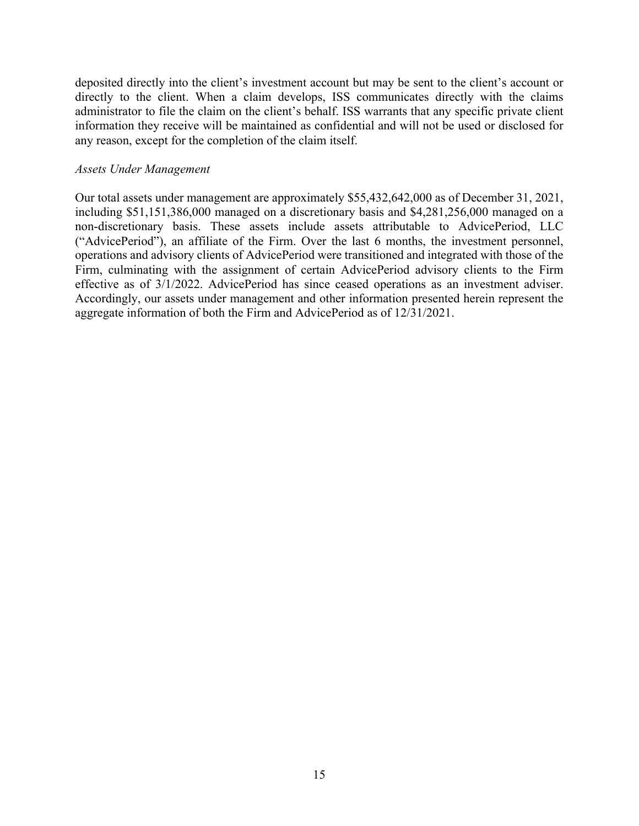deposited directly into the client's investment account but may be sent to the client's account or directly to the client. When a claim develops, ISS communicates directly with the claims administrator to file the claim on the client's behalf. ISS warrants that any specific private client information they receive will be maintained as confidential and will not be used or disclosed for any reason, except for the completion of the claim itself.

#### *Assets Under Management*

Our total assets under management are approximately \$55,432,642,000 as of December 31, 2021, including \$51,151,386,000 managed on a discretionary basis and \$4,281,256,000 managed on a non-discretionary basis. These assets include assets attributable to AdvicePeriod, LLC ("AdvicePeriod"), an affiliate of the Firm. Over the last 6 months, the investment personnel, operations and advisory clients of AdvicePeriod were transitioned and integrated with those of the Firm, culminating with the assignment of certain AdvicePeriod advisory clients to the Firm effective as of 3/1/2022. AdvicePeriod has since ceased operations as an investment adviser. Accordingly, our assets under management and other information presented herein represent the aggregate information of both the Firm and AdvicePeriod as of 12/31/2021.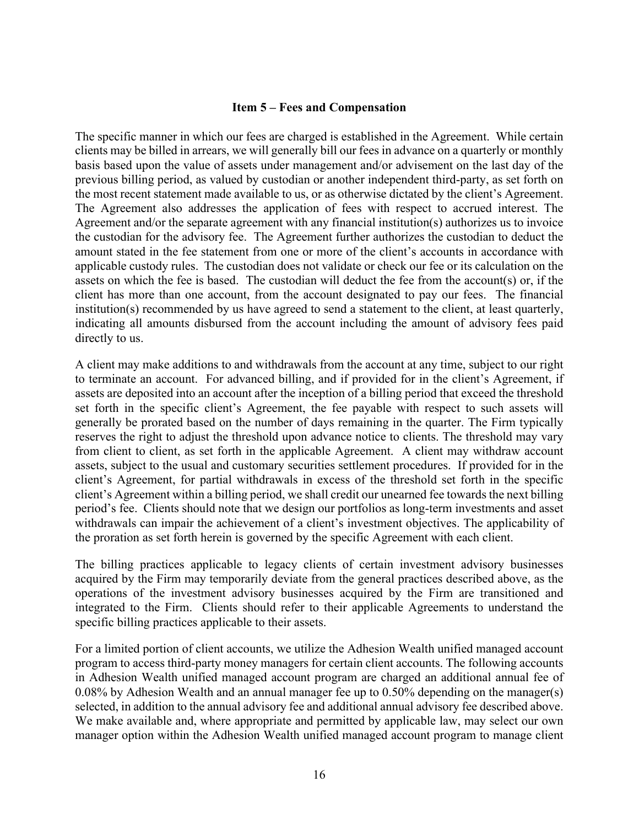#### **Item 5 – Fees and Compensation**

The specific manner in which our fees are charged is established in the Agreement. While certain clients may be billed in arrears, we will generally bill our fees in advance on a quarterly or monthly basis based upon the value of assets under management and/or advisement on the last day of the previous billing period, as valued by custodian or another independent third-party, as set forth on the most recent statement made available to us, or as otherwise dictated by the client's Agreement. The Agreement also addresses the application of fees with respect to accrued interest. The Agreement and/or the separate agreement with any financial institution(s) authorizes us to invoice the custodian for the advisory fee. The Agreement further authorizes the custodian to deduct the amount stated in the fee statement from one or more of the client's accounts in accordance with applicable custody rules. The custodian does not validate or check our fee or its calculation on the assets on which the fee is based. The custodian will deduct the fee from the account(s) or, if the client has more than one account, from the account designated to pay our fees. The financial institution(s) recommended by us have agreed to send a statement to the client, at least quarterly, indicating all amounts disbursed from the account including the amount of advisory fees paid directly to us.

A client may make additions to and withdrawals from the account at any time, subject to our right to terminate an account. For advanced billing, and if provided for in the client's Agreement, if assets are deposited into an account after the inception of a billing period that exceed the threshold set forth in the specific client's Agreement, the fee payable with respect to such assets will generally be prorated based on the number of days remaining in the quarter. The Firm typically reserves the right to adjust the threshold upon advance notice to clients. The threshold may vary from client to client, as set forth in the applicable Agreement. A client may withdraw account assets, subject to the usual and customary securities settlement procedures. If provided for in the client's Agreement, for partial withdrawals in excess of the threshold set forth in the specific client's Agreement within a billing period, we shall credit our unearned fee towards the next billing period's fee. Clients should note that we design our portfolios as long-term investments and asset withdrawals can impair the achievement of a client's investment objectives. The applicability of the proration as set forth herein is governed by the specific Agreement with each client.

The billing practices applicable to legacy clients of certain investment advisory businesses acquired by the Firm may temporarily deviate from the general practices described above, as the operations of the investment advisory businesses acquired by the Firm are transitioned and integrated to the Firm. Clients should refer to their applicable Agreements to understand the specific billing practices applicable to their assets.

For a limited portion of client accounts, we utilize the Adhesion Wealth unified managed account program to access third-party money managers for certain client accounts. The following accounts in Adhesion Wealth unified managed account program are charged an additional annual fee of 0.08% by Adhesion Wealth and an annual manager fee up to 0.50% depending on the manager(s) selected, in addition to the annual advisory fee and additional annual advisory fee described above. We make available and, where appropriate and permitted by applicable law, may select our own manager option within the Adhesion Wealth unified managed account program to manage client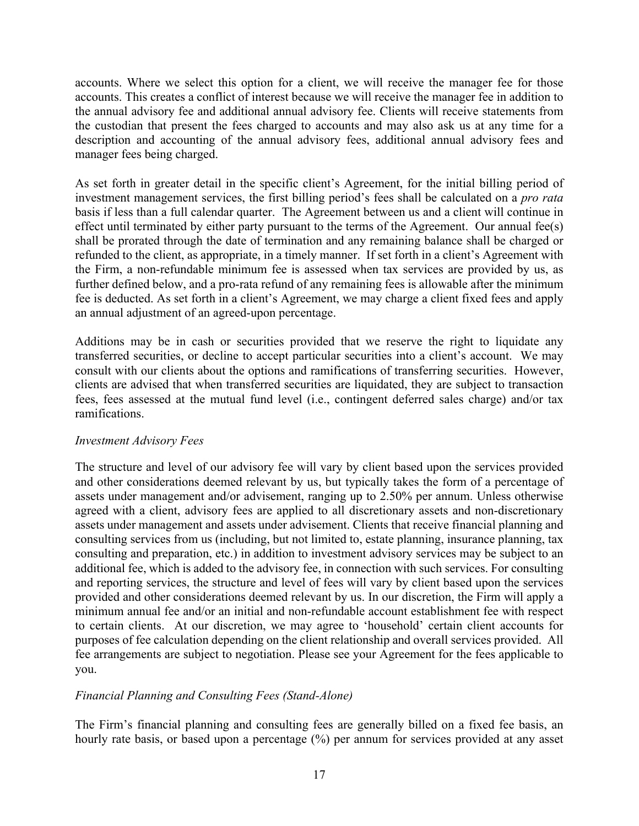accounts. Where we select this option for a client, we will receive the manager fee for those accounts. This creates a conflict of interest because we will receive the manager fee in addition to the annual advisory fee and additional annual advisory fee. Clients will receive statements from the custodian that present the fees charged to accounts and may also ask us at any time for a description and accounting of the annual advisory fees, additional annual advisory fees and manager fees being charged.

As set forth in greater detail in the specific client's Agreement, for the initial billing period of investment management services, the first billing period's fees shall be calculated on a *pro rata*  basis if less than a full calendar quarter. The Agreement between us and a client will continue in effect until terminated by either party pursuant to the terms of the Agreement. Our annual fee(s) shall be prorated through the date of termination and any remaining balance shall be charged or refunded to the client, as appropriate, in a timely manner. If set forth in a client's Agreement with the Firm, a non-refundable minimum fee is assessed when tax services are provided by us, as further defined below, and a pro-rata refund of any remaining fees is allowable after the minimum fee is deducted. As set forth in a client's Agreement, we may charge a client fixed fees and apply an annual adjustment of an agreed-upon percentage.

Additions may be in cash or securities provided that we reserve the right to liquidate any transferred securities, or decline to accept particular securities into a client's account. We may consult with our clients about the options and ramifications of transferring securities. However, clients are advised that when transferred securities are liquidated, they are subject to transaction fees, fees assessed at the mutual fund level (i.e., contingent deferred sales charge) and/or tax ramifications.

# *Investment Advisory Fees*

The structure and level of our advisory fee will vary by client based upon the services provided and other considerations deemed relevant by us, but typically takes the form of a percentage of assets under management and/or advisement, ranging up to 2.50% per annum. Unless otherwise agreed with a client, advisory fees are applied to all discretionary assets and non-discretionary assets under management and assets under advisement. Clients that receive financial planning and consulting services from us (including, but not limited to, estate planning, insurance planning, tax consulting and preparation, etc.) in addition to investment advisory services may be subject to an additional fee, which is added to the advisory fee, in connection with such services. For consulting and reporting services, the structure and level of fees will vary by client based upon the services provided and other considerations deemed relevant by us. In our discretion, the Firm will apply a minimum annual fee and/or an initial and non-refundable account establishment fee with respect to certain clients. At our discretion, we may agree to 'household' certain client accounts for purposes of fee calculation depending on the client relationship and overall services provided. All fee arrangements are subject to negotiation. Please see your Agreement for the fees applicable to you.

# *Financial Planning and Consulting Fees (Stand-Alone)*

The Firm's financial planning and consulting fees are generally billed on a fixed fee basis, an hourly rate basis, or based upon a percentage (%) per annum for services provided at any asset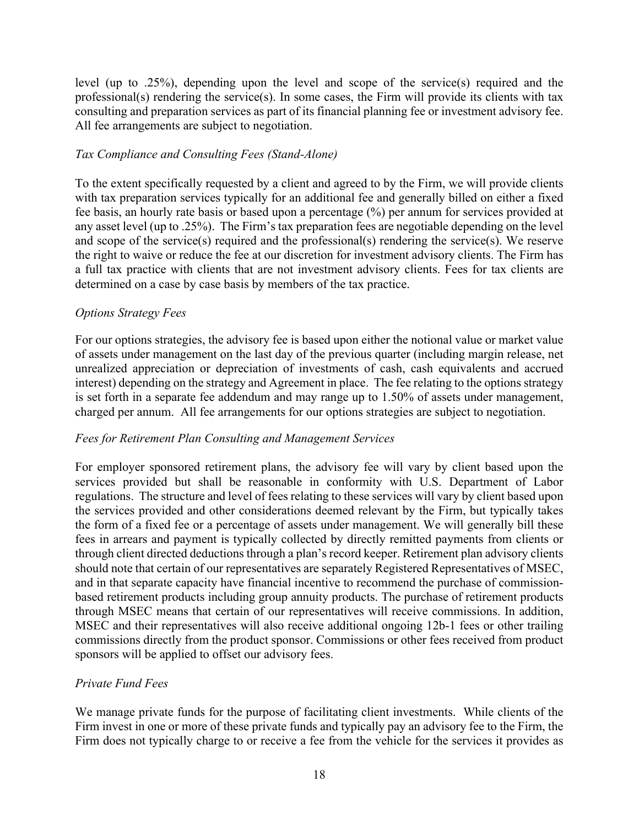level (up to .25%), depending upon the level and scope of the service(s) required and the professional(s) rendering the service(s). In some cases, the Firm will provide its clients with tax consulting and preparation services as part of its financial planning fee or investment advisory fee. All fee arrangements are subject to negotiation.

# *Tax Compliance and Consulting Fees (Stand-Alone)*

To the extent specifically requested by a client and agreed to by the Firm, we will provide clients with tax preparation services typically for an additional fee and generally billed on either a fixed fee basis, an hourly rate basis or based upon a percentage (%) per annum for services provided at any asset level (up to .25%). The Firm's tax preparation fees are negotiable depending on the level and scope of the service(s) required and the professional(s) rendering the service(s). We reserve the right to waive or reduce the fee at our discretion for investment advisory clients. The Firm has a full tax practice with clients that are not investment advisory clients. Fees for tax clients are determined on a case by case basis by members of the tax practice.

# *Options Strategy Fees*

For our options strategies, the advisory fee is based upon either the notional value or market value of assets under management on the last day of the previous quarter (including margin release, net unrealized appreciation or depreciation of investments of cash, cash equivalents and accrued interest) depending on the strategy and Agreement in place. The fee relating to the options strategy is set forth in a separate fee addendum and may range up to 1.50% of assets under management, charged per annum. All fee arrangements for our options strategies are subject to negotiation.

#### *Fees for Retirement Plan Consulting and Management Services*

For employer sponsored retirement plans, the advisory fee will vary by client based upon the services provided but shall be reasonable in conformity with U.S. Department of Labor regulations. The structure and level of fees relating to these services will vary by client based upon the services provided and other considerations deemed relevant by the Firm, but typically takes the form of a fixed fee or a percentage of assets under management. We will generally bill these fees in arrears and payment is typically collected by directly remitted payments from clients or through client directed deductions through a plan's record keeper. Retirement plan advisory clients should note that certain of our representatives are separately Registered Representatives of MSEC, and in that separate capacity have financial incentive to recommend the purchase of commissionbased retirement products including group annuity products. The purchase of retirement products through MSEC means that certain of our representatives will receive commissions. In addition, MSEC and their representatives will also receive additional ongoing 12b-1 fees or other trailing commissions directly from the product sponsor. Commissions or other fees received from product sponsors will be applied to offset our advisory fees.

# *Private Fund Fees*

We manage private funds for the purpose of facilitating client investments. While clients of the Firm invest in one or more of these private funds and typically pay an advisory fee to the Firm, the Firm does not typically charge to or receive a fee from the vehicle for the services it provides as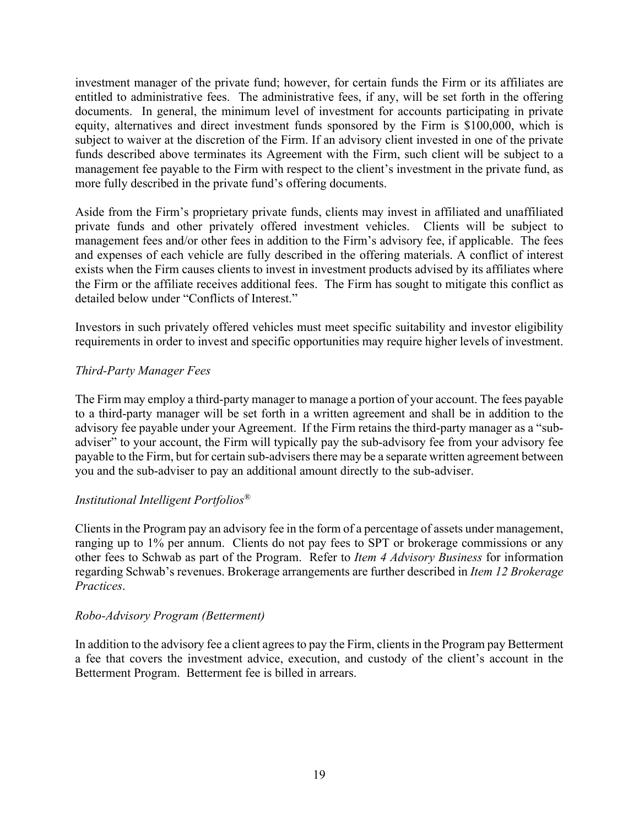investment manager of the private fund; however, for certain funds the Firm or its affiliates are entitled to administrative fees. The administrative fees, if any, will be set forth in the offering documents. In general, the minimum level of investment for accounts participating in private equity, alternatives and direct investment funds sponsored by the Firm is \$100,000, which is subject to waiver at the discretion of the Firm. If an advisory client invested in one of the private funds described above terminates its Agreement with the Firm, such client will be subject to a management fee payable to the Firm with respect to the client's investment in the private fund, as more fully described in the private fund's offering documents.

Aside from the Firm's proprietary private funds, clients may invest in affiliated and unaffiliated private funds and other privately offered investment vehicles. Clients will be subject to management fees and/or other fees in addition to the Firm's advisory fee, if applicable. The fees and expenses of each vehicle are fully described in the offering materials. A conflict of interest exists when the Firm causes clients to invest in investment products advised by its affiliates where the Firm or the affiliate receives additional fees. The Firm has sought to mitigate this conflict as detailed below under "Conflicts of Interest."

Investors in such privately offered vehicles must meet specific suitability and investor eligibility requirements in order to invest and specific opportunities may require higher levels of investment.

# *Third-Party Manager Fees*

The Firm may employ a third-party manager to manage a portion of your account. The fees payable to a third-party manager will be set forth in a written agreement and shall be in addition to the advisory fee payable under your Agreement. If the Firm retains the third-party manager as a "subadviser" to your account, the Firm will typically pay the sub-advisory fee from your advisory fee payable to the Firm, but for certain sub-advisers there may be a separate written agreement between you and the sub-adviser to pay an additional amount directly to the sub-adviser.

# *Institutional Intelligent Portfolios®*

Clients in the Program pay an advisory fee in the form of a percentage of assets under management, ranging up to 1% per annum. Clients do not pay fees to SPT or brokerage commissions or any other fees to Schwab as part of the Program. Refer to *Item 4 Advisory Business* for information regarding Schwab's revenues. Brokerage arrangements are further described in *Item 12 Brokerage Practices*.

# *Robo-Advisory Program (Betterment)*

In addition to the advisory fee a client agrees to pay the Firm, clients in the Program pay Betterment a fee that covers the investment advice, execution, and custody of the client's account in the Betterment Program. Betterment fee is billed in arrears.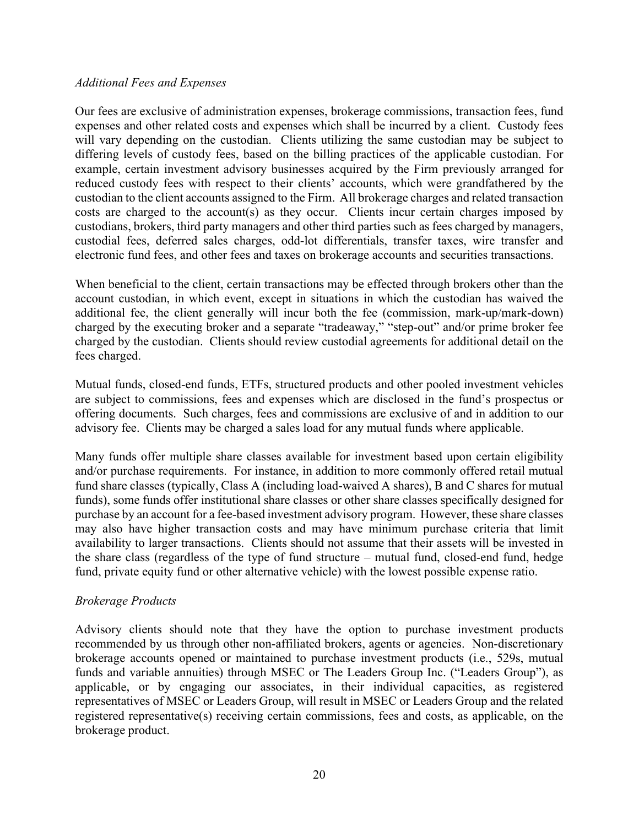#### *Additional Fees and Expenses*

Our fees are exclusive of administration expenses, brokerage commissions, transaction fees, fund expenses and other related costs and expenses which shall be incurred by a client. Custody fees will vary depending on the custodian. Clients utilizing the same custodian may be subject to differing levels of custody fees, based on the billing practices of the applicable custodian. For example, certain investment advisory businesses acquired by the Firm previously arranged for reduced custody fees with respect to their clients' accounts, which were grandfathered by the custodian to the client accounts assigned to the Firm. All brokerage charges and related transaction costs are charged to the account(s) as they occur. Clients incur certain charges imposed by custodians, brokers, third party managers and other third parties such as fees charged by managers, custodial fees, deferred sales charges, odd-lot differentials, transfer taxes, wire transfer and electronic fund fees, and other fees and taxes on brokerage accounts and securities transactions.

When beneficial to the client, certain transactions may be effected through brokers other than the account custodian, in which event, except in situations in which the custodian has waived the additional fee, the client generally will incur both the fee (commission, mark-up/mark-down) charged by the executing broker and a separate "tradeaway," "step-out" and/or prime broker fee charged by the custodian. Clients should review custodial agreements for additional detail on the fees charged.

Mutual funds, closed-end funds, ETFs, structured products and other pooled investment vehicles are subject to commissions, fees and expenses which are disclosed in the fund's prospectus or offering documents. Such charges, fees and commissions are exclusive of and in addition to our advisory fee. Clients may be charged a sales load for any mutual funds where applicable.

Many funds offer multiple share classes available for investment based upon certain eligibility and/or purchase requirements. For instance, in addition to more commonly offered retail mutual fund share classes (typically, Class A (including load-waived A shares), B and C shares for mutual funds), some funds offer institutional share classes or other share classes specifically designed for purchase by an account for a fee-based investment advisory program. However, these share classes may also have higher transaction costs and may have minimum purchase criteria that limit availability to larger transactions. Clients should not assume that their assets will be invested in the share class (regardless of the type of fund structure – mutual fund, closed-end fund, hedge fund, private equity fund or other alternative vehicle) with the lowest possible expense ratio.

#### *Brokerage Products*

Advisory clients should note that they have the option to purchase investment products recommended by us through other non-affiliated brokers, agents or agencies. Non-discretionary brokerage accounts opened or maintained to purchase investment products (i.e., 529s, mutual funds and variable annuities) through MSEC or The Leaders Group Inc. ("Leaders Group"), as applicable, or by engaging our associates, in their individual capacities, as registered representatives of MSEC or Leaders Group, will result in MSEC or Leaders Group and the related registered representative(s) receiving certain commissions, fees and costs, as applicable, on the brokerage product.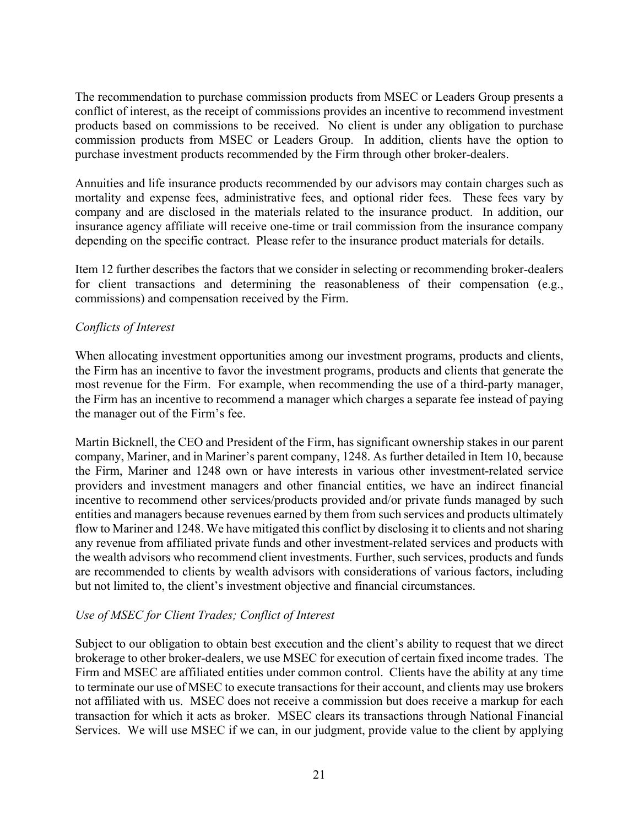The recommendation to purchase commission products from MSEC or Leaders Group presents a conflict of interest, as the receipt of commissions provides an incentive to recommend investment products based on commissions to be received. No client is under any obligation to purchase commission products from MSEC or Leaders Group. In addition, clients have the option to purchase investment products recommended by the Firm through other broker-dealers.

Annuities and life insurance products recommended by our advisors may contain charges such as mortality and expense fees, administrative fees, and optional rider fees. These fees vary by company and are disclosed in the materials related to the insurance product. In addition, our insurance agency affiliate will receive one-time or trail commission from the insurance company depending on the specific contract. Please refer to the insurance product materials for details.

Item 12 further describes the factors that we consider in selecting or recommending broker-dealers for client transactions and determining the reasonableness of their compensation (e.g., commissions) and compensation received by the Firm.

# *Conflicts of Interest*

When allocating investment opportunities among our investment programs, products and clients, the Firm has an incentive to favor the investment programs, products and clients that generate the most revenue for the Firm. For example, when recommending the use of a third-party manager, the Firm has an incentive to recommend a manager which charges a separate fee instead of paying the manager out of the Firm's fee.

Martin Bicknell, the CEO and President of the Firm, has significant ownership stakes in our parent company, Mariner, and in Mariner's parent company, 1248. As further detailed in Item 10, because the Firm, Mariner and 1248 own or have interests in various other investment-related service providers and investment managers and other financial entities, we have an indirect financial incentive to recommend other services/products provided and/or private funds managed by such entities and managers because revenues earned by them from such services and products ultimately flow to Mariner and 1248. We have mitigated this conflict by disclosing it to clients and not sharing any revenue from affiliated private funds and other investment-related services and products with the wealth advisors who recommend client investments. Further, such services, products and funds are recommended to clients by wealth advisors with considerations of various factors, including but not limited to, the client's investment objective and financial circumstances.

# *Use of MSEC for Client Trades; Conflict of Interest*

Subject to our obligation to obtain best execution and the client's ability to request that we direct brokerage to other broker-dealers, we use MSEC for execution of certain fixed income trades. The Firm and MSEC are affiliated entities under common control. Clients have the ability at any time to terminate our use of MSEC to execute transactions for their account, and clients may use brokers not affiliated with us. MSEC does not receive a commission but does receive a markup for each transaction for which it acts as broker. MSEC clears its transactions through National Financial Services. We will use MSEC if we can, in our judgment, provide value to the client by applying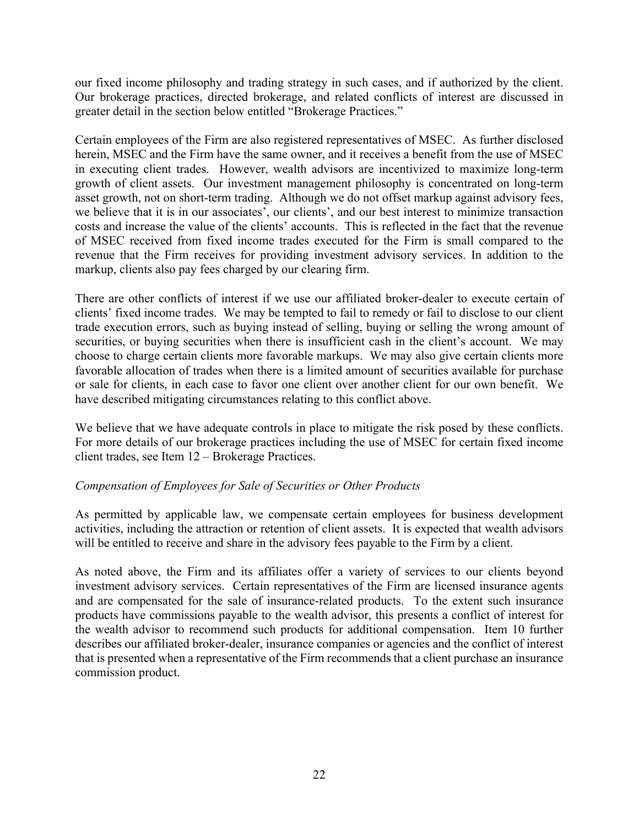our fixed income philosophy and trading strategy in such cases, and if authorized by the client. Our brokerage practices, directed brokerage, and related conflicts of interest are discussed in greater detail in the section below entitled "Brokerage Practices."

Certain employees of the Firm are also registered representatives of MSEC. As further disclosed herein, MSEC and the Firm have the same owner, and it receives a benefit from the use of MSEC in executing client trades. However, wealth advisors are incentivized to maximize long-term growth of client assets. Our investment management philosophy is concentrated on long-term asset growth, not on short-term trading. Although we do not offset markup against advisory fees, we believe that it is in our associates', our clients', and our best interest to minimize transaction costs and increase the value of the clients' accounts. This is reflected in the fact that the revenue of MSEC received from fixed income trades executed for the Firm is small compared to the revenue that the Firm receives for providing investment advisory services. In addition to the markup, clients also pay fees charged by our clearing firm.

There are other conflicts of interest if we use our affiliated broker-dealer to execute certain of clients' fixed income trades. We may be tempted to fail to remedy or fail to disclose to our client trade execution errors, such as buying instead of selling, buying or selling the wrong amount of securities, or buying securities when there is insufficient cash in the client's account. We may choose to charge certain clients more favorable markups. We may also give certain clients more favorable allocation of trades when there is a limited amount of securities available for purchase or sale for clients, in each case to favor one client over another client for our own benefit. We have described mitigating circumstances relating to this conflict above.

We believe that we have adequate controls in place to mitigate the risk posed by these conflicts. For more details of our brokerage practices including the use of MSEC for certain fixed income client trades, see Item 12 – Brokerage Practices.

# *Compensation of Employees for Sale of Securities or Other Products*

As permitted by applicable law, we compensate certain employees for business development activities, including the attraction or retention of client assets. It is expected that wealth advisors will be entitled to receive and share in the advisory fees payable to the Firm by a client.

As noted above, the Firm and its affiliates offer a variety of services to our clients beyond investment advisory services. Certain representatives of the Firm are licensed insurance agents and are compensated for the sale of insurance-related products. To the extent such insurance products have commissions payable to the wealth advisor, this presents a conflict of interest for the wealth advisor to recommend such products for additional compensation. Item 10 further describes our affiliated broker-dealer, insurance companies or agencies and the conflict of interest that is presented when a representative of the Firm recommends that a client purchase an insurance commission product.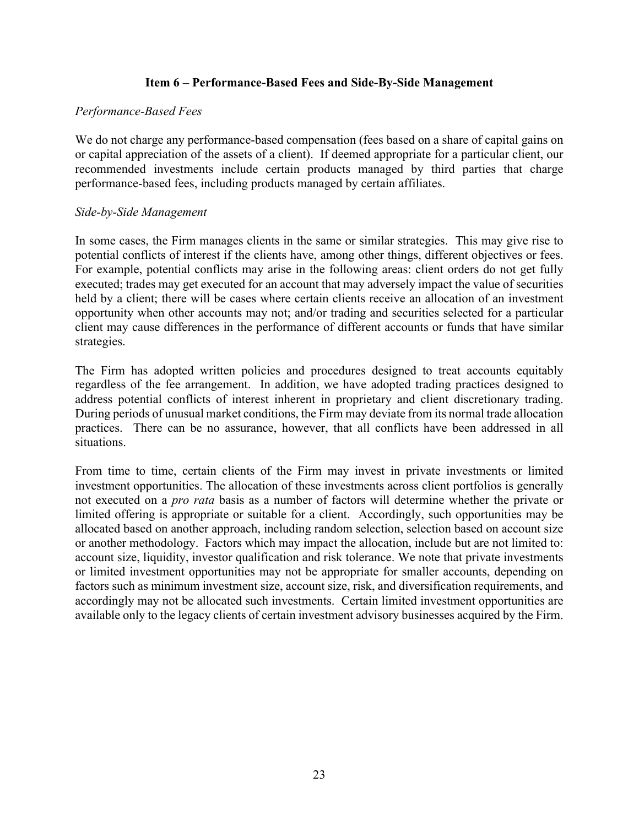#### **Item 6 – Performance-Based Fees and Side-By-Side Management**

#### *Performance-Based Fees*

We do not charge any performance-based compensation (fees based on a share of capital gains on or capital appreciation of the assets of a client). If deemed appropriate for a particular client, our recommended investments include certain products managed by third parties that charge performance-based fees, including products managed by certain affiliates.

#### *Side-by-Side Management*

In some cases, the Firm manages clients in the same or similar strategies. This may give rise to potential conflicts of interest if the clients have, among other things, different objectives or fees. For example, potential conflicts may arise in the following areas: client orders do not get fully executed; trades may get executed for an account that may adversely impact the value of securities held by a client; there will be cases where certain clients receive an allocation of an investment opportunity when other accounts may not; and/or trading and securities selected for a particular client may cause differences in the performance of different accounts or funds that have similar strategies.

The Firm has adopted written policies and procedures designed to treat accounts equitably regardless of the fee arrangement. In addition, we have adopted trading practices designed to address potential conflicts of interest inherent in proprietary and client discretionary trading. During periods of unusual market conditions, the Firm may deviate from its normal trade allocation practices. There can be no assurance, however, that all conflicts have been addressed in all situations.

From time to time, certain clients of the Firm may invest in private investments or limited investment opportunities. The allocation of these investments across client portfolios is generally not executed on a *pro rata* basis as a number of factors will determine whether the private or limited offering is appropriate or suitable for a client. Accordingly, such opportunities may be allocated based on another approach, including random selection, selection based on account size or another methodology. Factors which may impact the allocation, include but are not limited to: account size, liquidity, investor qualification and risk tolerance. We note that private investments or limited investment opportunities may not be appropriate for smaller accounts, depending on factors such as minimum investment size, account size, risk, and diversification requirements, and accordingly may not be allocated such investments. Certain limited investment opportunities are available only to the legacy clients of certain investment advisory businesses acquired by the Firm.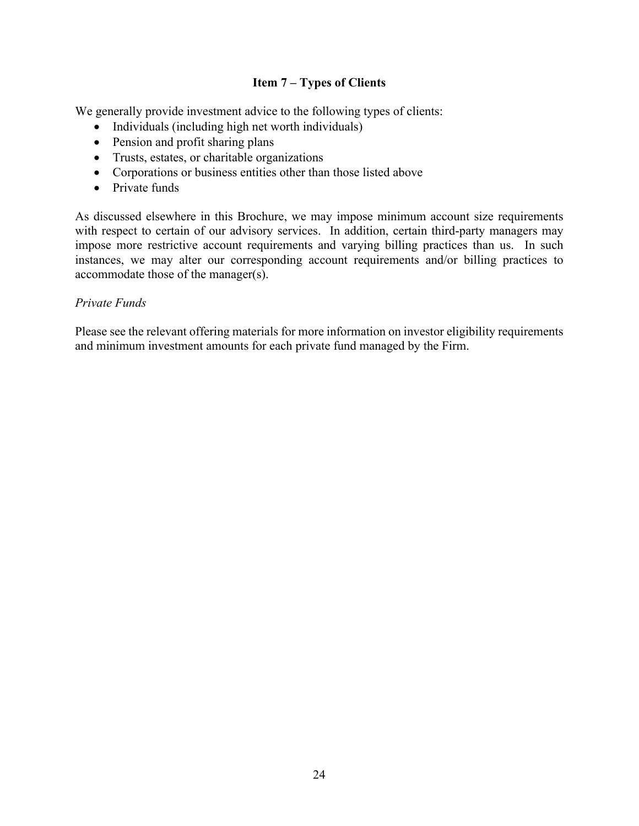# **Item 7 – Types of Clients**

We generally provide investment advice to the following types of clients:

- Individuals (including high net worth individuals)
- Pension and profit sharing plans
- Trusts, estates, or charitable organizations
- Corporations or business entities other than those listed above
- Private funds

As discussed elsewhere in this Brochure, we may impose minimum account size requirements with respect to certain of our advisory services. In addition, certain third-party managers may impose more restrictive account requirements and varying billing practices than us. In such instances, we may alter our corresponding account requirements and/or billing practices to accommodate those of the manager(s).

# *Private Funds*

Please see the relevant offering materials for more information on investor eligibility requirements and minimum investment amounts for each private fund managed by the Firm.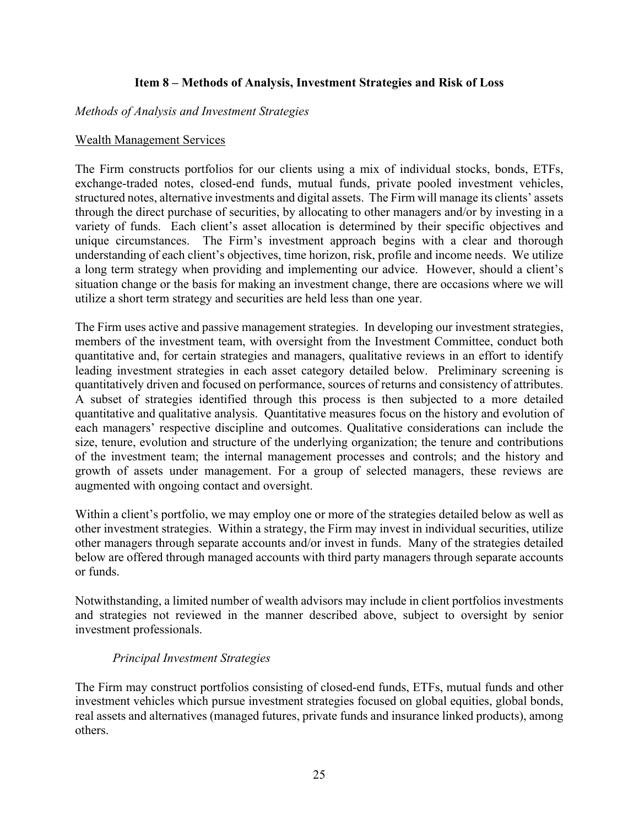# **Item 8 – Methods of Analysis, Investment Strategies and Risk of Loss**

#### *Methods of Analysis and Investment Strategies*

#### Wealth Management Services

The Firm constructs portfolios for our clients using a mix of individual stocks, bonds, ETFs, exchange-traded notes, closed-end funds, mutual funds, private pooled investment vehicles, structured notes, alternative investments and digital assets. The Firm will manage its clients' assets through the direct purchase of securities, by allocating to other managers and/or by investing in a variety of funds. Each client's asset allocation is determined by their specific objectives and unique circumstances. The Firm's investment approach begins with a clear and thorough understanding of each client's objectives, time horizon, risk, profile and income needs. We utilize a long term strategy when providing and implementing our advice. However, should a client's situation change or the basis for making an investment change, there are occasions where we will utilize a short term strategy and securities are held less than one year.

The Firm uses active and passive management strategies. In developing our investment strategies, members of the investment team, with oversight from the Investment Committee, conduct both quantitative and, for certain strategies and managers, qualitative reviews in an effort to identify leading investment strategies in each asset category detailed below. Preliminary screening is quantitatively driven and focused on performance, sources of returns and consistency of attributes. A subset of strategies identified through this process is then subjected to a more detailed quantitative and qualitative analysis. Quantitative measures focus on the history and evolution of each managers' respective discipline and outcomes. Qualitative considerations can include the size, tenure, evolution and structure of the underlying organization; the tenure and contributions of the investment team; the internal management processes and controls; and the history and growth of assets under management. For a group of selected managers, these reviews are augmented with ongoing contact and oversight.

Within a client's portfolio, we may employ one or more of the strategies detailed below as well as other investment strategies. Within a strategy, the Firm may invest in individual securities, utilize other managers through separate accounts and/or invest in funds. Many of the strategies detailed below are offered through managed accounts with third party managers through separate accounts or funds.

Notwithstanding, a limited number of wealth advisors may include in client portfolios investments and strategies not reviewed in the manner described above, subject to oversight by senior investment professionals.

#### *Principal Investment Strategies*

The Firm may construct portfolios consisting of closed-end funds, ETFs, mutual funds and other investment vehicles which pursue investment strategies focused on global equities, global bonds, real assets and alternatives (managed futures, private funds and insurance linked products), among others.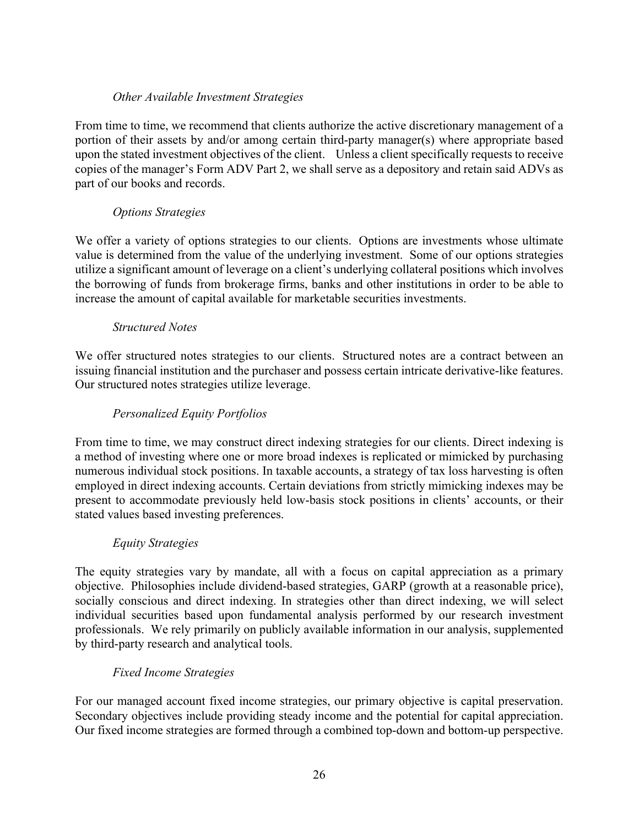# *Other Available Investment Strategies*

From time to time, we recommend that clients authorize the active discretionary management of a portion of their assets by and/or among certain third-party manager(s) where appropriate based upon the stated investment objectives of the client. Unless a client specifically requests to receive copies of the manager's Form ADV Part 2, we shall serve as a depository and retain said ADVs as part of our books and records.

# *Options Strategies*

We offer a variety of options strategies to our clients. Options are investments whose ultimate value is determined from the value of the underlying investment. Some of our options strategies utilize a significant amount of leverage on a client's underlying collateral positions which involves the borrowing of funds from brokerage firms, banks and other institutions in order to be able to increase the amount of capital available for marketable securities investments.

# *Structured Notes*

We offer structured notes strategies to our clients. Structured notes are a contract between an issuing financial institution and the purchaser and possess certain intricate derivative-like features. Our structured notes strategies utilize leverage.

# *Personalized Equity Portfolios*

From time to time, we may construct direct indexing strategies for our clients. Direct indexing is a method of investing where one or more broad indexes is replicated or mimicked by purchasing numerous individual stock positions. In taxable accounts, a strategy of tax loss harvesting is often employed in direct indexing accounts. Certain deviations from strictly mimicking indexes may be present to accommodate previously held low-basis stock positions in clients' accounts, or their stated values based investing preferences.

#### *Equity Strategies*

The equity strategies vary by mandate, all with a focus on capital appreciation as a primary objective. Philosophies include dividend-based strategies, GARP (growth at a reasonable price), socially conscious and direct indexing. In strategies other than direct indexing, we will select individual securities based upon fundamental analysis performed by our research investment professionals. We rely primarily on publicly available information in our analysis, supplemented by third-party research and analytical tools.

#### *Fixed Income Strategies*

For our managed account fixed income strategies, our primary objective is capital preservation. Secondary objectives include providing steady income and the potential for capital appreciation. Our fixed income strategies are formed through a combined top-down and bottom-up perspective.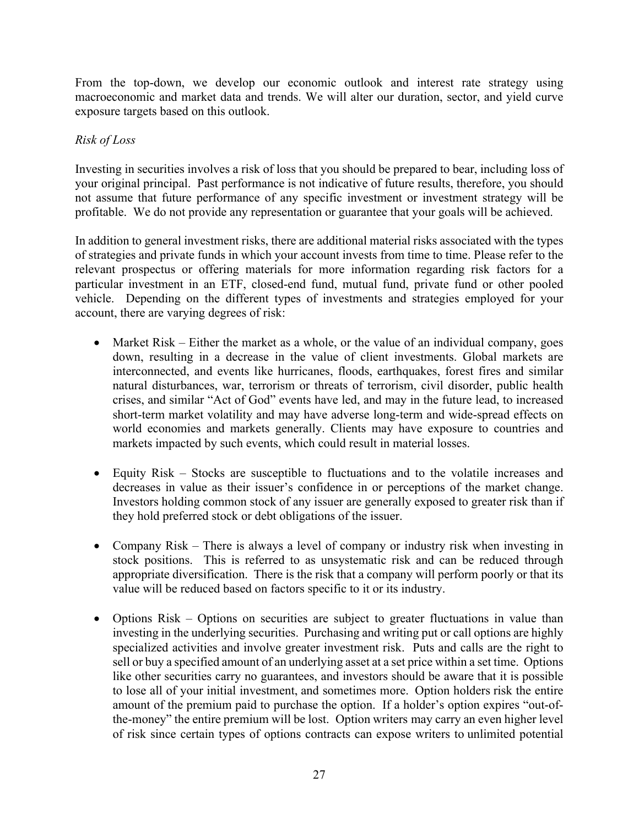From the top-down, we develop our economic outlook and interest rate strategy using macroeconomic and market data and trends. We will alter our duration, sector, and yield curve exposure targets based on this outlook.

# *Risk of Loss*

Investing in securities involves a risk of loss that you should be prepared to bear, including loss of your original principal. Past performance is not indicative of future results, therefore, you should not assume that future performance of any specific investment or investment strategy will be profitable. We do not provide any representation or guarantee that your goals will be achieved.

In addition to general investment risks, there are additional material risks associated with the types of strategies and private funds in which your account invests from time to time. Please refer to the relevant prospectus or offering materials for more information regarding risk factors for a particular investment in an ETF, closed-end fund, mutual fund, private fund or other pooled vehicle. Depending on the different types of investments and strategies employed for your account, there are varying degrees of risk:

- Market Risk Either the market as a whole, or the value of an individual company, goes down, resulting in a decrease in the value of client investments. Global markets are interconnected, and events like hurricanes, floods, earthquakes, forest fires and similar natural disturbances, war, terrorism or threats of terrorism, civil disorder, public health crises, and similar "Act of God" events have led, and may in the future lead, to increased short-term market volatility and may have adverse long-term and wide-spread effects on world economies and markets generally. Clients may have exposure to countries and markets impacted by such events, which could result in material losses.
- Equity Risk Stocks are susceptible to fluctuations and to the volatile increases and decreases in value as their issuer's confidence in or perceptions of the market change. Investors holding common stock of any issuer are generally exposed to greater risk than if they hold preferred stock or debt obligations of the issuer.
- Company Risk There is always a level of company or industry risk when investing in stock positions. This is referred to as unsystematic risk and can be reduced through appropriate diversification. There is the risk that a company will perform poorly or that its value will be reduced based on factors specific to it or its industry.
- Options Risk Options on securities are subject to greater fluctuations in value than investing in the underlying securities. Purchasing and writing put or call options are highly specialized activities and involve greater investment risk. Puts and calls are the right to sell or buy a specified amount of an underlying asset at a set price within a set time. Options like other securities carry no guarantees, and investors should be aware that it is possible to lose all of your initial investment, and sometimes more. Option holders risk the entire amount of the premium paid to purchase the option. If a holder's option expires "out-ofthe-money" the entire premium will be lost. Option writers may carry an even higher level of risk since certain types of options contracts can expose writers to unlimited potential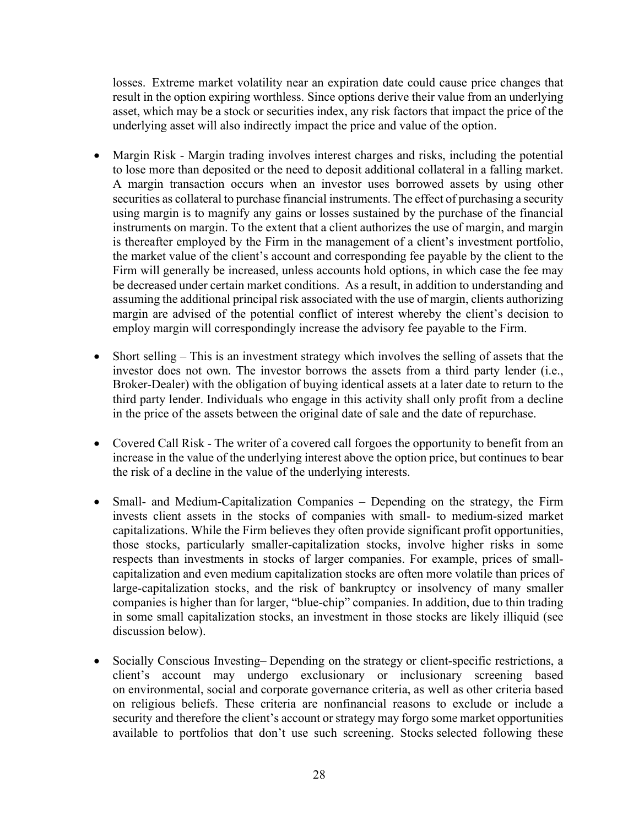losses. Extreme market volatility near an expiration date could cause price changes that result in the option expiring worthless. Since options derive their value from an underlying asset, which may be a stock or securities index, any risk factors that impact the price of the underlying asset will also indirectly impact the price and value of the option.

- Margin Risk Margin trading involves interest charges and risks, including the potential to lose more than deposited or the need to deposit additional collateral in a falling market. A margin transaction occurs when an investor uses borrowed assets by using other securities as collateral to purchase financial instruments. The effect of purchasing a security using margin is to magnify any gains or losses sustained by the purchase of the financial instruments on margin. To the extent that a client authorizes the use of margin, and margin is thereafter employed by the Firm in the management of a client's investment portfolio, the market value of the client's account and corresponding fee payable by the client to the Firm will generally be increased, unless accounts hold options, in which case the fee may be decreased under certain market conditions. As a result, in addition to understanding and assuming the additional principal risk associated with the use of margin, clients authorizing margin are advised of the potential conflict of interest whereby the client's decision to employ margin will correspondingly increase the advisory fee payable to the Firm.
- Short selling This is an investment strategy which involves the selling of assets that the investor does not own. The investor borrows the assets from a third party lender (i.e., Broker-Dealer) with the obligation of buying identical assets at a later date to return to the third party lender. Individuals who engage in this activity shall only profit from a decline in the price of the assets between the original date of sale and the date of repurchase.
- Covered Call Risk The writer of a covered call forgoes the opportunity to benefit from an increase in the value of the underlying interest above the option price, but continues to bear the risk of a decline in the value of the underlying interests.
- Small- and Medium-Capitalization Companies Depending on the strategy, the Firm invests client assets in the stocks of companies with small- to medium-sized market capitalizations. While the Firm believes they often provide significant profit opportunities, those stocks, particularly smaller-capitalization stocks, involve higher risks in some respects than investments in stocks of larger companies. For example, prices of smallcapitalization and even medium capitalization stocks are often more volatile than prices of large-capitalization stocks, and the risk of bankruptcy or insolvency of many smaller companies is higher than for larger, "blue-chip" companies. In addition, due to thin trading in some small capitalization stocks, an investment in those stocks are likely illiquid (see discussion below).
- Socially Conscious Investing– Depending on the strategy or client-specific restrictions, a client's account may undergo exclusionary or inclusionary screening based on environmental, social and corporate governance criteria, as well as other criteria based on religious beliefs. These criteria are nonfinancial reasons to exclude or include a security and therefore the client's account or strategy may forgo some market opportunities available to portfolios that don't use such screening. Stocks selected following these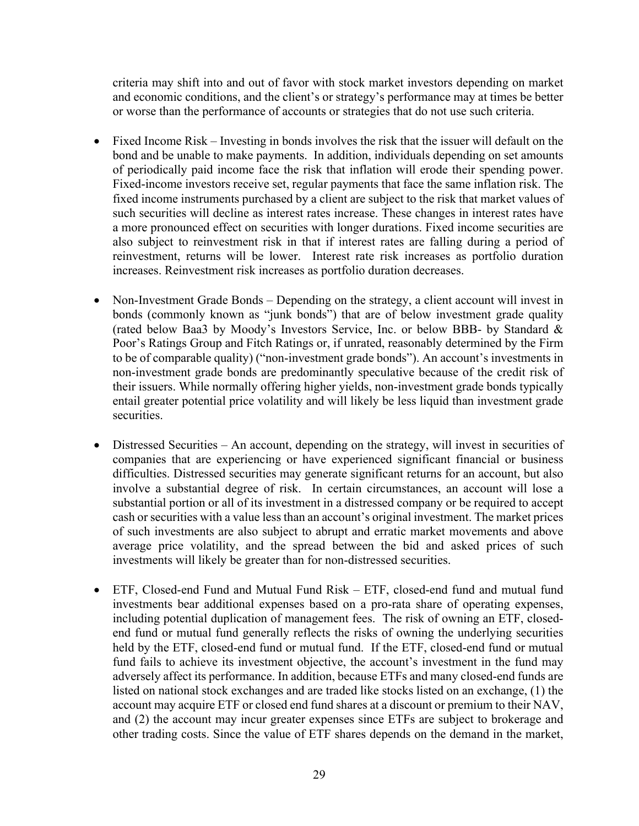criteria may shift into and out of favor with stock market investors depending on market and economic conditions, and the client's or strategy's performance may at times be better or worse than the performance of accounts or strategies that do not use such criteria.

- Fixed Income Risk Investing in bonds involves the risk that the issuer will default on the bond and be unable to make payments. In addition, individuals depending on set amounts of periodically paid income face the risk that inflation will erode their spending power. Fixed-income investors receive set, regular payments that face the same inflation risk. The fixed income instruments purchased by a client are subject to the risk that market values of such securities will decline as interest rates increase. These changes in interest rates have a more pronounced effect on securities with longer durations. Fixed income securities are also subject to reinvestment risk in that if interest rates are falling during a period of reinvestment, returns will be lower. Interest rate risk increases as portfolio duration increases. Reinvestment risk increases as portfolio duration decreases.
- Non-Investment Grade Bonds Depending on the strategy, a client account will invest in bonds (commonly known as "junk bonds") that are of below investment grade quality (rated below Baa3 by Moody's Investors Service, Inc. or below BBB- by Standard & Poor's Ratings Group and Fitch Ratings or, if unrated, reasonably determined by the Firm to be of comparable quality) ("non-investment grade bonds"). An account's investments in non-investment grade bonds are predominantly speculative because of the credit risk of their issuers. While normally offering higher yields, non-investment grade bonds typically entail greater potential price volatility and will likely be less liquid than investment grade securities.
- Distressed Securities An account, depending on the strategy, will invest in securities of companies that are experiencing or have experienced significant financial or business difficulties. Distressed securities may generate significant returns for an account, but also involve a substantial degree of risk. In certain circumstances, an account will lose a substantial portion or all of its investment in a distressed company or be required to accept cash or securities with a value less than an account's original investment. The market prices of such investments are also subject to abrupt and erratic market movements and above average price volatility, and the spread between the bid and asked prices of such investments will likely be greater than for non-distressed securities.
- ETF, Closed-end Fund and Mutual Fund Risk ETF, closed-end fund and mutual fund investments bear additional expenses based on a pro-rata share of operating expenses, including potential duplication of management fees. The risk of owning an ETF, closedend fund or mutual fund generally reflects the risks of owning the underlying securities held by the ETF, closed-end fund or mutual fund. If the ETF, closed-end fund or mutual fund fails to achieve its investment objective, the account's investment in the fund may adversely affect its performance. In addition, because ETFs and many closed-end funds are listed on national stock exchanges and are traded like stocks listed on an exchange, (1) the account may acquire ETF or closed end fund shares at a discount or premium to their NAV, and (2) the account may incur greater expenses since ETFs are subject to brokerage and other trading costs. Since the value of ETF shares depends on the demand in the market,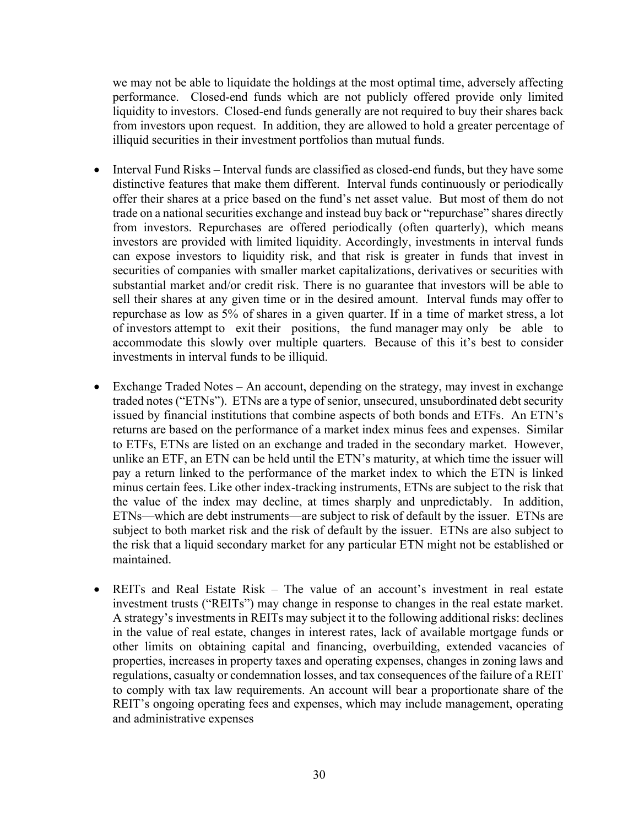we may not be able to liquidate the holdings at the most optimal time, adversely affecting performance. Closed-end funds which are not publicly offered provide only limited liquidity to investors. Closed-end funds generally are not required to buy their shares back from investors upon request. In addition, they are allowed to hold a greater percentage of illiquid securities in their investment portfolios than mutual funds.

- Interval Fund Risks Interval funds are classified as closed-end funds, but they have some distinctive features that make them different. Interval funds continuously or periodically offer their shares at a price based on the fund's net asset value. But most of them do not trade on a national securities exchange and instead buy back or "repurchase" shares directly from investors. Repurchases are offered periodically (often quarterly), which means investors are provided with limited liquidity. Accordingly, investments in interval funds can expose investors to liquidity risk, and that risk is greater in funds that invest in securities of companies with smaller market capitalizations, derivatives or securities with substantial market and/or credit risk. There is no guarantee that investors will be able to sell their shares at any given time or in the desired amount. Interval funds may offer to repurchase as low as 5% of shares in a given quarter. If in a time of market stress, a lot of investors attempt to exit their positions, the fund manager may only be able to accommodate this slowly over multiple quarters. Because of this it's best to consider investments in interval funds to be illiquid.
- Exchange Traded Notes An account, depending on the strategy, may invest in exchange traded notes ("ETNs"). ETNs are a type of senior, unsecured, unsubordinated debt security issued by financial institutions that combine aspects of both bonds and ETFs. An ETN's returns are based on the performance of a market index minus fees and expenses. Similar to ETFs, ETNs are listed on an exchange and traded in the secondary market. However, unlike an ETF, an ETN can be held until the ETN's maturity, at which time the issuer will pay a return linked to the performance of the market index to which the ETN is linked minus certain fees. Like other index-tracking instruments, ETNs are subject to the risk that the value of the index may decline, at times sharply and unpredictably. In addition, ETNs—which are debt instruments—are subject to risk of default by the issuer. ETNs are subject to both market risk and the risk of default by the issuer. ETNs are also subject to the risk that a liquid secondary market for any particular ETN might not be established or maintained.
- REITs and Real Estate Risk The value of an account's investment in real estate investment trusts ("REITs") may change in response to changes in the real estate market. A strategy's investments in REITs may subject it to the following additional risks: declines in the value of real estate, changes in interest rates, lack of available mortgage funds or other limits on obtaining capital and financing, overbuilding, extended vacancies of properties, increases in property taxes and operating expenses, changes in zoning laws and regulations, casualty or condemnation losses, and tax consequences of the failure of a REIT to comply with tax law requirements. An account will bear a proportionate share of the REIT's ongoing operating fees and expenses, which may include management, operating and administrative expenses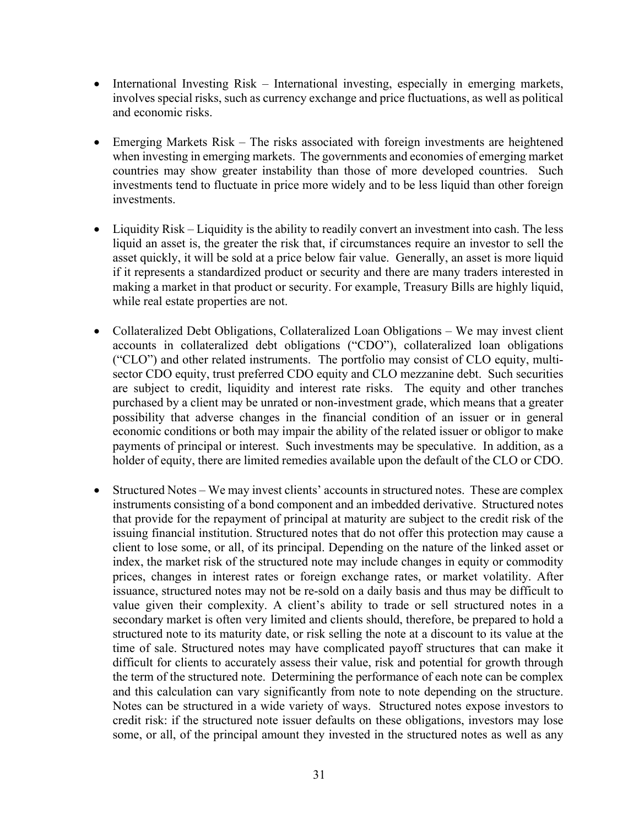- International Investing Risk International investing, especially in emerging markets, involves special risks, such as currency exchange and price fluctuations, as well as political and economic risks.
- Emerging Markets Risk The risks associated with foreign investments are heightened when investing in emerging markets. The governments and economies of emerging market countries may show greater instability than those of more developed countries. Such investments tend to fluctuate in price more widely and to be less liquid than other foreign investments.
- Liquidity Risk Liquidity is the ability to readily convert an investment into cash. The less liquid an asset is, the greater the risk that, if circumstances require an investor to sell the asset quickly, it will be sold at a price below fair value. Generally, an asset is more liquid if it represents a standardized product or security and there are many traders interested in making a market in that product or security. For example, Treasury Bills are highly liquid, while real estate properties are not.
- Collateralized Debt Obligations, Collateralized Loan Obligations We may invest client accounts in collateralized debt obligations ("CDO"), collateralized loan obligations ("CLO") and other related instruments. The portfolio may consist of CLO equity, multisector CDO equity, trust preferred CDO equity and CLO mezzanine debt. Such securities are subject to credit, liquidity and interest rate risks. The equity and other tranches purchased by a client may be unrated or non-investment grade, which means that a greater possibility that adverse changes in the financial condition of an issuer or in general economic conditions or both may impair the ability of the related issuer or obligor to make payments of principal or interest. Such investments may be speculative. In addition, as a holder of equity, there are limited remedies available upon the default of the CLO or CDO.
- Structured Notes We may invest clients' accounts in structured notes. These are complex instruments consisting of a bond component and an imbedded derivative. Structured notes that provide for the repayment of principal at maturity are subject to the credit risk of the issuing financial institution. Structured notes that do not offer this protection may cause a client to lose some, or all, of its principal. Depending on the nature of the linked asset or index, the market risk of the structured note may include changes in equity or commodity prices, changes in interest rates or foreign exchange rates, or market volatility. After issuance, structured notes may not be re-sold on a daily basis and thus may be difficult to value given their complexity. A client's ability to trade or sell structured notes in a secondary market is often very limited and clients should, therefore, be prepared to hold a structured note to its maturity date, or risk selling the note at a discount to its value at the time of sale. Structured notes may have complicated payoff structures that can make it difficult for clients to accurately assess their value, risk and potential for growth through the term of the structured note. Determining the performance of each note can be complex and this calculation can vary significantly from note to note depending on the structure. Notes can be structured in a wide variety of ways. Structured notes expose investors to credit risk: if the structured note issuer defaults on these obligations, investors may lose some, or all, of the principal amount they invested in the structured notes as well as any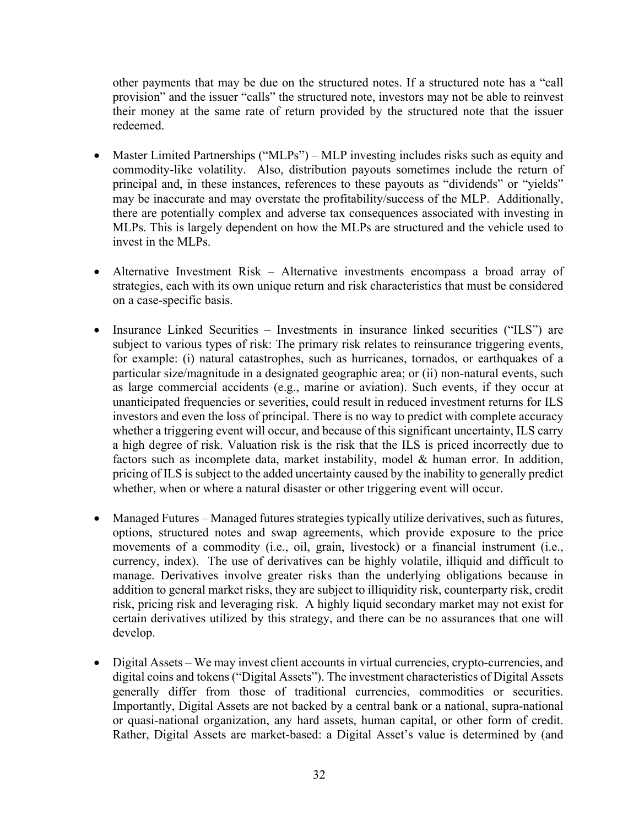other payments that may be due on the structured notes. If a structured note has a "call provision" and the issuer "calls" the structured note, investors may not be able to reinvest their money at the same rate of return provided by the structured note that the issuer redeemed.

- Master Limited Partnerships ("MLPs") MLP investing includes risks such as equity and commodity-like volatility. Also, distribution payouts sometimes include the return of principal and, in these instances, references to these payouts as "dividends" or "yields" may be inaccurate and may overstate the profitability/success of the MLP. Additionally, there are potentially complex and adverse tax consequences associated with investing in MLPs. This is largely dependent on how the MLPs are structured and the vehicle used to invest in the MLPs.
- Alternative Investment Risk Alternative investments encompass a broad array of strategies, each with its own unique return and risk characteristics that must be considered on a case-specific basis.
- Insurance Linked Securities Investments in insurance linked securities ("ILS") are subject to various types of risk: The primary risk relates to reinsurance triggering events, for example: (i) natural catastrophes, such as hurricanes, tornados, or earthquakes of a particular size/magnitude in a designated geographic area; or (ii) non-natural events, such as large commercial accidents (e.g., marine or aviation). Such events, if they occur at unanticipated frequencies or severities, could result in reduced investment returns for ILS investors and even the loss of principal. There is no way to predict with complete accuracy whether a triggering event will occur, and because of this significant uncertainty, ILS carry a high degree of risk. Valuation risk is the risk that the ILS is priced incorrectly due to factors such as incomplete data, market instability, model & human error. In addition, pricing of ILS is subject to the added uncertainty caused by the inability to generally predict whether, when or where a natural disaster or other triggering event will occur.
- Managed Futures Managed futures strategies typically utilize derivatives, such as futures, options, structured notes and swap agreements, which provide exposure to the price movements of a commodity (i.e., oil, grain, livestock) or a financial instrument (i.e., currency, index). The use of derivatives can be highly volatile, illiquid and difficult to manage. Derivatives involve greater risks than the underlying obligations because in addition to general market risks, they are subject to illiquidity risk, counterparty risk, credit risk, pricing risk and leveraging risk. A highly liquid secondary market may not exist for certain derivatives utilized by this strategy, and there can be no assurances that one will develop.
- Digital Assets We may invest client accounts in virtual currencies, crypto-currencies, and digital coins and tokens ("Digital Assets"). The investment characteristics of Digital Assets generally differ from those of traditional currencies, commodities or securities. Importantly, Digital Assets are not backed by a central bank or a national, supra-national or quasi-national organization, any hard assets, human capital, or other form of credit. Rather, Digital Assets are market-based: a Digital Asset's value is determined by (and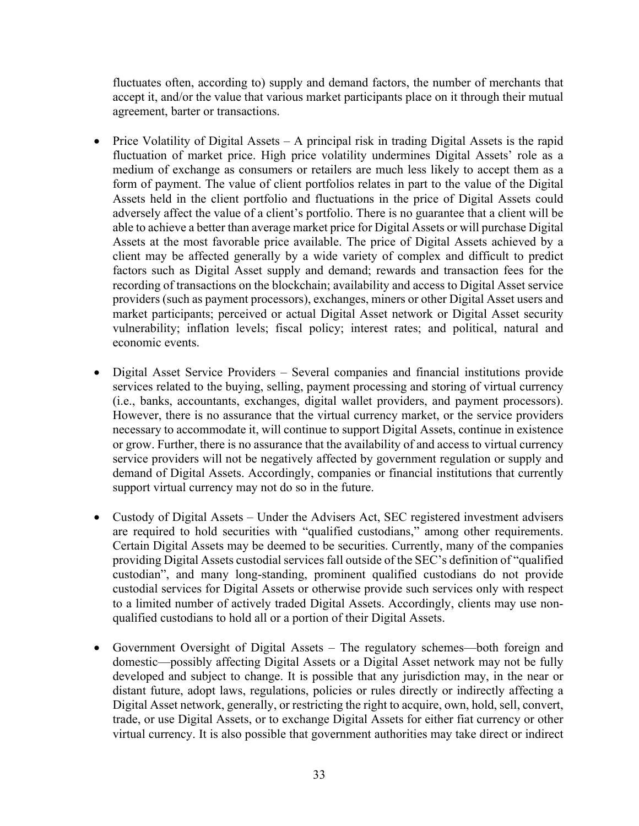fluctuates often, according to) supply and demand factors, the number of merchants that accept it, and/or the value that various market participants place on it through their mutual agreement, barter or transactions.

- Price Volatility of Digital Assets  $A$  principal risk in trading Digital Assets is the rapid fluctuation of market price. High price volatility undermines Digital Assets' role as a medium of exchange as consumers or retailers are much less likely to accept them as a form of payment. The value of client portfolios relates in part to the value of the Digital Assets held in the client portfolio and fluctuations in the price of Digital Assets could adversely affect the value of a client's portfolio. There is no guarantee that a client will be able to achieve a better than average market price for Digital Assets or will purchase Digital Assets at the most favorable price available. The price of Digital Assets achieved by a client may be affected generally by a wide variety of complex and difficult to predict factors such as Digital Asset supply and demand; rewards and transaction fees for the recording of transactions on the blockchain; availability and access to Digital Asset service providers (such as payment processors), exchanges, miners or other Digital Asset users and market participants; perceived or actual Digital Asset network or Digital Asset security vulnerability; inflation levels; fiscal policy; interest rates; and political, natural and economic events.
- Digital Asset Service Providers Several companies and financial institutions provide services related to the buying, selling, payment processing and storing of virtual currency (i.e., banks, accountants, exchanges, digital wallet providers, and payment processors). However, there is no assurance that the virtual currency market, or the service providers necessary to accommodate it, will continue to support Digital Assets, continue in existence or grow. Further, there is no assurance that the availability of and access to virtual currency service providers will not be negatively affected by government regulation or supply and demand of Digital Assets. Accordingly, companies or financial institutions that currently support virtual currency may not do so in the future.
- Custody of Digital Assets Under the Advisers Act, SEC registered investment advisers are required to hold securities with "qualified custodians," among other requirements. Certain Digital Assets may be deemed to be securities. Currently, many of the companies providing Digital Assets custodial services fall outside of the SEC's definition of "qualified custodian", and many long-standing, prominent qualified custodians do not provide custodial services for Digital Assets or otherwise provide such services only with respect to a limited number of actively traded Digital Assets. Accordingly, clients may use nonqualified custodians to hold all or a portion of their Digital Assets.
- Government Oversight of Digital Assets The regulatory schemes—both foreign and domestic—possibly affecting Digital Assets or a Digital Asset network may not be fully developed and subject to change. It is possible that any jurisdiction may, in the near or distant future, adopt laws, regulations, policies or rules directly or indirectly affecting a Digital Asset network, generally, or restricting the right to acquire, own, hold, sell, convert, trade, or use Digital Assets, or to exchange Digital Assets for either fiat currency or other virtual currency. It is also possible that government authorities may take direct or indirect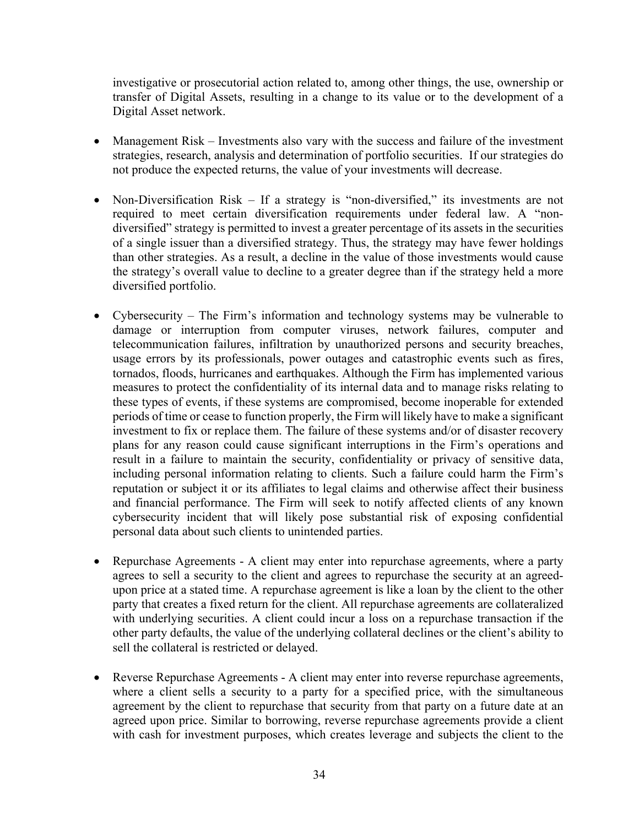investigative or prosecutorial action related to, among other things, the use, ownership or transfer of Digital Assets, resulting in a change to its value or to the development of a Digital Asset network.

- Management Risk Investments also vary with the success and failure of the investment strategies, research, analysis and determination of portfolio securities. If our strategies do not produce the expected returns, the value of your investments will decrease.
- Non-Diversification Risk If a strategy is "non-diversified," its investments are not required to meet certain diversification requirements under federal law. A "nondiversified" strategy is permitted to invest a greater percentage of its assets in the securities of a single issuer than a diversified strategy. Thus, the strategy may have fewer holdings than other strategies. As a result, a decline in the value of those investments would cause the strategy's overall value to decline to a greater degree than if the strategy held a more diversified portfolio.
- Cybersecurity The Firm's information and technology systems may be vulnerable to damage or interruption from computer viruses, network failures, computer and telecommunication failures, infiltration by unauthorized persons and security breaches, usage errors by its professionals, power outages and catastrophic events such as fires, tornados, floods, hurricanes and earthquakes. Although the Firm has implemented various measures to protect the confidentiality of its internal data and to manage risks relating to these types of events, if these systems are compromised, become inoperable for extended periods of time or cease to function properly, the Firm will likely have to make a significant investment to fix or replace them. The failure of these systems and/or of disaster recovery plans for any reason could cause significant interruptions in the Firm's operations and result in a failure to maintain the security, confidentiality or privacy of sensitive data, including personal information relating to clients. Such a failure could harm the Firm's reputation or subject it or its affiliates to legal claims and otherwise affect their business and financial performance. The Firm will seek to notify affected clients of any known cybersecurity incident that will likely pose substantial risk of exposing confidential personal data about such clients to unintended parties.
- Repurchase Agreements A client may enter into repurchase agreements, where a party agrees to sell a security to the client and agrees to repurchase the security at an agreedupon price at a stated time. A repurchase agreement is like a loan by the client to the other party that creates a fixed return for the client. All repurchase agreements are collateralized with underlying securities. A client could incur a loss on a repurchase transaction if the other party defaults, the value of the underlying collateral declines or the client's ability to sell the collateral is restricted or delayed.
- Reverse Repurchase Agreements A client may enter into reverse repurchase agreements, where a client sells a security to a party for a specified price, with the simultaneous agreement by the client to repurchase that security from that party on a future date at an agreed upon price. Similar to borrowing, reverse repurchase agreements provide a client with cash for investment purposes, which creates leverage and subjects the client to the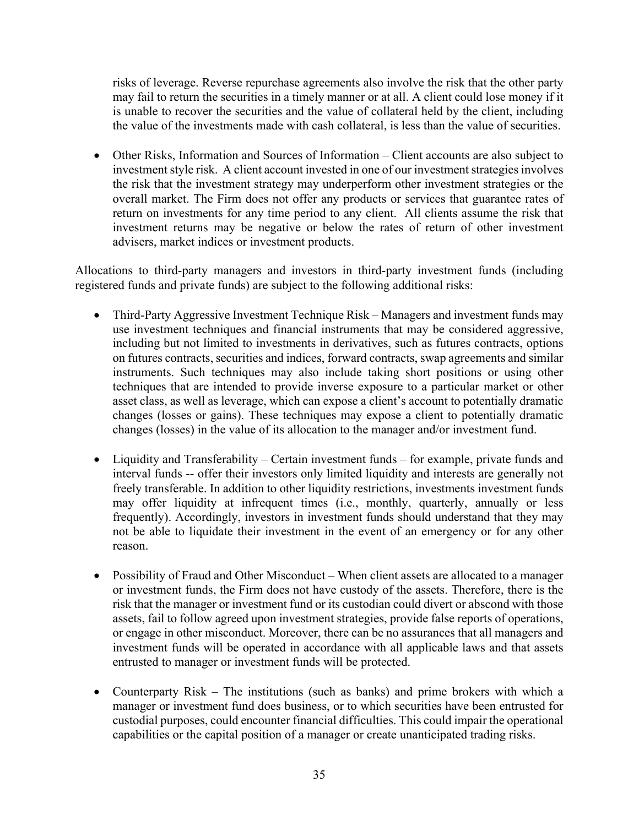risks of leverage. Reverse repurchase agreements also involve the risk that the other party may fail to return the securities in a timely manner or at all. A client could lose money if it is unable to recover the securities and the value of collateral held by the client, including the value of the investments made with cash collateral, is less than the value of securities.

• Other Risks, Information and Sources of Information – Client accounts are also subject to investment style risk. A client account invested in one of our investment strategies involves the risk that the investment strategy may underperform other investment strategies or the overall market. The Firm does not offer any products or services that guarantee rates of return on investments for any time period to any client. All clients assume the risk that investment returns may be negative or below the rates of return of other investment advisers, market indices or investment products.

Allocations to third-party managers and investors in third-party investment funds (including registered funds and private funds) are subject to the following additional risks:

- Third-Party Aggressive Investment Technique Risk Managers and investment funds may use investment techniques and financial instruments that may be considered aggressive, including but not limited to investments in derivatives, such as futures contracts, options on futures contracts, securities and indices, forward contracts, swap agreements and similar instruments. Such techniques may also include taking short positions or using other techniques that are intended to provide inverse exposure to a particular market or other asset class, as well as leverage, which can expose a client's account to potentially dramatic changes (losses or gains). These techniques may expose a client to potentially dramatic changes (losses) in the value of its allocation to the manager and/or investment fund.
- Liquidity and Transferability Certain investment funds for example, private funds and interval funds -- offer their investors only limited liquidity and interests are generally not freely transferable. In addition to other liquidity restrictions, investments investment funds may offer liquidity at infrequent times (i.e., monthly, quarterly, annually or less frequently). Accordingly, investors in investment funds should understand that they may not be able to liquidate their investment in the event of an emergency or for any other reason.
- Possibility of Fraud and Other Misconduct When client assets are allocated to a manager or investment funds, the Firm does not have custody of the assets. Therefore, there is the risk that the manager or investment fund or its custodian could divert or abscond with those assets, fail to follow agreed upon investment strategies, provide false reports of operations, or engage in other misconduct. Moreover, there can be no assurances that all managers and investment funds will be operated in accordance with all applicable laws and that assets entrusted to manager or investment funds will be protected.
- Counterparty Risk The institutions (such as banks) and prime brokers with which a manager or investment fund does business, or to which securities have been entrusted for custodial purposes, could encounter financial difficulties. This could impair the operational capabilities or the capital position of a manager or create unanticipated trading risks.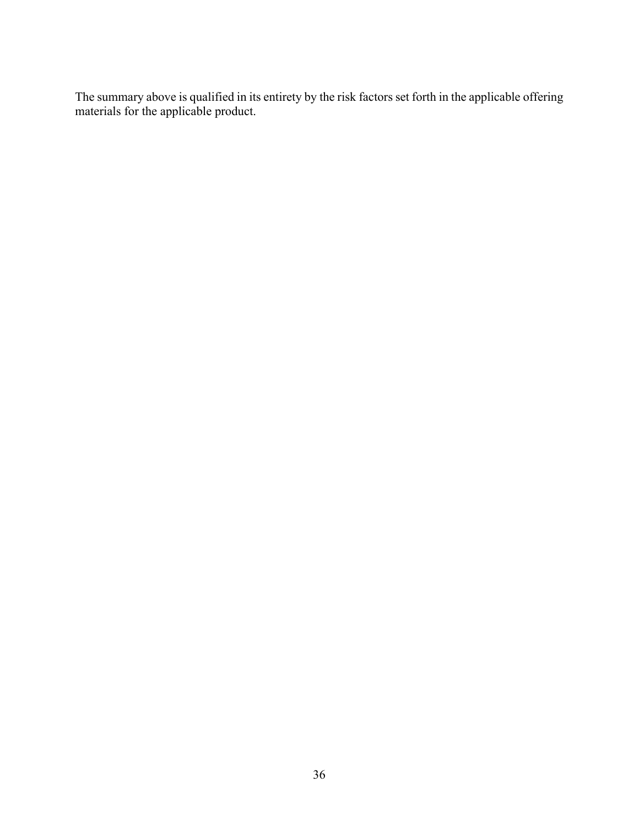The summary above is qualified in its entirety by the risk factors set forth in the applicable offering materials for the applicable product.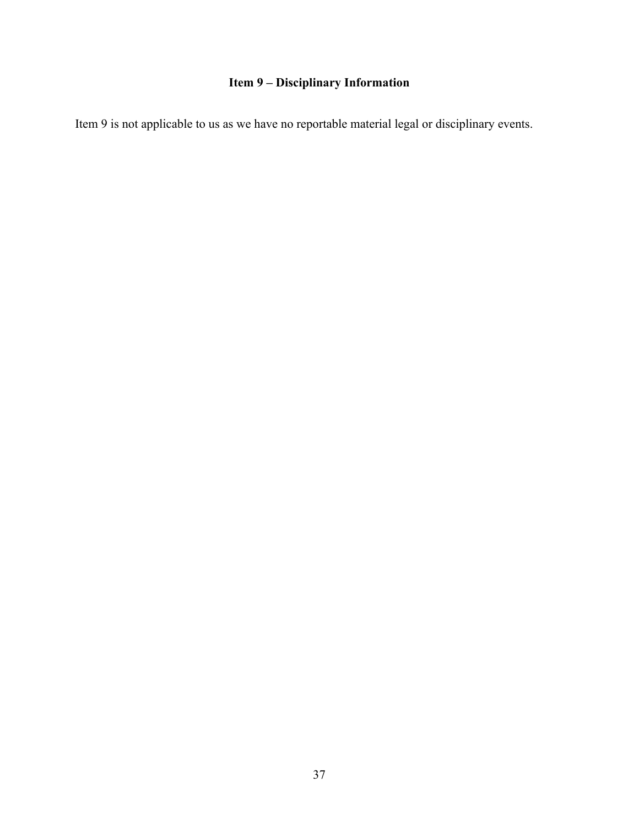# **Item 9 – Disciplinary Information**

Item 9 is not applicable to us as we have no reportable material legal or disciplinary events.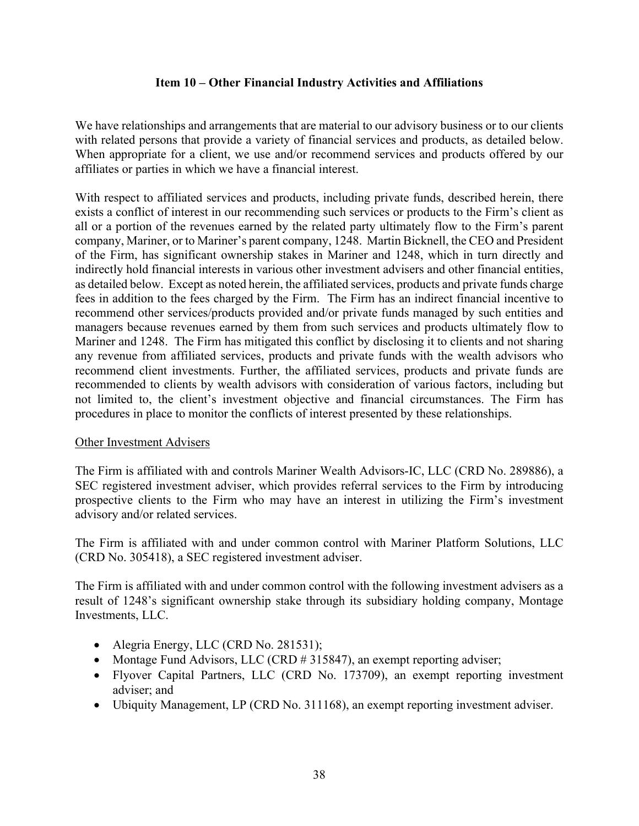# **Item 10 – Other Financial Industry Activities and Affiliations**

We have relationships and arrangements that are material to our advisory business or to our clients with related persons that provide a variety of financial services and products, as detailed below. When appropriate for a client, we use and/or recommend services and products offered by our affiliates or parties in which we have a financial interest.

With respect to affiliated services and products, including private funds, described herein, there exists a conflict of interest in our recommending such services or products to the Firm's client as all or a portion of the revenues earned by the related party ultimately flow to the Firm's parent company, Mariner, or to Mariner's parent company, 1248. Martin Bicknell, the CEO and President of the Firm, has significant ownership stakes in Mariner and 1248, which in turn directly and indirectly hold financial interests in various other investment advisers and other financial entities, as detailed below. Except as noted herein, the affiliated services, products and private funds charge fees in addition to the fees charged by the Firm. The Firm has an indirect financial incentive to recommend other services/products provided and/or private funds managed by such entities and managers because revenues earned by them from such services and products ultimately flow to Mariner and 1248. The Firm has mitigated this conflict by disclosing it to clients and not sharing any revenue from affiliated services, products and private funds with the wealth advisors who recommend client investments. Further, the affiliated services, products and private funds are recommended to clients by wealth advisors with consideration of various factors, including but not limited to, the client's investment objective and financial circumstances. The Firm has procedures in place to monitor the conflicts of interest presented by these relationships.

#### Other Investment Advisers

The Firm is affiliated with and controls Mariner Wealth Advisors-IC, LLC (CRD No. 289886), a SEC registered investment adviser, which provides referral services to the Firm by introducing prospective clients to the Firm who may have an interest in utilizing the Firm's investment advisory and/or related services.

The Firm is affiliated with and under common control with Mariner Platform Solutions, LLC (CRD No. 305418), a SEC registered investment adviser.

The Firm is affiliated with and under common control with the following investment advisers as a result of 1248's significant ownership stake through its subsidiary holding company, Montage Investments, LLC.

- Alegria Energy, LLC (CRD No. 281531);
- Montage Fund Advisors, LLC (CRD # 315847), an exempt reporting adviser;
- Flyover Capital Partners, LLC (CRD No. 173709), an exempt reporting investment adviser; and
- Ubiquity Management, LP (CRD No. 311168), an exempt reporting investment adviser.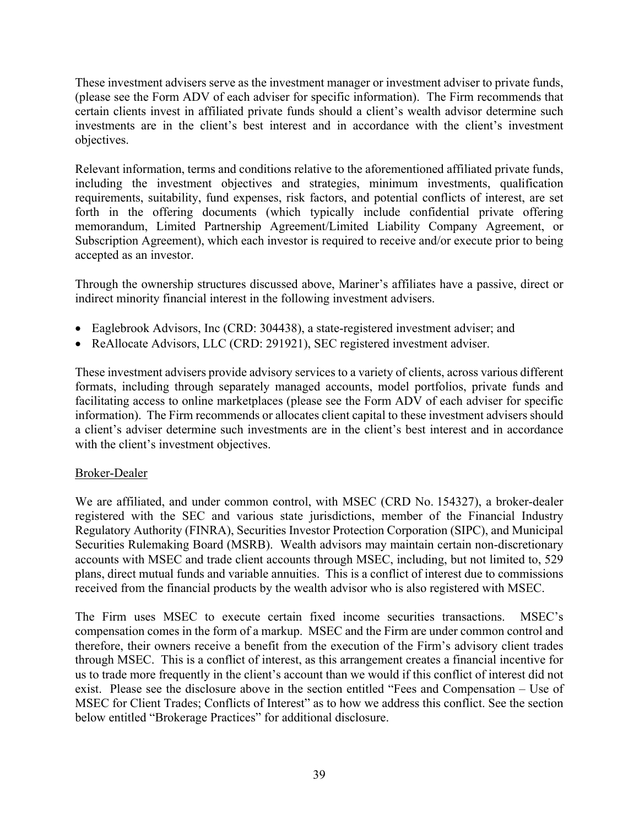These investment advisers serve as the investment manager or investment adviser to private funds, (please see the Form ADV of each adviser for specific information). The Firm recommends that certain clients invest in affiliated private funds should a client's wealth advisor determine such investments are in the client's best interest and in accordance with the client's investment objectives.

Relevant information, terms and conditions relative to the aforementioned affiliated private funds, including the investment objectives and strategies, minimum investments, qualification requirements, suitability, fund expenses, risk factors, and potential conflicts of interest, are set forth in the offering documents (which typically include confidential private offering memorandum, Limited Partnership Agreement/Limited Liability Company Agreement, or Subscription Agreement), which each investor is required to receive and/or execute prior to being accepted as an investor.

Through the ownership structures discussed above, Mariner's affiliates have a passive, direct or indirect minority financial interest in the following investment advisers.

- Eaglebrook Advisors, Inc (CRD: 304438), a state-registered investment adviser; and
- ReAllocate Advisors, LLC (CRD: 291921), SEC registered investment adviser.

These investment advisers provide advisory services to a variety of clients, across various different formats, including through separately managed accounts, model portfolios, private funds and facilitating access to online marketplaces (please see the Form ADV of each adviser for specific information). The Firm recommends or allocates client capital to these investment advisers should a client's adviser determine such investments are in the client's best interest and in accordance with the client's investment objectives.

# Broker-Dealer

We are affiliated, and under common control, with MSEC (CRD No. 154327), a broker-dealer registered with the SEC and various state jurisdictions, member of the Financial Industry Regulatory Authority (FINRA), Securities Investor Protection Corporation (SIPC), and Municipal Securities Rulemaking Board (MSRB). Wealth advisors may maintain certain non-discretionary accounts with MSEC and trade client accounts through MSEC, including, but not limited to, 529 plans, direct mutual funds and variable annuities. This is a conflict of interest due to commissions received from the financial products by the wealth advisor who is also registered with MSEC.

The Firm uses MSEC to execute certain fixed income securities transactions. MSEC's compensation comes in the form of a markup. MSEC and the Firm are under common control and therefore, their owners receive a benefit from the execution of the Firm's advisory client trades through MSEC. This is a conflict of interest, as this arrangement creates a financial incentive for us to trade more frequently in the client's account than we would if this conflict of interest did not exist. Please see the disclosure above in the section entitled "Fees and Compensation – Use of MSEC for Client Trades; Conflicts of Interest" as to how we address this conflict. See the section below entitled "Brokerage Practices" for additional disclosure.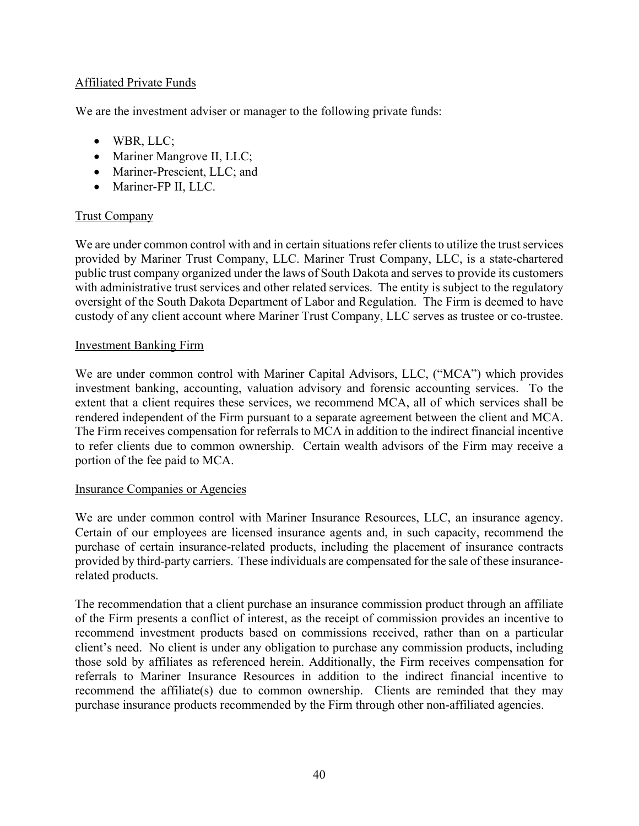# Affiliated Private Funds

We are the investment adviser or manager to the following private funds:

- WBR, LLC;
- Mariner Mangrove II, LLC;
- Mariner-Prescient, LLC; and
- Mariner-FP II, LLC.

# Trust Company

We are under common control with and in certain situations refer clients to utilize the trust services provided by Mariner Trust Company, LLC. Mariner Trust Company, LLC, is a state-chartered public trust company organized under the laws of South Dakota and serves to provide its customers with administrative trust services and other related services. The entity is subject to the regulatory oversight of the South Dakota Department of Labor and Regulation. The Firm is deemed to have custody of any client account where Mariner Trust Company, LLC serves as trustee or co-trustee.

#### Investment Banking Firm

We are under common control with Mariner Capital Advisors, LLC, ("MCA") which provides investment banking, accounting, valuation advisory and forensic accounting services. To the extent that a client requires these services, we recommend MCA, all of which services shall be rendered independent of the Firm pursuant to a separate agreement between the client and MCA. The Firm receives compensation for referrals to MCA in addition to the indirect financial incentive to refer clients due to common ownership. Certain wealth advisors of the Firm may receive a portion of the fee paid to MCA.

#### Insurance Companies or Agencies

We are under common control with Mariner Insurance Resources, LLC, an insurance agency. Certain of our employees are licensed insurance agents and, in such capacity, recommend the purchase of certain insurance-related products, including the placement of insurance contracts provided by third-party carriers. These individuals are compensated for the sale of these insurancerelated products.

The recommendation that a client purchase an insurance commission product through an affiliate of the Firm presents a conflict of interest, as the receipt of commission provides an incentive to recommend investment products based on commissions received, rather than on a particular client's need. No client is under any obligation to purchase any commission products, including those sold by affiliates as referenced herein. Additionally, the Firm receives compensation for referrals to Mariner Insurance Resources in addition to the indirect financial incentive to recommend the affiliate(s) due to common ownership. Clients are reminded that they may purchase insurance products recommended by the Firm through other non-affiliated agencies.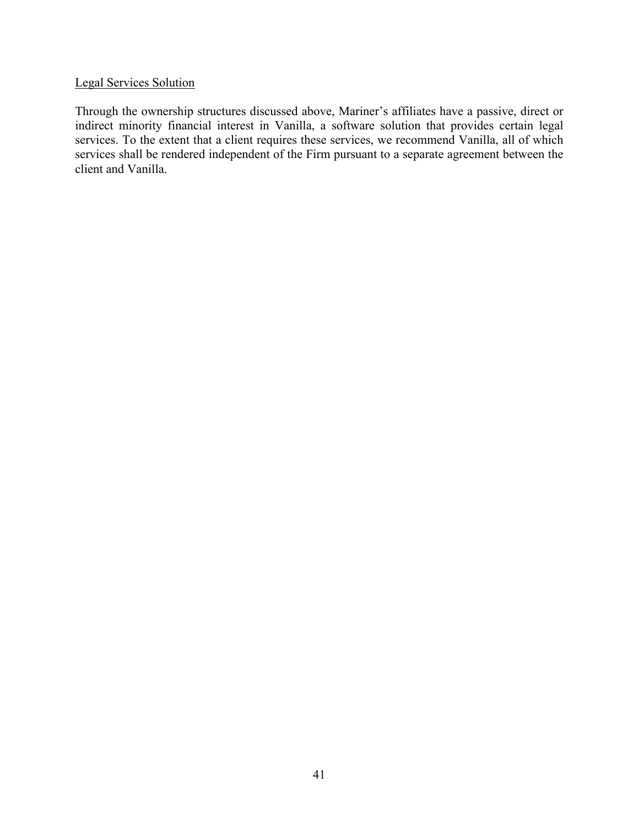# Legal Services Solution

Through the ownership structures discussed above, Mariner's affiliates have a passive, direct or indirect minority financial interest in Vanilla, a software solution that provides certain legal services. To the extent that a client requires these services, we recommend Vanilla, all of which services shall be rendered independent of the Firm pursuant to a separate agreement between the client and Vanilla.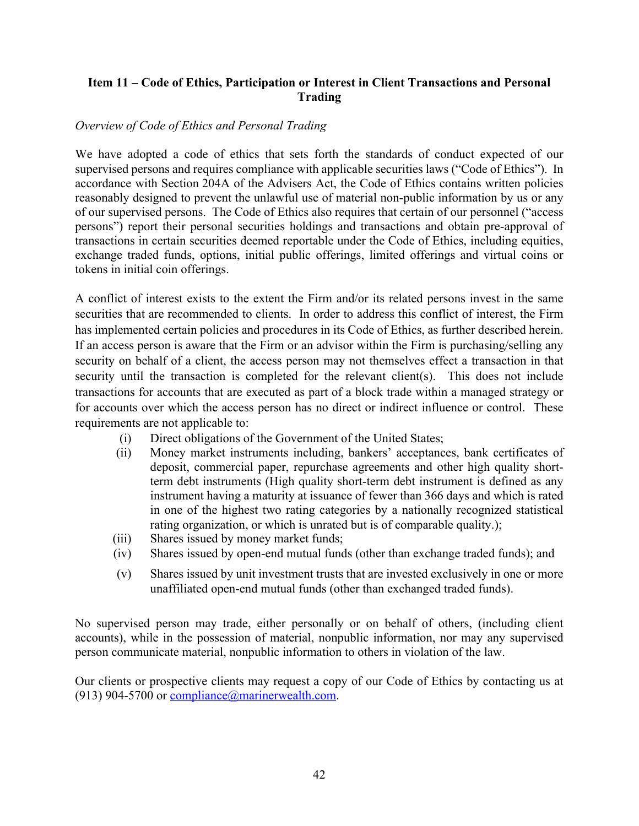# **Item 11 – Code of Ethics, Participation or Interest in Client Transactions and Personal Trading**

# *Overview of Code of Ethics and Personal Trading*

We have adopted a code of ethics that sets forth the standards of conduct expected of our supervised persons and requires compliance with applicable securities laws ("Code of Ethics"). In accordance with Section 204A of the Advisers Act, the Code of Ethics contains written policies reasonably designed to prevent the unlawful use of material non-public information by us or any of our supervised persons. The Code of Ethics also requires that certain of our personnel ("access persons") report their personal securities holdings and transactions and obtain pre-approval of transactions in certain securities deemed reportable under the Code of Ethics, including equities, exchange traded funds, options, initial public offerings, limited offerings and virtual coins or tokens in initial coin offerings.

A conflict of interest exists to the extent the Firm and/or its related persons invest in the same securities that are recommended to clients. In order to address this conflict of interest, the Firm has implemented certain policies and procedures in its Code of Ethics, as further described herein. If an access person is aware that the Firm or an advisor within the Firm is purchasing/selling any security on behalf of a client, the access person may not themselves effect a transaction in that security until the transaction is completed for the relevant client(s). This does not include transactions for accounts that are executed as part of a block trade within a managed strategy or for accounts over which the access person has no direct or indirect influence or control. These requirements are not applicable to:

- (i) Direct obligations of the Government of the United States;
- (ii) Money market instruments including, bankers' acceptances, bank certificates of deposit, commercial paper, repurchase agreements and other high quality shortterm debt instruments (High quality short-term debt instrument is defined as any instrument having a maturity at issuance of fewer than 366 days and which is rated in one of the highest two rating categories by a nationally recognized statistical rating organization, or which is unrated but is of comparable quality.);
- (iii) Shares issued by money market funds;
- (iv) Shares issued by open-end mutual funds (other than exchange traded funds); and
- (v) Shares issued by unit investment trusts that are invested exclusively in one or more unaffiliated open-end mutual funds (other than exchanged traded funds).

No supervised person may trade, either personally or on behalf of others, (including client accounts), while in the possession of material, nonpublic information, nor may any supervised person communicate material, nonpublic information to others in violation of the law.

Our clients or prospective clients may request a copy of our Code of Ethics by contacting us at (913) 904-5700 or compliance@marinerwealth.com.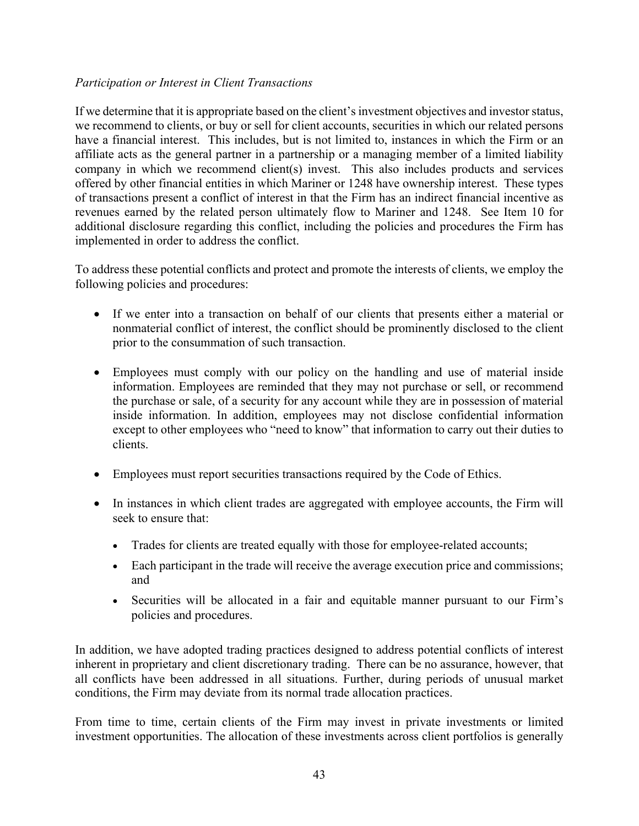# *Participation or Interest in Client Transactions*

If we determine that it is appropriate based on the client's investment objectives and investor status, we recommend to clients, or buy or sell for client accounts, securities in which our related persons have a financial interest. This includes, but is not limited to, instances in which the Firm or an affiliate acts as the general partner in a partnership or a managing member of a limited liability company in which we recommend client(s) invest. This also includes products and services offered by other financial entities in which Mariner or 1248 have ownership interest. These types of transactions present a conflict of interest in that the Firm has an indirect financial incentive as revenues earned by the related person ultimately flow to Mariner and 1248. See Item 10 for additional disclosure regarding this conflict, including the policies and procedures the Firm has implemented in order to address the conflict.

To address these potential conflicts and protect and promote the interests of clients, we employ the following policies and procedures:

- If we enter into a transaction on behalf of our clients that presents either a material or nonmaterial conflict of interest, the conflict should be prominently disclosed to the client prior to the consummation of such transaction.
- Employees must comply with our policy on the handling and use of material inside information. Employees are reminded that they may not purchase or sell, or recommend the purchase or sale, of a security for any account while they are in possession of material inside information. In addition, employees may not disclose confidential information except to other employees who "need to know" that information to carry out their duties to clients.
- Employees must report securities transactions required by the Code of Ethics.
- In instances in which client trades are aggregated with employee accounts, the Firm will seek to ensure that:
	- Trades for clients are treated equally with those for employee-related accounts;
	- Each participant in the trade will receive the average execution price and commissions; and
	- Securities will be allocated in a fair and equitable manner pursuant to our Firm's policies and procedures.

In addition, we have adopted trading practices designed to address potential conflicts of interest inherent in proprietary and client discretionary trading. There can be no assurance, however, that all conflicts have been addressed in all situations. Further, during periods of unusual market conditions, the Firm may deviate from its normal trade allocation practices.

From time to time, certain clients of the Firm may invest in private investments or limited investment opportunities. The allocation of these investments across client portfolios is generally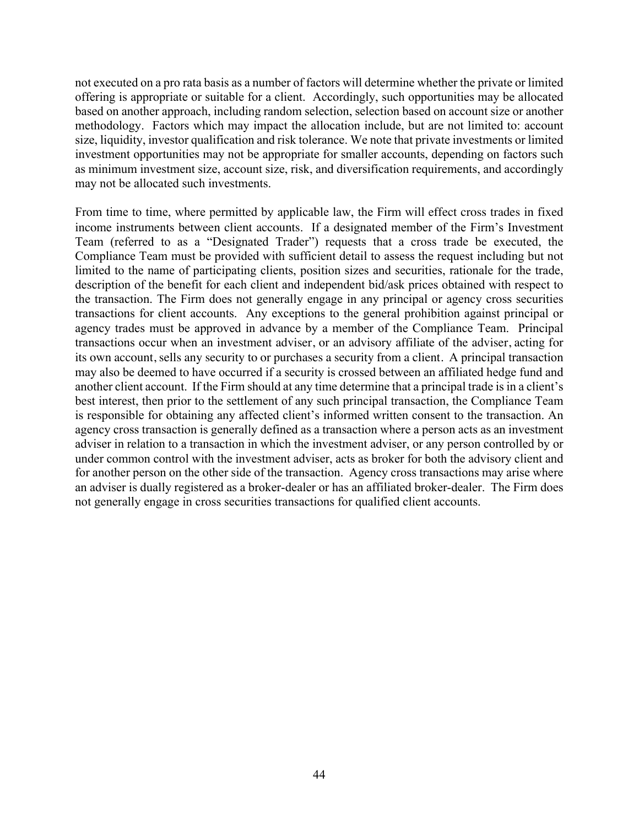not executed on a pro rata basis as a number of factors will determine whether the private or limited offering is appropriate or suitable for a client. Accordingly, such opportunities may be allocated based on another approach, including random selection, selection based on account size or another methodology. Factors which may impact the allocation include, but are not limited to: account size, liquidity, investor qualification and risk tolerance. We note that private investments or limited investment opportunities may not be appropriate for smaller accounts, depending on factors such as minimum investment size, account size, risk, and diversification requirements, and accordingly may not be allocated such investments.

From time to time, where permitted by applicable law, the Firm will effect cross trades in fixed income instruments between client accounts. If a designated member of the Firm's Investment Team (referred to as a "Designated Trader") requests that a cross trade be executed, the Compliance Team must be provided with sufficient detail to assess the request including but not limited to the name of participating clients, position sizes and securities, rationale for the trade, description of the benefit for each client and independent bid/ask prices obtained with respect to the transaction. The Firm does not generally engage in any principal or agency cross securities transactions for client accounts. Any exceptions to the general prohibition against principal or agency trades must be approved in advance by a member of the Compliance Team. Principal transactions occur when an investment adviser, or an advisory affiliate of the adviser, acting for its own account, sells any security to or purchases a security from a client. A principal transaction may also be deemed to have occurred if a security is crossed between an affiliated hedge fund and another client account. If the Firm should at any time determine that a principal trade is in a client's best interest, then prior to the settlement of any such principal transaction, the Compliance Team is responsible for obtaining any affected client's informed written consent to the transaction. An agency cross transaction is generally defined as a transaction where a person acts as an investment adviser in relation to a transaction in which the investment adviser, or any person controlled by or under common control with the investment adviser, acts as broker for both the advisory client and for another person on the other side of the transaction. Agency cross transactions may arise where an adviser is dually registered as a broker-dealer or has an affiliated broker-dealer. The Firm does not generally engage in cross securities transactions for qualified client accounts.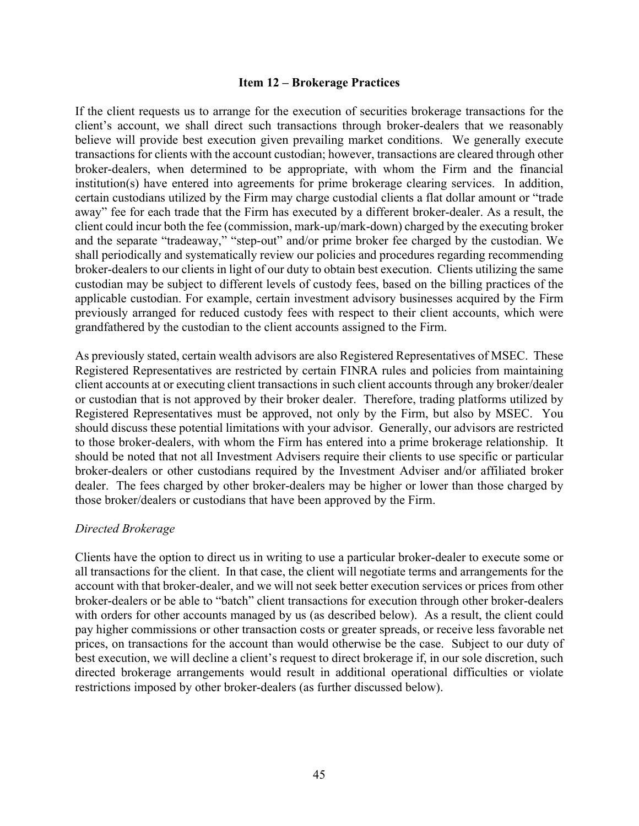#### **Item 12 – Brokerage Practices**

If the client requests us to arrange for the execution of securities brokerage transactions for the client's account, we shall direct such transactions through broker-dealers that we reasonably believe will provide best execution given prevailing market conditions. We generally execute transactions for clients with the account custodian; however, transactions are cleared through other broker-dealers, when determined to be appropriate, with whom the Firm and the financial institution(s) have entered into agreements for prime brokerage clearing services. In addition, certain custodians utilized by the Firm may charge custodial clients a flat dollar amount or "trade away" fee for each trade that the Firm has executed by a different broker-dealer. As a result, the client could incur both the fee (commission, mark-up/mark-down) charged by the executing broker and the separate "tradeaway," "step-out" and/or prime broker fee charged by the custodian. We shall periodically and systematically review our policies and procedures regarding recommending broker-dealers to our clients in light of our duty to obtain best execution. Clients utilizing the same custodian may be subject to different levels of custody fees, based on the billing practices of the applicable custodian. For example, certain investment advisory businesses acquired by the Firm previously arranged for reduced custody fees with respect to their client accounts, which were grandfathered by the custodian to the client accounts assigned to the Firm.

As previously stated, certain wealth advisors are also Registered Representatives of MSEC. These Registered Representatives are restricted by certain FINRA rules and policies from maintaining client accounts at or executing client transactions in such client accounts through any broker/dealer or custodian that is not approved by their broker dealer. Therefore, trading platforms utilized by Registered Representatives must be approved, not only by the Firm, but also by MSEC. You should discuss these potential limitations with your advisor. Generally, our advisors are restricted to those broker-dealers, with whom the Firm has entered into a prime brokerage relationship. It should be noted that not all Investment Advisers require their clients to use specific or particular broker-dealers or other custodians required by the Investment Adviser and/or affiliated broker dealer. The fees charged by other broker-dealers may be higher or lower than those charged by those broker/dealers or custodians that have been approved by the Firm.

#### *Directed Brokerage*

Clients have the option to direct us in writing to use a particular broker-dealer to execute some or all transactions for the client. In that case, the client will negotiate terms and arrangements for the account with that broker-dealer, and we will not seek better execution services or prices from other broker-dealers or be able to "batch" client transactions for execution through other broker-dealers with orders for other accounts managed by us (as described below). As a result, the client could pay higher commissions or other transaction costs or greater spreads, or receive less favorable net prices, on transactions for the account than would otherwise be the case. Subject to our duty of best execution, we will decline a client's request to direct brokerage if, in our sole discretion, such directed brokerage arrangements would result in additional operational difficulties or violate restrictions imposed by other broker-dealers (as further discussed below).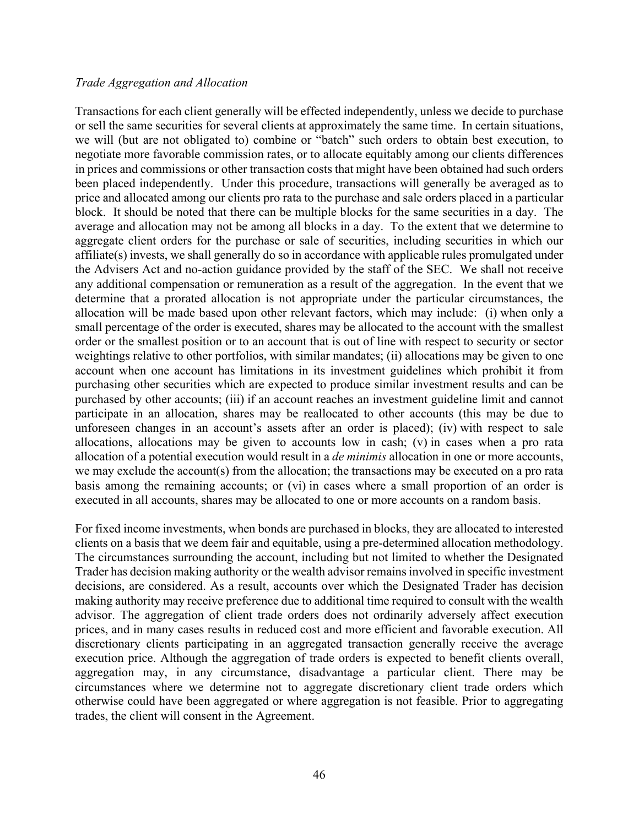#### *Trade Aggregation and Allocation*

Transactions for each client generally will be effected independently, unless we decide to purchase or sell the same securities for several clients at approximately the same time. In certain situations, we will (but are not obligated to) combine or "batch" such orders to obtain best execution, to negotiate more favorable commission rates, or to allocate equitably among our clients differences in prices and commissions or other transaction costs that might have been obtained had such orders been placed independently. Under this procedure, transactions will generally be averaged as to price and allocated among our clients pro rata to the purchase and sale orders placed in a particular block. It should be noted that there can be multiple blocks for the same securities in a day. The average and allocation may not be among all blocks in a day. To the extent that we determine to aggregate client orders for the purchase or sale of securities, including securities in which our affiliate(s) invests, we shall generally do so in accordance with applicable rules promulgated under the Advisers Act and no-action guidance provided by the staff of the SEC. We shall not receive any additional compensation or remuneration as a result of the aggregation. In the event that we determine that a prorated allocation is not appropriate under the particular circumstances, the allocation will be made based upon other relevant factors, which may include: (i) when only a small percentage of the order is executed, shares may be allocated to the account with the smallest order or the smallest position or to an account that is out of line with respect to security or sector weightings relative to other portfolios, with similar mandates; (ii) allocations may be given to one account when one account has limitations in its investment guidelines which prohibit it from purchasing other securities which are expected to produce similar investment results and can be purchased by other accounts; (iii) if an account reaches an investment guideline limit and cannot participate in an allocation, shares may be reallocated to other accounts (this may be due to unforeseen changes in an account's assets after an order is placed); (iv) with respect to sale allocations, allocations may be given to accounts low in cash; (v) in cases when a pro rata allocation of a potential execution would result in a *de minimis* allocation in one or more accounts, we may exclude the account(s) from the allocation; the transactions may be executed on a pro rata basis among the remaining accounts; or (vi) in cases where a small proportion of an order is executed in all accounts, shares may be allocated to one or more accounts on a random basis.

For fixed income investments, when bonds are purchased in blocks, they are allocated to interested clients on a basis that we deem fair and equitable, using a pre-determined allocation methodology. The circumstances surrounding the account, including but not limited to whether the Designated Trader has decision making authority or the wealth advisor remains involved in specific investment decisions, are considered. As a result, accounts over which the Designated Trader has decision making authority may receive preference due to additional time required to consult with the wealth advisor. The aggregation of client trade orders does not ordinarily adversely affect execution prices, and in many cases results in reduced cost and more efficient and favorable execution. All discretionary clients participating in an aggregated transaction generally receive the average execution price. Although the aggregation of trade orders is expected to benefit clients overall, aggregation may, in any circumstance, disadvantage a particular client. There may be circumstances where we determine not to aggregate discretionary client trade orders which otherwise could have been aggregated or where aggregation is not feasible. Prior to aggregating trades, the client will consent in the Agreement.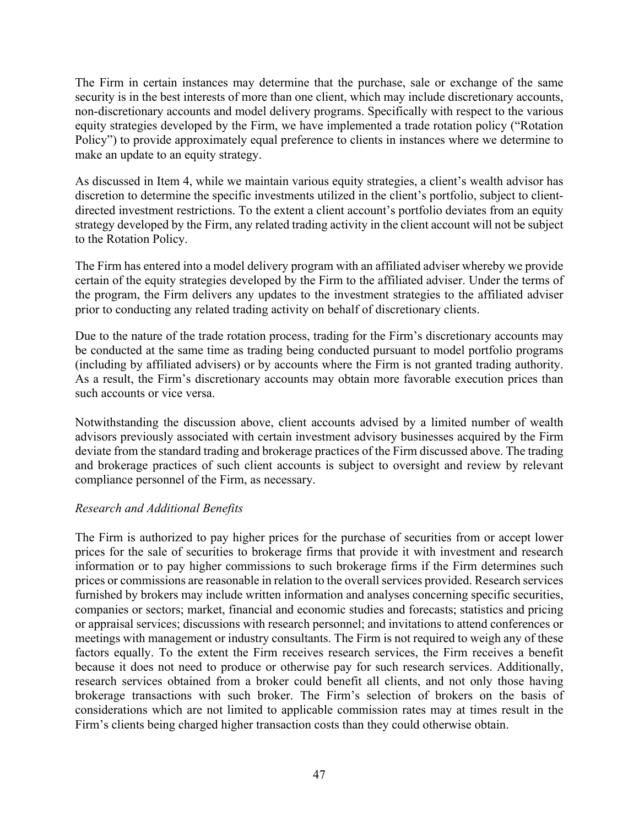The Firm in certain instances may determine that the purchase, sale or exchange of the same security is in the best interests of more than one client, which may include discretionary accounts, non-discretionary accounts and model delivery programs. Specifically with respect to the various equity strategies developed by the Firm, we have implemented a trade rotation policy ("Rotation Policy") to provide approximately equal preference to clients in instances where we determine to make an update to an equity strategy.

As discussed in Item 4, while we maintain various equity strategies, a client's wealth advisor has discretion to determine the specific investments utilized in the client's portfolio, subject to clientdirected investment restrictions. To the extent a client account's portfolio deviates from an equity strategy developed by the Firm, any related trading activity in the client account will not be subject to the Rotation Policy.

The Firm has entered into a model delivery program with an affiliated adviser whereby we provide certain of the equity strategies developed by the Firm to the affiliated adviser. Under the terms of the program, the Firm delivers any updates to the investment strategies to the affiliated adviser prior to conducting any related trading activity on behalf of discretionary clients.

Due to the nature of the trade rotation process, trading for the Firm's discretionary accounts may be conducted at the same time as trading being conducted pursuant to model portfolio programs (including by affiliated advisers) or by accounts where the Firm is not granted trading authority. As a result, the Firm's discretionary accounts may obtain more favorable execution prices than such accounts or vice versa.

Notwithstanding the discussion above, client accounts advised by a limited number of wealth advisors previously associated with certain investment advisory businesses acquired by the Firm deviate from the standard trading and brokerage practices of the Firm discussed above. The trading and brokerage practices of such client accounts is subject to oversight and review by relevant compliance personnel of the Firm, as necessary.

# *Research and Additional Benefits*

The Firm is authorized to pay higher prices for the purchase of securities from or accept lower prices for the sale of securities to brokerage firms that provide it with investment and research information or to pay higher commissions to such brokerage firms if the Firm determines such prices or commissions are reasonable in relation to the overall services provided. Research services furnished by brokers may include written information and analyses concerning specific securities, companies or sectors; market, financial and economic studies and forecasts; statistics and pricing or appraisal services; discussions with research personnel; and invitations to attend conferences or meetings with management or industry consultants. The Firm is not required to weigh any of these factors equally. To the extent the Firm receives research services, the Firm receives a benefit because it does not need to produce or otherwise pay for such research services. Additionally, research services obtained from a broker could benefit all clients, and not only those having brokerage transactions with such broker. The Firm's selection of brokers on the basis of considerations which are not limited to applicable commission rates may at times result in the Firm's clients being charged higher transaction costs than they could otherwise obtain.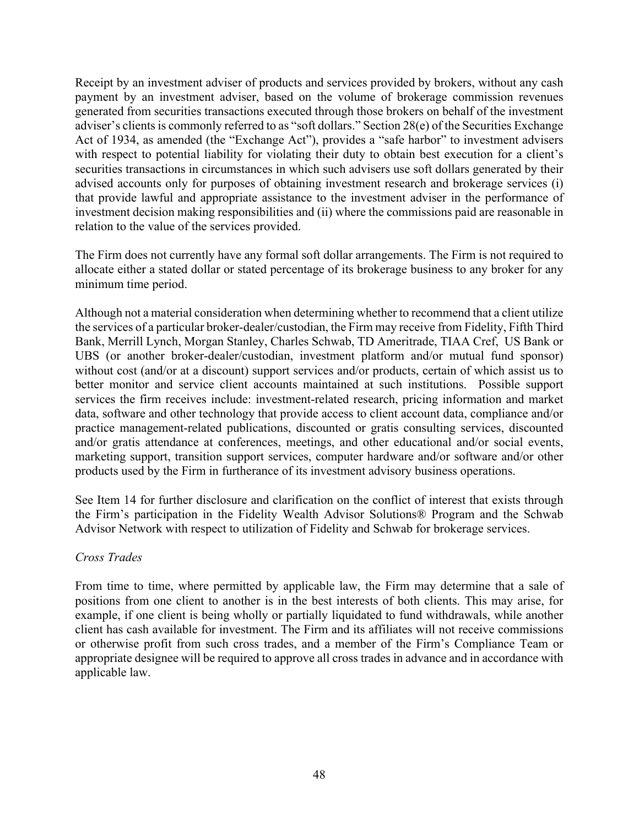Receipt by an investment adviser of products and services provided by brokers, without any cash payment by an investment adviser, based on the volume of brokerage commission revenues generated from securities transactions executed through those brokers on behalf of the investment adviser's clients is commonly referred to as "soft dollars." Section 28(e) of the Securities Exchange Act of 1934, as amended (the "Exchange Act"), provides a "safe harbor" to investment advisers with respect to potential liability for violating their duty to obtain best execution for a client's securities transactions in circumstances in which such advisers use soft dollars generated by their advised accounts only for purposes of obtaining investment research and brokerage services (i) that provide lawful and appropriate assistance to the investment adviser in the performance of investment decision making responsibilities and (ii) where the commissions paid are reasonable in relation to the value of the services provided.

The Firm does not currently have any formal soft dollar arrangements. The Firm is not required to allocate either a stated dollar or stated percentage of its brokerage business to any broker for any minimum time period.

Although not a material consideration when determining whether to recommend that a client utilize the services of a particular broker-dealer/custodian, the Firm may receive from Fidelity, Fifth Third Bank, Merrill Lynch, Morgan Stanley, Charles Schwab, TD Ameritrade, TIAA Cref, US Bank or UBS (or another broker-dealer/custodian, investment platform and/or mutual fund sponsor) without cost (and/or at a discount) support services and/or products, certain of which assist us to better monitor and service client accounts maintained at such institutions. Possible support services the firm receives include: investment-related research, pricing information and market data, software and other technology that provide access to client account data, compliance and/or practice management-related publications, discounted or gratis consulting services, discounted and/or gratis attendance at conferences, meetings, and other educational and/or social events, marketing support, transition support services, computer hardware and/or software and/or other products used by the Firm in furtherance of its investment advisory business operations.

See Item 14 for further disclosure and clarification on the conflict of interest that exists through the Firm's participation in the Fidelity Wealth Advisor Solutions® Program and the Schwab Advisor Network with respect to utilization of Fidelity and Schwab for brokerage services.

#### *Cross Trades*

From time to time, where permitted by applicable law, the Firm may determine that a sale of positions from one client to another is in the best interests of both clients. This may arise, for example, if one client is being wholly or partially liquidated to fund withdrawals, while another client has cash available for investment. The Firm and its affiliates will not receive commissions or otherwise profit from such cross trades, and a member of the Firm's Compliance Team or appropriate designee will be required to approve all cross trades in advance and in accordance with applicable law.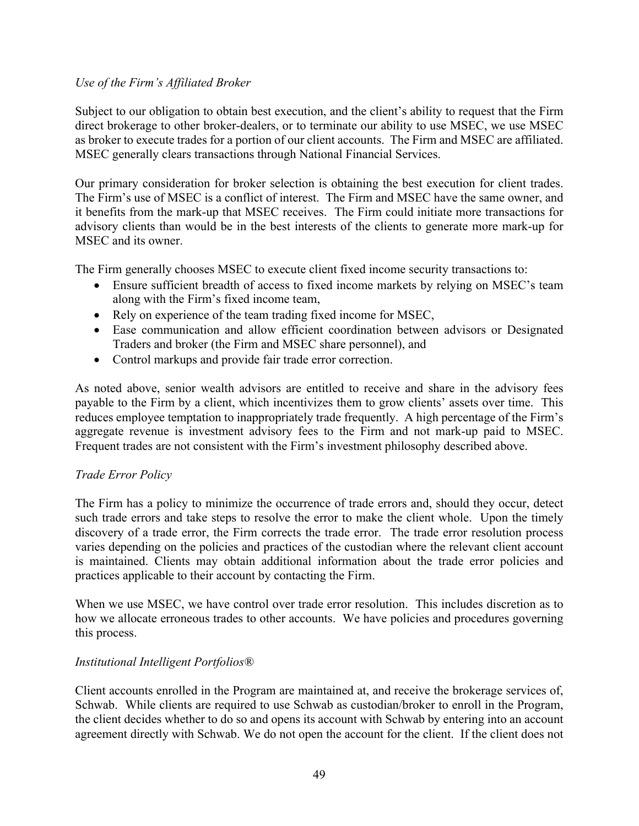# *Use of the Firm's Affiliated Broker*

Subject to our obligation to obtain best execution, and the client's ability to request that the Firm direct brokerage to other broker-dealers, or to terminate our ability to use MSEC, we use MSEC as broker to execute trades for a portion of our client accounts. The Firm and MSEC are affiliated. MSEC generally clears transactions through National Financial Services.

Our primary consideration for broker selection is obtaining the best execution for client trades. The Firm's use of MSEC is a conflict of interest. The Firm and MSEC have the same owner, and it benefits from the mark-up that MSEC receives. The Firm could initiate more transactions for advisory clients than would be in the best interests of the clients to generate more mark-up for MSEC and its owner.

The Firm generally chooses MSEC to execute client fixed income security transactions to:

- Ensure sufficient breadth of access to fixed income markets by relying on MSEC's team along with the Firm's fixed income team,
- Rely on experience of the team trading fixed income for MSEC,
- Ease communication and allow efficient coordination between advisors or Designated Traders and broker (the Firm and MSEC share personnel), and
- Control markups and provide fair trade error correction.

As noted above, senior wealth advisors are entitled to receive and share in the advisory fees payable to the Firm by a client, which incentivizes them to grow clients' assets over time. This reduces employee temptation to inappropriately trade frequently. A high percentage of the Firm's aggregate revenue is investment advisory fees to the Firm and not mark-up paid to MSEC. Frequent trades are not consistent with the Firm's investment philosophy described above.

#### *Trade Error Policy*

The Firm has a policy to minimize the occurrence of trade errors and, should they occur, detect such trade errors and take steps to resolve the error to make the client whole. Upon the timely discovery of a trade error, the Firm corrects the trade error. The trade error resolution process varies depending on the policies and practices of the custodian where the relevant client account is maintained. Clients may obtain additional information about the trade error policies and practices applicable to their account by contacting the Firm.

When we use MSEC, we have control over trade error resolution. This includes discretion as to how we allocate erroneous trades to other accounts. We have policies and procedures governing this process.

#### *Institutional Intelligent Portfolios®*

Client accounts enrolled in the Program are maintained at, and receive the brokerage services of, Schwab. While clients are required to use Schwab as custodian/broker to enroll in the Program, the client decides whether to do so and opens its account with Schwab by entering into an account agreement directly with Schwab. We do not open the account for the client. If the client does not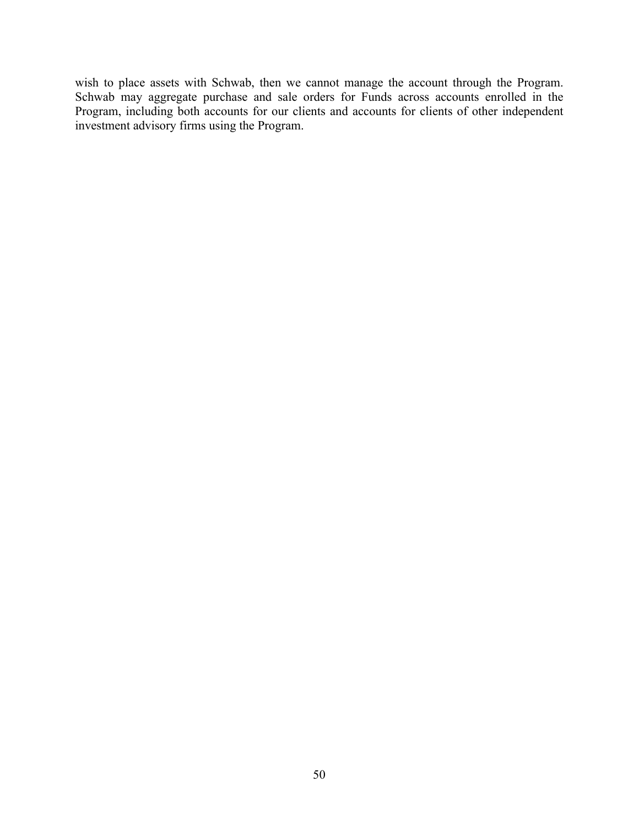wish to place assets with Schwab, then we cannot manage the account through the Program. Schwab may aggregate purchase and sale orders for Funds across accounts enrolled in the Program, including both accounts for our clients and accounts for clients of other independent investment advisory firms using the Program.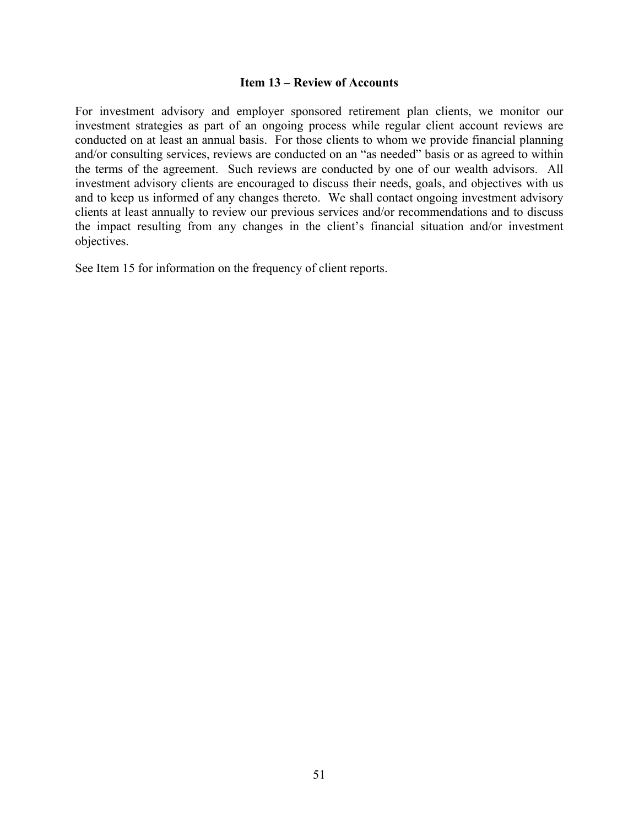#### **Item 13 – Review of Accounts**

For investment advisory and employer sponsored retirement plan clients, we monitor our investment strategies as part of an ongoing process while regular client account reviews are conducted on at least an annual basis. For those clients to whom we provide financial planning and/or consulting services, reviews are conducted on an "as needed" basis or as agreed to within the terms of the agreement. Such reviews are conducted by one of our wealth advisors. All investment advisory clients are encouraged to discuss their needs, goals, and objectives with us and to keep us informed of any changes thereto. We shall contact ongoing investment advisory clients at least annually to review our previous services and/or recommendations and to discuss the impact resulting from any changes in the client's financial situation and/or investment objectives.

See Item 15 for information on the frequency of client reports.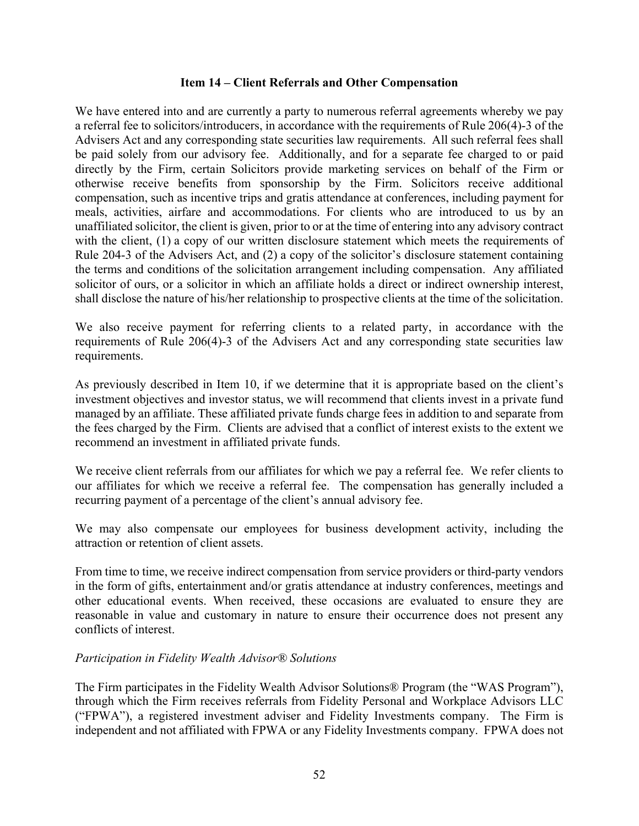#### **Item 14 – Client Referrals and Other Compensation**

We have entered into and are currently a party to numerous referral agreements whereby we pay a referral fee to solicitors/introducers, in accordance with the requirements of Rule 206(4)-3 of the Advisers Act and any corresponding state securities law requirements. All such referral fees shall be paid solely from our advisory fee. Additionally, and for a separate fee charged to or paid directly by the Firm, certain Solicitors provide marketing services on behalf of the Firm or otherwise receive benefits from sponsorship by the Firm. Solicitors receive additional compensation, such as incentive trips and gratis attendance at conferences, including payment for meals, activities, airfare and accommodations. For clients who are introduced to us by an unaffiliated solicitor, the client is given, prior to or at the time of entering into any advisory contract with the client, (1) a copy of our written disclosure statement which meets the requirements of Rule 204-3 of the Advisers Act, and (2) a copy of the solicitor's disclosure statement containing the terms and conditions of the solicitation arrangement including compensation. Any affiliated solicitor of ours, or a solicitor in which an affiliate holds a direct or indirect ownership interest, shall disclose the nature of his/her relationship to prospective clients at the time of the solicitation.

We also receive payment for referring clients to a related party, in accordance with the requirements of Rule 206(4)-3 of the Advisers Act and any corresponding state securities law requirements.

As previously described in Item 10, if we determine that it is appropriate based on the client's investment objectives and investor status, we will recommend that clients invest in a private fund managed by an affiliate. These affiliated private funds charge fees in addition to and separate from the fees charged by the Firm. Clients are advised that a conflict of interest exists to the extent we recommend an investment in affiliated private funds.

We receive client referrals from our affiliates for which we pay a referral fee. We refer clients to our affiliates for which we receive a referral fee. The compensation has generally included a recurring payment of a percentage of the client's annual advisory fee.

We may also compensate our employees for business development activity, including the attraction or retention of client assets.

From time to time, we receive indirect compensation from service providers or third-party vendors in the form of gifts, entertainment and/or gratis attendance at industry conferences, meetings and other educational events. When received, these occasions are evaluated to ensure they are reasonable in value and customary in nature to ensure their occurrence does not present any conflicts of interest.

#### *Participation in Fidelity Wealth Advisor® Solutions*

The Firm participates in the Fidelity Wealth Advisor Solutions® Program (the "WAS Program"), through which the Firm receives referrals from Fidelity Personal and Workplace Advisors LLC ("FPWA"), a registered investment adviser and Fidelity Investments company. The Firm is independent and not affiliated with FPWA or any Fidelity Investments company. FPWA does not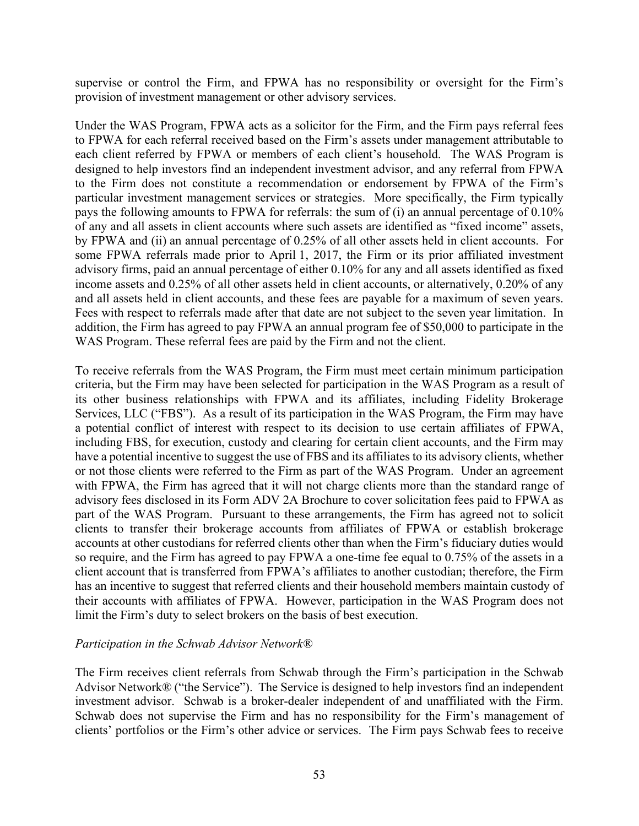supervise or control the Firm, and FPWA has no responsibility or oversight for the Firm's provision of investment management or other advisory services.

Under the WAS Program, FPWA acts as a solicitor for the Firm, and the Firm pays referral fees to FPWA for each referral received based on the Firm's assets under management attributable to each client referred by FPWA or members of each client's household. The WAS Program is designed to help investors find an independent investment advisor, and any referral from FPWA to the Firm does not constitute a recommendation or endorsement by FPWA of the Firm's particular investment management services or strategies. More specifically, the Firm typically pays the following amounts to FPWA for referrals: the sum of (i) an annual percentage of 0.10% of any and all assets in client accounts where such assets are identified as "fixed income" assets, by FPWA and (ii) an annual percentage of 0.25% of all other assets held in client accounts. For some FPWA referrals made prior to April 1, 2017, the Firm or its prior affiliated investment advisory firms, paid an annual percentage of either 0.10% for any and all assets identified as fixed income assets and 0.25% of all other assets held in client accounts, or alternatively, 0.20% of any and all assets held in client accounts, and these fees are payable for a maximum of seven years. Fees with respect to referrals made after that date are not subject to the seven year limitation. In addition, the Firm has agreed to pay FPWA an annual program fee of \$50,000 to participate in the WAS Program. These referral fees are paid by the Firm and not the client.

To receive referrals from the WAS Program, the Firm must meet certain minimum participation criteria, but the Firm may have been selected for participation in the WAS Program as a result of its other business relationships with FPWA and its affiliates, including Fidelity Brokerage Services, LLC ("FBS"). As a result of its participation in the WAS Program, the Firm may have a potential conflict of interest with respect to its decision to use certain affiliates of FPWA, including FBS, for execution, custody and clearing for certain client accounts, and the Firm may have a potential incentive to suggest the use of FBS and its affiliates to its advisory clients, whether or not those clients were referred to the Firm as part of the WAS Program. Under an agreement with FPWA, the Firm has agreed that it will not charge clients more than the standard range of advisory fees disclosed in its Form ADV 2A Brochure to cover solicitation fees paid to FPWA as part of the WAS Program. Pursuant to these arrangements, the Firm has agreed not to solicit clients to transfer their brokerage accounts from affiliates of FPWA or establish brokerage accounts at other custodians for referred clients other than when the Firm's fiduciary duties would so require, and the Firm has agreed to pay FPWA a one-time fee equal to 0.75% of the assets in a client account that is transferred from FPWA's affiliates to another custodian; therefore, the Firm has an incentive to suggest that referred clients and their household members maintain custody of their accounts with affiliates of FPWA. However, participation in the WAS Program does not limit the Firm's duty to select brokers on the basis of best execution.

#### *Participation in the Schwab Advisor Network®*

The Firm receives client referrals from Schwab through the Firm's participation in the Schwab Advisor Network® ("the Service"). The Service is designed to help investors find an independent investment advisor. Schwab is a broker-dealer independent of and unaffiliated with the Firm. Schwab does not supervise the Firm and has no responsibility for the Firm's management of clients' portfolios or the Firm's other advice or services. The Firm pays Schwab fees to receive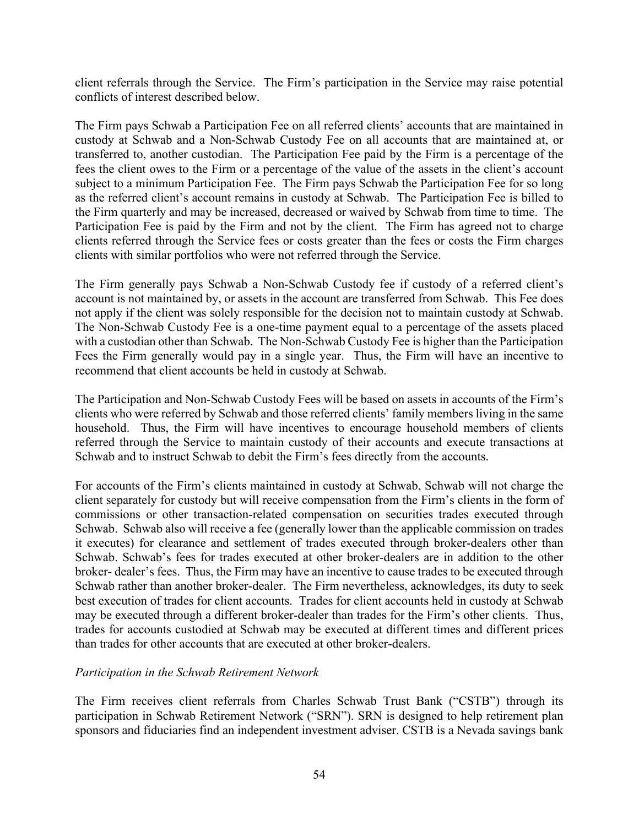client referrals through the Service. The Firm's participation in the Service may raise potential conflicts of interest described below.

The Firm pays Schwab a Participation Fee on all referred clients' accounts that are maintained in custody at Schwab and a Non-Schwab Custody Fee on all accounts that are maintained at, or transferred to, another custodian. The Participation Fee paid by the Firm is a percentage of the fees the client owes to the Firm or a percentage of the value of the assets in the client's account subject to a minimum Participation Fee. The Firm pays Schwab the Participation Fee for so long as the referred client's account remains in custody at Schwab. The Participation Fee is billed to the Firm quarterly and may be increased, decreased or waived by Schwab from time to time. The Participation Fee is paid by the Firm and not by the client. The Firm has agreed not to charge clients referred through the Service fees or costs greater than the fees or costs the Firm charges clients with similar portfolios who were not referred through the Service.

The Firm generally pays Schwab a Non-Schwab Custody fee if custody of a referred client's account is not maintained by, or assets in the account are transferred from Schwab. This Fee does not apply if the client was solely responsible for the decision not to maintain custody at Schwab. The Non-Schwab Custody Fee is a one-time payment equal to a percentage of the assets placed with a custodian other than Schwab. The Non-Schwab Custody Fee is higher than the Participation Fees the Firm generally would pay in a single year. Thus, the Firm will have an incentive to recommend that client accounts be held in custody at Schwab.

The Participation and Non-Schwab Custody Fees will be based on assets in accounts of the Firm's clients who were referred by Schwab and those referred clients' family members living in the same household. Thus, the Firm will have incentives to encourage household members of clients referred through the Service to maintain custody of their accounts and execute transactions at Schwab and to instruct Schwab to debit the Firm's fees directly from the accounts.

For accounts of the Firm's clients maintained in custody at Schwab, Schwab will not charge the client separately for custody but will receive compensation from the Firm's clients in the form of commissions or other transaction-related compensation on securities trades executed through Schwab. Schwab also will receive a fee (generally lower than the applicable commission on trades it executes) for clearance and settlement of trades executed through broker-dealers other than Schwab. Schwab's fees for trades executed at other broker-dealers are in addition to the other broker- dealer's fees. Thus, the Firm may have an incentive to cause trades to be executed through Schwab rather than another broker-dealer. The Firm nevertheless, acknowledges, its duty to seek best execution of trades for client accounts. Trades for client accounts held in custody at Schwab may be executed through a different broker-dealer than trades for the Firm's other clients. Thus, trades for accounts custodied at Schwab may be executed at different times and different prices than trades for other accounts that are executed at other broker-dealers.

#### *Participation in the Schwab Retirement Network*

The Firm receives client referrals from Charles Schwab Trust Bank ("CSTB") through its participation in Schwab Retirement Network ("SRN"). SRN is designed to help retirement plan sponsors and fiduciaries find an independent investment adviser. CSTB is a Nevada savings bank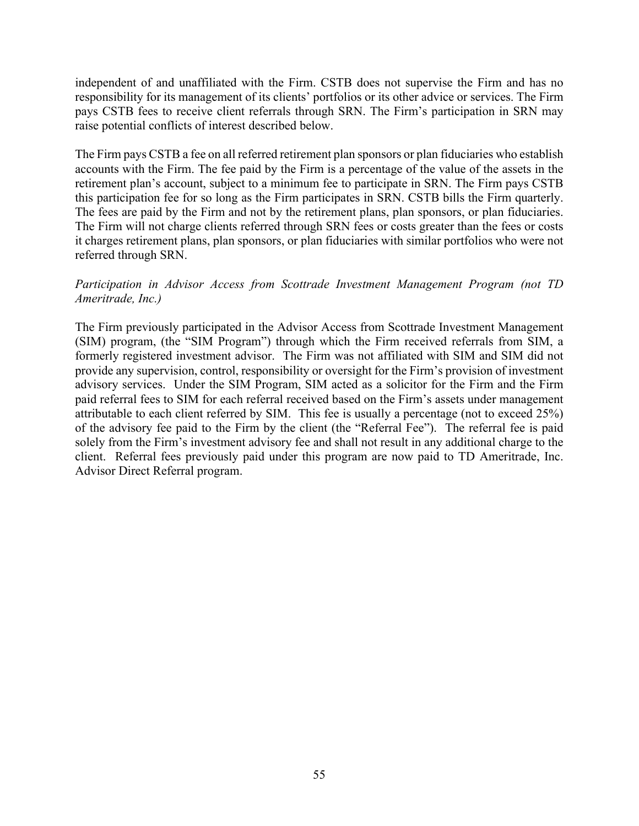independent of and unaffiliated with the Firm. CSTB does not supervise the Firm and has no responsibility for its management of its clients' portfolios or its other advice or services. The Firm pays CSTB fees to receive client referrals through SRN. The Firm's participation in SRN may raise potential conflicts of interest described below.

The Firm pays CSTB a fee on all referred retirement plan sponsors or plan fiduciaries who establish accounts with the Firm. The fee paid by the Firm is a percentage of the value of the assets in the retirement plan's account, subject to a minimum fee to participate in SRN. The Firm pays CSTB this participation fee for so long as the Firm participates in SRN. CSTB bills the Firm quarterly. The fees are paid by the Firm and not by the retirement plans, plan sponsors, or plan fiduciaries. The Firm will not charge clients referred through SRN fees or costs greater than the fees or costs it charges retirement plans, plan sponsors, or plan fiduciaries with similar portfolios who were not referred through SRN.

# *Participation in Advisor Access from Scottrade Investment Management Program (not TD Ameritrade, Inc.)*

The Firm previously participated in the Advisor Access from Scottrade Investment Management (SIM) program, (the "SIM Program") through which the Firm received referrals from SIM, a formerly registered investment advisor. The Firm was not affiliated with SIM and SIM did not provide any supervision, control, responsibility or oversight for the Firm's provision of investment advisory services. Under the SIM Program, SIM acted as a solicitor for the Firm and the Firm paid referral fees to SIM for each referral received based on the Firm's assets under management attributable to each client referred by SIM. This fee is usually a percentage (not to exceed 25%) of the advisory fee paid to the Firm by the client (the "Referral Fee"). The referral fee is paid solely from the Firm's investment advisory fee and shall not result in any additional charge to the client. Referral fees previously paid under this program are now paid to TD Ameritrade, Inc. Advisor Direct Referral program.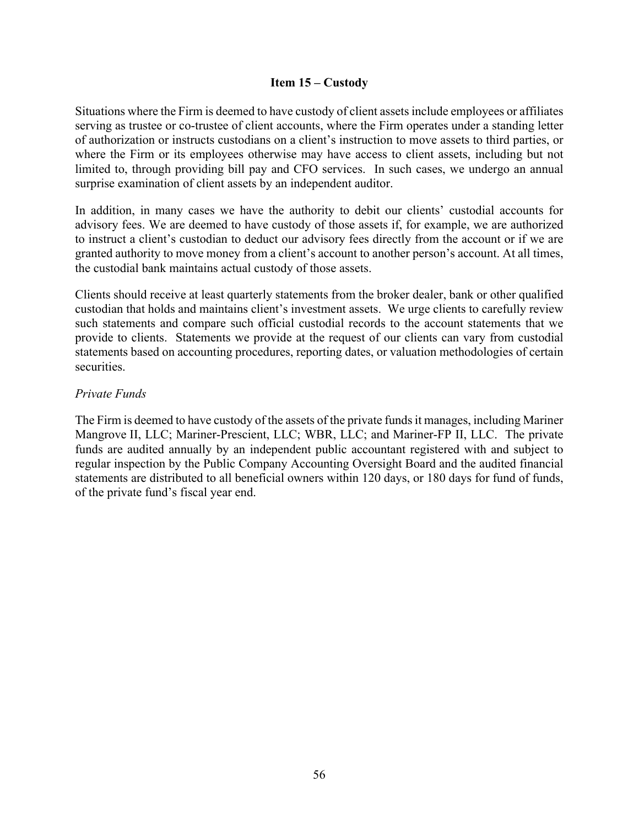#### **Item 15 – Custody**

Situations where the Firm is deemed to have custody of client assets include employees or affiliates serving as trustee or co-trustee of client accounts, where the Firm operates under a standing letter of authorization or instructs custodians on a client's instruction to move assets to third parties, or where the Firm or its employees otherwise may have access to client assets, including but not limited to, through providing bill pay and CFO services. In such cases, we undergo an annual surprise examination of client assets by an independent auditor.

In addition, in many cases we have the authority to debit our clients' custodial accounts for advisory fees. We are deemed to have custody of those assets if, for example, we are authorized to instruct a client's custodian to deduct our advisory fees directly from the account or if we are granted authority to move money from a client's account to another person's account. At all times, the custodial bank maintains actual custody of those assets.

Clients should receive at least quarterly statements from the broker dealer, bank or other qualified custodian that holds and maintains client's investment assets. We urge clients to carefully review such statements and compare such official custodial records to the account statements that we provide to clients. Statements we provide at the request of our clients can vary from custodial statements based on accounting procedures, reporting dates, or valuation methodologies of certain securities.

#### *Private Funds*

The Firm is deemed to have custody of the assets of the private funds it manages, including Mariner Mangrove II, LLC; Mariner-Prescient, LLC; WBR, LLC; and Mariner-FP II, LLC. The private funds are audited annually by an independent public accountant registered with and subject to regular inspection by the Public Company Accounting Oversight Board and the audited financial statements are distributed to all beneficial owners within 120 days, or 180 days for fund of funds, of the private fund's fiscal year end.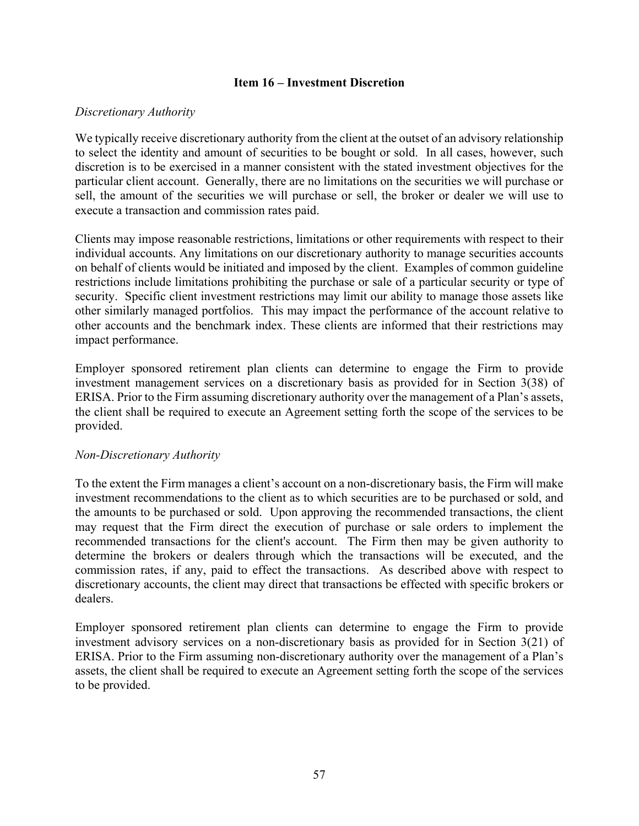#### **Item 16 – Investment Discretion**

#### *Discretionary Authority*

We typically receive discretionary authority from the client at the outset of an advisory relationship to select the identity and amount of securities to be bought or sold. In all cases, however, such discretion is to be exercised in a manner consistent with the stated investment objectives for the particular client account. Generally, there are no limitations on the securities we will purchase or sell, the amount of the securities we will purchase or sell, the broker or dealer we will use to execute a transaction and commission rates paid.

Clients may impose reasonable restrictions, limitations or other requirements with respect to their individual accounts. Any limitations on our discretionary authority to manage securities accounts on behalf of clients would be initiated and imposed by the client. Examples of common guideline restrictions include limitations prohibiting the purchase or sale of a particular security or type of security. Specific client investment restrictions may limit our ability to manage those assets like other similarly managed portfolios. This may impact the performance of the account relative to other accounts and the benchmark index. These clients are informed that their restrictions may impact performance.

Employer sponsored retirement plan clients can determine to engage the Firm to provide investment management services on a discretionary basis as provided for in Section 3(38) of ERISA. Prior to the Firm assuming discretionary authority over the management of a Plan's assets, the client shall be required to execute an Agreement setting forth the scope of the services to be provided.

#### *Non-Discretionary Authority*

To the extent the Firm manages a client's account on a non-discretionary basis, the Firm will make investment recommendations to the client as to which securities are to be purchased or sold, and the amounts to be purchased or sold. Upon approving the recommended transactions, the client may request that the Firm direct the execution of purchase or sale orders to implement the recommended transactions for the client's account. The Firm then may be given authority to determine the brokers or dealers through which the transactions will be executed, and the commission rates, if any, paid to effect the transactions. As described above with respect to discretionary accounts, the client may direct that transactions be effected with specific brokers or dealers.

Employer sponsored retirement plan clients can determine to engage the Firm to provide investment advisory services on a non-discretionary basis as provided for in Section 3(21) of ERISA. Prior to the Firm assuming non-discretionary authority over the management of a Plan's assets, the client shall be required to execute an Agreement setting forth the scope of the services to be provided.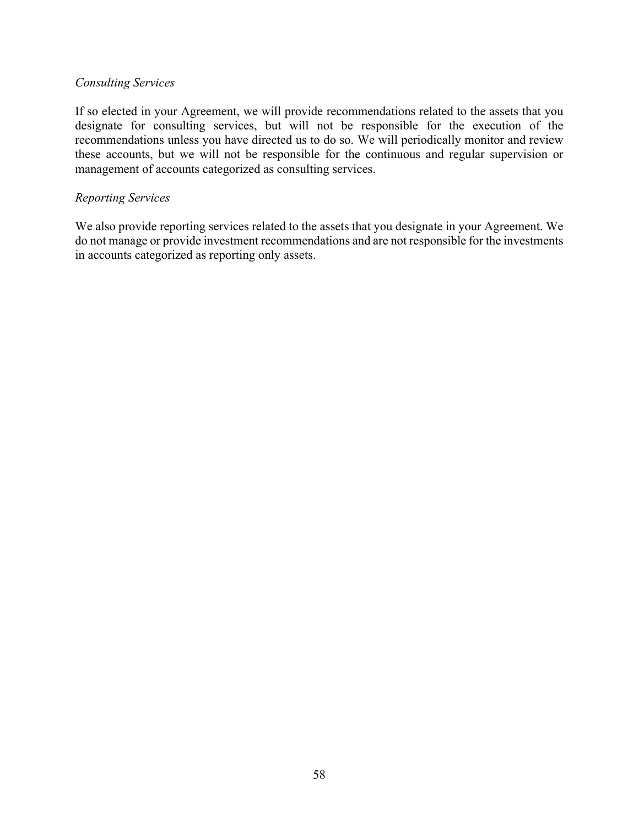#### *Consulting Services*

If so elected in your Agreement, we will provide recommendations related to the assets that you designate for consulting services, but will not be responsible for the execution of the recommendations unless you have directed us to do so. We will periodically monitor and review these accounts, but we will not be responsible for the continuous and regular supervision or management of accounts categorized as consulting services.

#### *Reporting Services*

We also provide reporting services related to the assets that you designate in your Agreement. We do not manage or provide investment recommendations and are not responsible for the investments in accounts categorized as reporting only assets.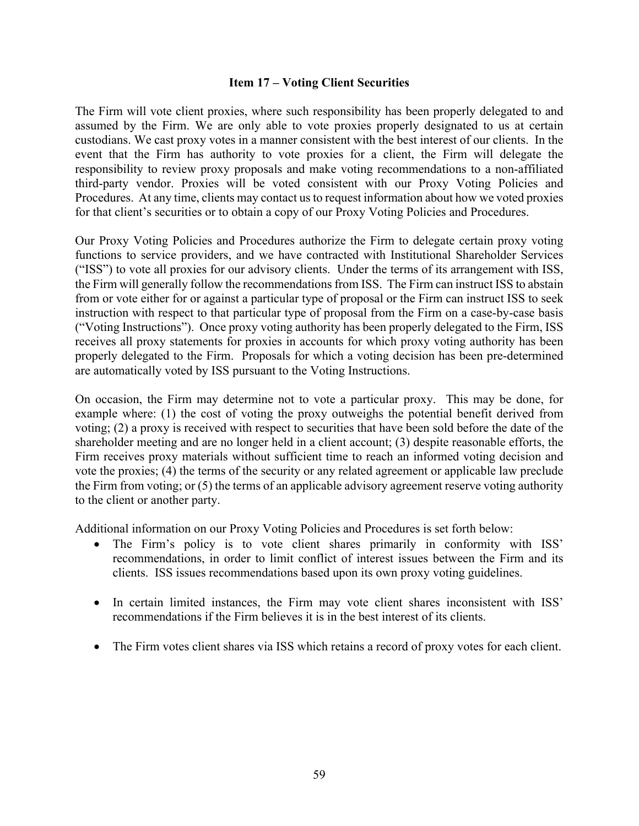#### **Item 17 – Voting Client Securities**

The Firm will vote client proxies, where such responsibility has been properly delegated to and assumed by the Firm. We are only able to vote proxies properly designated to us at certain custodians. We cast proxy votes in a manner consistent with the best interest of our clients. In the event that the Firm has authority to vote proxies for a client, the Firm will delegate the responsibility to review proxy proposals and make voting recommendations to a non-affiliated third-party vendor. Proxies will be voted consistent with our Proxy Voting Policies and Procedures. At any time, clients may contact us to request information about how we voted proxies for that client's securities or to obtain a copy of our Proxy Voting Policies and Procedures.

Our Proxy Voting Policies and Procedures authorize the Firm to delegate certain proxy voting functions to service providers, and we have contracted with Institutional Shareholder Services ("ISS") to vote all proxies for our advisory clients. Under the terms of its arrangement with ISS, the Firm will generally follow the recommendations from ISS. The Firm can instruct ISS to abstain from or vote either for or against a particular type of proposal or the Firm can instruct ISS to seek instruction with respect to that particular type of proposal from the Firm on a case-by-case basis ("Voting Instructions"). Once proxy voting authority has been properly delegated to the Firm, ISS receives all proxy statements for proxies in accounts for which proxy voting authority has been properly delegated to the Firm. Proposals for which a voting decision has been pre-determined are automatically voted by ISS pursuant to the Voting Instructions.

On occasion, the Firm may determine not to vote a particular proxy. This may be done, for example where: (1) the cost of voting the proxy outweighs the potential benefit derived from voting; (2) a proxy is received with respect to securities that have been sold before the date of the shareholder meeting and are no longer held in a client account; (3) despite reasonable efforts, the Firm receives proxy materials without sufficient time to reach an informed voting decision and vote the proxies; (4) the terms of the security or any related agreement or applicable law preclude the Firm from voting; or (5) the terms of an applicable advisory agreement reserve voting authority to the client or another party.

Additional information on our Proxy Voting Policies and Procedures is set forth below:

- The Firm's policy is to vote client shares primarily in conformity with ISS' recommendations, in order to limit conflict of interest issues between the Firm and its clients. ISS issues recommendations based upon its own proxy voting guidelines.
- In certain limited instances, the Firm may vote client shares inconsistent with ISS' recommendations if the Firm believes it is in the best interest of its clients.
- The Firm votes client shares via ISS which retains a record of proxy votes for each client.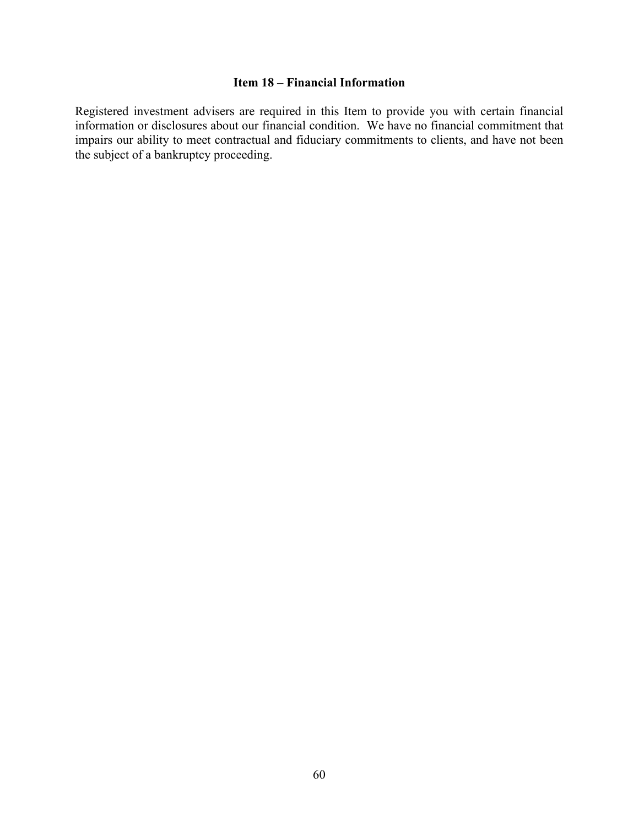# **Item 18 – Financial Information**

Registered investment advisers are required in this Item to provide you with certain financial information or disclosures about our financial condition. We have no financial commitment that impairs our ability to meet contractual and fiduciary commitments to clients, and have not been the subject of a bankruptcy proceeding.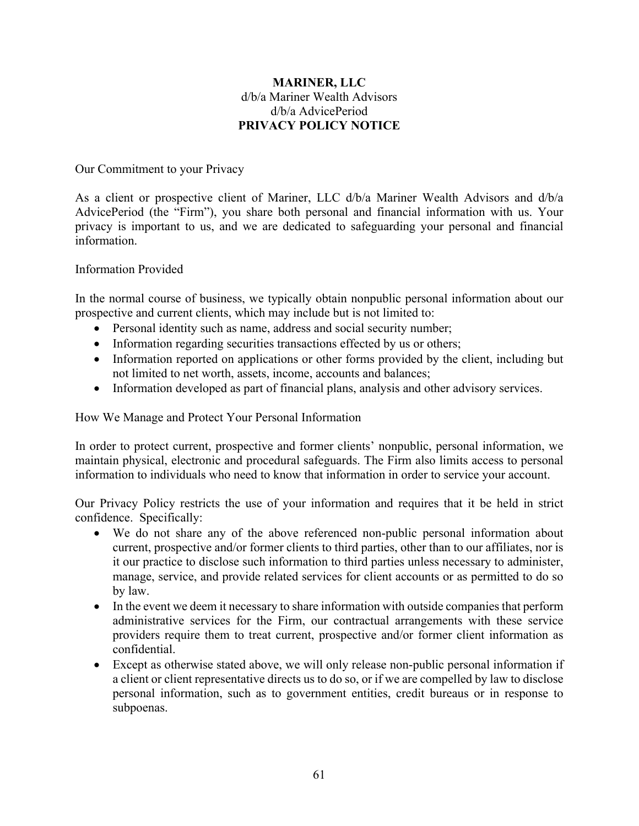# **MARINER, LLC**  d/b/a Mariner Wealth Advisors d/b/a AdvicePeriod **PRIVACY POLICY NOTICE**

#### Our Commitment to your Privacy

As a client or prospective client of Mariner, LLC d/b/a Mariner Wealth Advisors and d/b/a AdvicePeriod (the "Firm"), you share both personal and financial information with us. Your privacy is important to us, and we are dedicated to safeguarding your personal and financial information.

#### Information Provided

In the normal course of business, we typically obtain nonpublic personal information about our prospective and current clients, which may include but is not limited to:

- Personal identity such as name, address and social security number;
- Information regarding securities transactions effected by us or others;
- Information reported on applications or other forms provided by the client, including but not limited to net worth, assets, income, accounts and balances;
- Information developed as part of financial plans, analysis and other advisory services.

How We Manage and Protect Your Personal Information

In order to protect current, prospective and former clients' nonpublic, personal information, we maintain physical, electronic and procedural safeguards. The Firm also limits access to personal information to individuals who need to know that information in order to service your account.

Our Privacy Policy restricts the use of your information and requires that it be held in strict confidence. Specifically:

- We do not share any of the above referenced non-public personal information about current, prospective and/or former clients to third parties, other than to our affiliates, nor is it our practice to disclose such information to third parties unless necessary to administer, manage, service, and provide related services for client accounts or as permitted to do so by law.
- In the event we deem it necessary to share information with outside companies that perform administrative services for the Firm, our contractual arrangements with these service providers require them to treat current, prospective and/or former client information as confidential.
- Except as otherwise stated above, we will only release non-public personal information if a client or client representative directs us to do so, or if we are compelled by law to disclose personal information, such as to government entities, credit bureaus or in response to subpoenas.